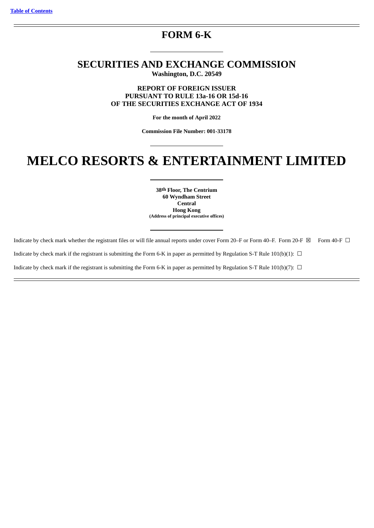# **FORM 6-K**

# **SECURITIES AND EXCHANGE COMMISSION Washington, D.C. 20549**

**REPORT OF FOREIGN ISSUER PURSUANT TO RULE 13a-16 OR 15d-16 OF THE SECURITIES EXCHANGE ACT OF 1934**

**For the month of April 2022**

**Commission File Number: 001-33178**

# **MELCO RESORTS & ENTERTAINMENT LIMITED**

**38th Floor, The Centrium 60 Wyndham Street Central Hong Kong (Address of principal executive offices)**

Indicate by check mark whether the registrant files or will file annual reports under cover Form 20–F or Form 40–F. Form 20-F ⊠ Form 40-F □ Indicate by check mark if the registrant is submitting the Form 6-K in paper as permitted by Regulation S-T Rule 101(b)(1):  $\Box$ Indicate by check mark if the registrant is submitting the Form 6-K in paper as permitted by Regulation S-T Rule 101(b)(7):  $\Box$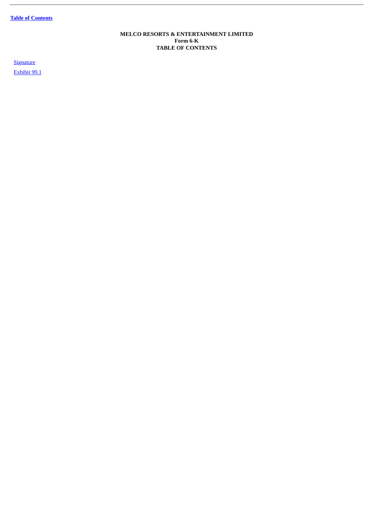**Table of [Contents](#page-1-0)**

j.

# **MELCO RESORTS & ENTERTAINMENT LIMITED Form 6-K TABLE OF CONTENTS**

<span id="page-1-0"></span>**[Signature](#page-2-0)** 

[Exhibit](#page-4-0) 99.1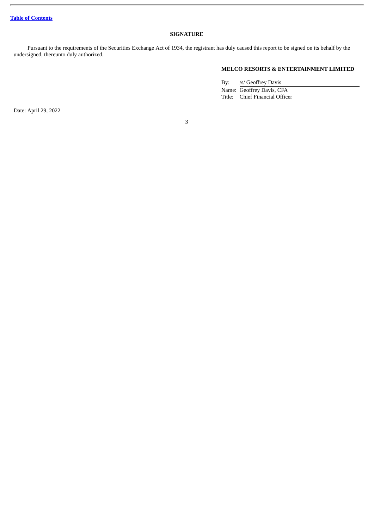# **SIGNATURE**

<span id="page-2-0"></span>Pursuant to the requirements of the Securities Exchange Act of 1934, the registrant has duly caused this report to be signed on its behalf by the undersigned, thereunto duly authorized.

# **MELCO RESORTS & ENTERTAINMENT LIMITED**

By: /s/ Geoffrey Davis Name: Geoffrey Davis, CFA Title: Chief Financial Officer

Date: April 29, 2022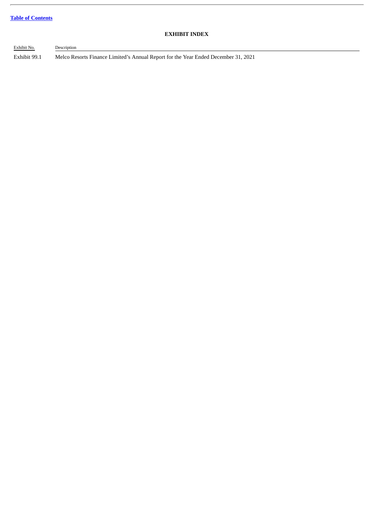# **Table of [Contents](#page-1-0)**

# **EXHIBIT INDEX**

Exhibit No. Description Exhibit 99.1 Melco Resorts Finance Limited's Annual Report for the Year Ended December 31, 2021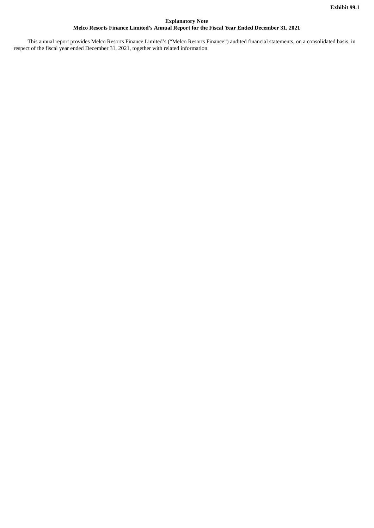# **Explanatory Note Melco Resorts Finance Limited's Annual Report for the Fiscal Year Ended December 31, 2021**

<span id="page-4-0"></span>This annual report provides Melco Resorts Finance Limited's ("Melco Resorts Finance") audited financial statements, on a consolidated basis, in respect of the fiscal year ended December 31, 2021, together with related information.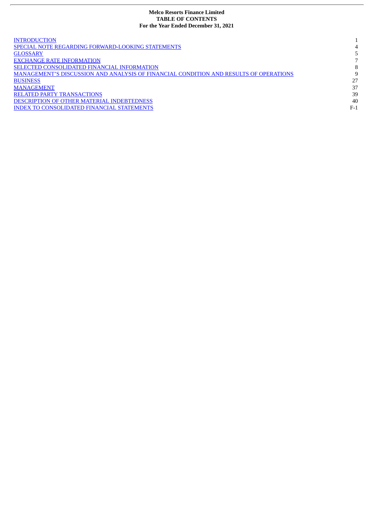# **Melco Resorts Finance Limited TABLE OF CONTENTS For the Year Ended December 31, 2021**

| <b>INTRODUCTION</b>                                                                   |       |
|---------------------------------------------------------------------------------------|-------|
|                                                                                       |       |
| <b>SPECIAL NOTE REGARDING FORWARD-LOOKING STATEMENTS</b>                              | 4     |
| <b>GLOSSARY</b>                                                                       |       |
| <b>EXCHANGE RATE INFORMATION</b>                                                      |       |
| SELECTED CONSOLIDATED FINANCIAL INFORMATION                                           | 8     |
| MANAGEMENT'S DISCUSSION AND ANALYSIS OF FINANCIAL CONDITION AND RESULTS OF OPERATIONS | 9     |
| <b>BUSINESS</b>                                                                       | 27    |
| <b>MANAGEMENT</b>                                                                     | 37    |
| <b>RELATED PARTY TRANSACTIONS</b>                                                     | 39    |
| DESCRIPTION OF OTHER MATERIAL INDEBTEDNESS                                            | 40    |
| <b>INDEX TO CONSOLIDATED FINANCIAL STATEMENTS</b>                                     | $F-1$ |
|                                                                                       |       |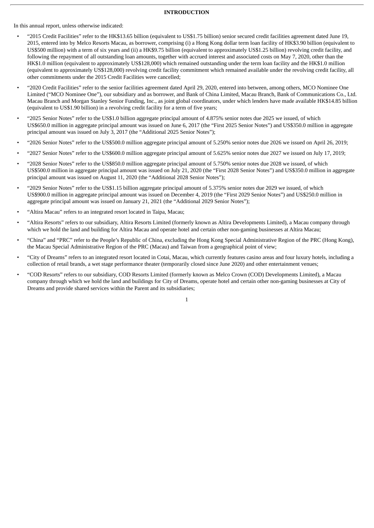#### **INTRODUCTION**

<span id="page-6-0"></span>In this annual report, unless otherwise indicated:

- "2015 Credit Facilities" refer to the HK\$13.65 billion (equivalent to US\$1.75 billion) senior secured credit facilities agreement dated June 19, 2015, entered into by Melco Resorts Macau, as borrower, comprising (i) a Hong Kong dollar term loan facility of HK\$3.90 billion (equivalent to US\$500 million) with a term of six years and (ii) a HK\$9.75 billion (equivalent to approximately US\$1.25 billion) revolving credit facility, and following the repayment of all outstanding loan amounts, together with accrued interest and associated costs on May 7, 2020, other than the HK\$1.0 million (equivalent to approximately US\$128,000) which remained outstanding under the term loan facility and the HK\$1.0 million (equivalent to approximately US\$128,000) revolving credit facility commitment which remained available under the revolving credit facility, all other commitments under the 2015 Credit Facilities were cancelled;
- "2020 Credit Facilities" refer to the senior facilities agreement dated April 29, 2020, entered into between, among others, MCO Nominee One Limited ("MCO Nominee One"), our subsidiary and as borrower, and Bank of China Limited, Macau Branch, Bank of Communications Co., Ltd. Macau Branch and Morgan Stanley Senior Funding, Inc., as joint global coordinators, under which lenders have made available HK\$14.85 billion (equivalent to US\$1.90 billion) in a revolving credit facility for a term of five years;
- "2025 Senior Notes" refer to the US\$1.0 billion aggregate principal amount of 4.875% senior notes due 2025 we issued, of which US\$650.0 million in aggregate principal amount was issued on June 6, 2017 (the "First 2025 Senior Notes") and US\$350.0 million in aggregate principal amount was issued on July 3, 2017 (the "Additional 2025 Senior Notes");
- "2026 Senior Notes" refer to the US\$500.0 million aggregate principal amount of 5.250% senior notes due 2026 we issued on April 26, 2019;
- "2027 Senior Notes" refer to the US\$600.0 million aggregate principal amount of 5.625% senior notes due 2027 we issued on July 17, 2019;
- "2028 Senior Notes" refer to the US\$850.0 million aggregate principal amount of 5.750% senior notes due 2028 we issued, of which US\$500.0 million in aggregate principal amount was issued on July 21, 2020 (the "First 2028 Senior Notes") and US\$350.0 million in aggregate principal amount was issued on August 11, 2020 (the "Additional 2028 Senior Notes");
- "2029 Senior Notes" refer to the US\$1.15 billion aggregate principal amount of 5.375% senior notes due 2029 we issued, of which US\$900.0 million in aggregate principal amount was issued on December 4, 2019 (the "First 2029 Senior Notes") and US\$250.0 million in aggregate principal amount was issued on January 21, 2021 (the "Additional 2029 Senior Notes");
- "Altira Macau" refers to an integrated resort located in Taipa, Macau;
- "Altira Resorts" refers to our subsidiary, Altira Resorts Limited (formerly known as Altira Developments Limited), a Macau company through which we hold the land and building for Altira Macau and operate hotel and certain other non-gaming businesses at Altira Macau;
- "China" and "PRC" refer to the People's Republic of China, excluding the Hong Kong Special Administrative Region of the PRC (Hong Kong), the Macau Special Administrative Region of the PRC (Macau) and Taiwan from a geographical point of view;
- "City of Dreams" refers to an integrated resort located in Cotai, Macau, which currently features casino areas and four luxury hotels, including a collection of retail brands, a wet stage performance theater (temporarily closed since June 2020) and other entertainment venues;
- "COD Resorts" refers to our subsidiary, COD Resorts Limited (formerly known as Melco Crown (COD) Developments Limited), a Macau company through which we hold the land and buildings for City of Dreams, operate hotel and certain other non-gaming businesses at City of Dreams and provide shared services within the Parent and its subsidiaries;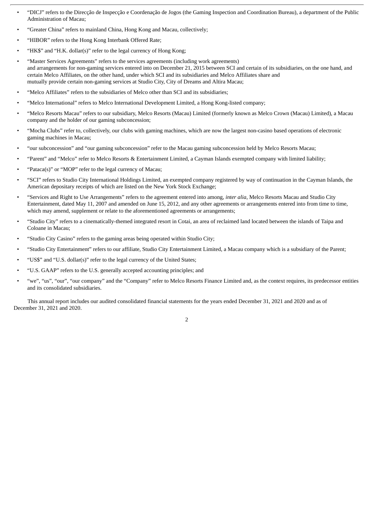- "DICJ" refers to the Direcção de Inspecção e Coordenação de Jogos (the Gaming Inspection and Coordination Bureau), a department of the Public Administration of Macau;
- "Greater China" refers to mainland China, Hong Kong and Macau, collectively;
- "HIBOR" refers to the Hong Kong Interbank Offered Rate;
- "HK\$" and "H.K. dollar(s)" refer to the legal currency of Hong Kong;
- "Master Services Agreements" refers to the services agreements (including work agreements) and arrangements for non-gaming services entered into on December 21, 2015 between SCI and certain of its subsidiaries, on the one hand, and certain Melco Affiliates, on the other hand, under which SCI and its subsidiaries and Melco Affiliates share and mutually provide certain non-gaming services at Studio City, City of Dreams and Altira Macau;
- "Melco Affiliates" refers to the subsidiaries of Melco other than SCI and its subsidiaries;
- "Melco International" refers to Melco International Development Limited, a Hong Kong-listed company;
- "Melco Resorts Macau" refers to our subsidiary, Melco Resorts (Macau) Limited (formerly known as Melco Crown (Macau) Limited), a Macau company and the holder of our gaming subconcession;
- "Mocha Clubs" refer to, collectively, our clubs with gaming machines, which are now the largest non-casino based operations of electronic gaming machines in Macau;
- "our subconcession" and "our gaming subconcession" refer to the Macau gaming subconcession held by Melco Resorts Macau;
- "Parent" and "Melco" refer to Melco Resorts & Entertainment Limited, a Cayman Islands exempted company with limited liability;
- "Pataca(s)" or "MOP" refer to the legal currency of Macau;
- "SCI" refers to Studio City International Holdings Limited, an exempted company registered by way of continuation in the Cayman Islands, the American depositary receipts of which are listed on the New York Stock Exchange;
- "Services and Right to Use Arrangements" refers to the agreement entered into among, *inter alia*, Melco Resorts Macau and Studio City Entertainment, dated May 11, 2007 and amended on June 15, 2012, and any other agreements or arrangements entered into from time to time, which may amend, supplement or relate to the aforementioned agreements or arrangements;
- "Studio City" refers to a cinematically-themed integrated resort in Cotai, an area of reclaimed land located between the islands of Taipa and Coloane in Macau;
- "Studio City Casino" refers to the gaming areas being operated within Studio City;
- "Studio City Entertainment" refers to our affiliate, Studio City Entertainment Limited, a Macau company which is a subsidiary of the Parent;
- "US\$" and "U.S. dollar(s)" refer to the legal currency of the United States;
- "U.S. GAAP" refers to the U.S. generally accepted accounting principles; and
- "we", "us", "our", "our company" and the "Company" refer to Melco Resorts Finance Limited and, as the context requires, its predecessor entities and its consolidated subsidiaries.

This annual report includes our audited consolidated financial statements for the years ended December 31, 2021 and 2020 and as of December 31, 2021 and 2020.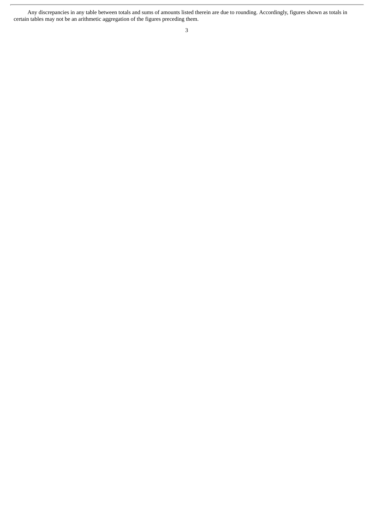Any discrepancies in any table between totals and sums of amounts listed therein are due to rounding. Accordingly, figures shown as totals in certain tables may not be an arithmetic aggregation of the figures preceding them.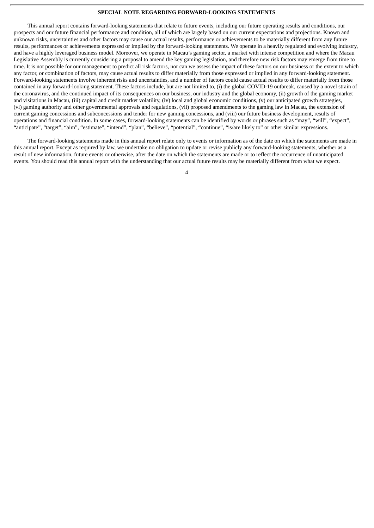#### **SPECIAL NOTE REGARDING FORWARD-LOOKING STATEMENTS**

<span id="page-9-0"></span>This annual report contains forward-looking statements that relate to future events, including our future operating results and conditions, our prospects and our future financial performance and condition, all of which are largely based on our current expectations and projections. Known and unknown risks, uncertainties and other factors may cause our actual results, performance or achievements to be materially different from any future results, performances or achievements expressed or implied by the forward-looking statements. We operate in a heavily regulated and evolving industry, and have a highly leveraged business model. Moreover, we operate in Macau's gaming sector, a market with intense competition and where the Macau Legislative Assembly is currently considering a proposal to amend the key gaming legislation, and therefore new risk factors may emerge from time to time. It is not possible for our management to predict all risk factors, nor can we assess the impact of these factors on our business or the extent to which any factor, or combination of factors, may cause actual results to differ materially from those expressed or implied in any forward-looking statement. Forward-looking statements involve inherent risks and uncertainties, and a number of factors could cause actual results to differ materially from those contained in any forward-looking statement. These factors include, but are not limited to, (i) the global COVID-19 outbreak, caused by a novel strain of the coronavirus, and the continued impact of its consequences on our business, our industry and the global economy, (ii) growth of the gaming market and visitations in Macau, (iii) capital and credit market volatility, (iv) local and global economic conditions, (v) our anticipated growth strategies, (vi) gaming authority and other governmental approvals and regulations, (vii) proposed amendments to the gaming law in Macau, the extension of current gaming concessions and subconcessions and tender for new gaming concessions, and (viii) our future business development, results of operations and financial condition. In some cases, forward-looking statements can be identified by words or phrases such as "may", "will", "expect", "anticipate", "target", "aim", "estimate", "intend", "plan", "believe", "potential", "continue", "is/are likely to" or other similar expressions.

The forward-looking statements made in this annual report relate only to events or information as of the date on which the statements are made in this annual report. Except as required by law, we undertake no obligation to update or revise publicly any forward-looking statements, whether as a result of new information, future events or otherwise, after the date on which the statements are made or to reflect the occurrence of unanticipated events. You should read this annual report with the understanding that our actual future results may be materially different from what we expect.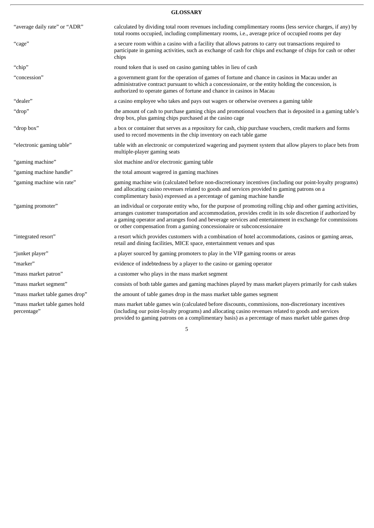# **GLOSSARY**

<span id="page-10-0"></span>

| "average daily rate" or "ADR"                | calculated by dividing total room revenues including complimentary rooms (less service charges, if any) by<br>total rooms occupied, including complimentary rooms, i.e., average price of occupied rooms per day                                                                                                                                                                                                   |  |  |
|----------------------------------------------|--------------------------------------------------------------------------------------------------------------------------------------------------------------------------------------------------------------------------------------------------------------------------------------------------------------------------------------------------------------------------------------------------------------------|--|--|
| "cage"                                       | a secure room within a casino with a facility that allows patrons to carry out transactions required to<br>participate in gaming activities, such as exchange of cash for chips and exchange of chips for cash or other<br>chips                                                                                                                                                                                   |  |  |
| "chip"                                       | round token that is used on casino gaming tables in lieu of cash                                                                                                                                                                                                                                                                                                                                                   |  |  |
| "concession"                                 | a government grant for the operation of games of fortune and chance in casinos in Macau under an<br>administrative contract pursuant to which a concessionaire, or the entity holding the concession, is<br>authorized to operate games of fortune and chance in casinos in Macau                                                                                                                                  |  |  |
| "dealer"                                     | a casino employee who takes and pays out wagers or otherwise oversees a gaming table                                                                                                                                                                                                                                                                                                                               |  |  |
| "drop"                                       | the amount of cash to purchase gaming chips and promotional vouchers that is deposited in a gaming table's<br>drop box, plus gaming chips purchased at the casino cage                                                                                                                                                                                                                                             |  |  |
| "drop box"                                   | a box or container that serves as a repository for cash, chip purchase vouchers, credit markers and forms<br>used to record movements in the chip inventory on each table game                                                                                                                                                                                                                                     |  |  |
| "electronic gaming table"                    | table with an electronic or computerized wagering and payment system that allow players to place bets from<br>multiple-player gaming seats                                                                                                                                                                                                                                                                         |  |  |
| "gaming machine"                             | slot machine and/or electronic gaming table                                                                                                                                                                                                                                                                                                                                                                        |  |  |
| "gaming machine handle"                      | the total amount wagered in gaming machines                                                                                                                                                                                                                                                                                                                                                                        |  |  |
| "gaming machine win rate"                    | gaming machine win (calculated before non-discretionary incentives (including our point-loyalty programs)<br>and allocating casino revenues related to goods and services provided to gaming patrons on a<br>complimentary basis) expressed as a percentage of gaming machine handle                                                                                                                               |  |  |
| "gaming promoter"                            | an individual or corporate entity who, for the purpose of promoting rolling chip and other gaming activities,<br>arranges customer transportation and accommodation, provides credit in its sole discretion if authorized by<br>a gaming operator and arranges food and beverage services and entertainment in exchange for commissions<br>or other compensation from a gaming concessionaire or subconcessionaire |  |  |
| "integrated resort"                          | a resort which provides customers with a combination of hotel accommodations, casinos or gaming areas,<br>retail and dining facilities, MICE space, entertainment venues and spas                                                                                                                                                                                                                                  |  |  |
| "junket player"                              | a player sourced by gaming promoters to play in the VIP gaming rooms or areas                                                                                                                                                                                                                                                                                                                                      |  |  |
| "marker"                                     | evidence of indebtedness by a player to the casino or gaming operator                                                                                                                                                                                                                                                                                                                                              |  |  |
| "mass market patron"                         | a customer who plays in the mass market segment                                                                                                                                                                                                                                                                                                                                                                    |  |  |
| "mass market segment"                        | consists of both table games and gaming machines played by mass market players primarily for cash stakes                                                                                                                                                                                                                                                                                                           |  |  |
| "mass market table games drop"               | the amount of table games drop in the mass market table games segment                                                                                                                                                                                                                                                                                                                                              |  |  |
| "mass market table games hold<br>percentage" | mass market table games win (calculated before discounts, commissions, non-discretionary incentives<br>(including our point-loyalty programs) and allocating casino revenues related to goods and services<br>provided to gaming patrons on a complimentary basis) as a percentage of mass market table games drop                                                                                                 |  |  |
| 5                                            |                                                                                                                                                                                                                                                                                                                                                                                                                    |  |  |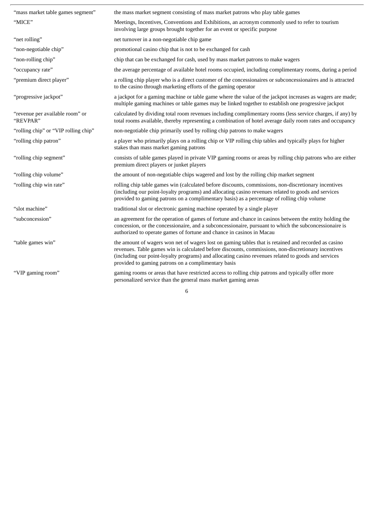| "mass market table games segment"           | the mass market segment consisting of mass market patrons who play table games                                                                                                                                                                                                                                                                                            |
|---------------------------------------------|---------------------------------------------------------------------------------------------------------------------------------------------------------------------------------------------------------------------------------------------------------------------------------------------------------------------------------------------------------------------------|
| "MICE"                                      | Meetings, Incentives, Conventions and Exhibitions, an acronym commonly used to refer to tourism<br>involving large groups brought together for an event or specific purpose                                                                                                                                                                                               |
| "net rolling"                               | net turnover in a non-negotiable chip game                                                                                                                                                                                                                                                                                                                                |
| "non-negotiable chip"                       | promotional casino chip that is not to be exchanged for cash                                                                                                                                                                                                                                                                                                              |
| "non-rolling chip"                          | chip that can be exchanged for cash, used by mass market patrons to make wagers                                                                                                                                                                                                                                                                                           |
| "occupancy rate"                            | the average percentage of available hotel rooms occupied, including complimentary rooms, during a period                                                                                                                                                                                                                                                                  |
| "premium direct player"                     | a rolling chip player who is a direct customer of the concessionaires or subconcessionaires and is attracted<br>to the casino through marketing efforts of the gaming operator                                                                                                                                                                                            |
| "progressive jackpot"                       | a jackpot for a gaming machine or table game where the value of the jackpot increases as wagers are made;<br>multiple gaming machines or table games may be linked together to establish one progressive jackpot                                                                                                                                                          |
| "revenue per available room" or<br>"REVPAR" | calculated by dividing total room revenues including complimentary rooms (less service charges, if any) by<br>total rooms available, thereby representing a combination of hotel average daily room rates and occupancy                                                                                                                                                   |
| "rolling chip" or "VIP rolling chip"        | non-negotiable chip primarily used by rolling chip patrons to make wagers                                                                                                                                                                                                                                                                                                 |
| "rolling chip patron"                       | a player who primarily plays on a rolling chip or VIP rolling chip tables and typically plays for higher<br>stakes than mass market gaming patrons                                                                                                                                                                                                                        |
| "rolling chip segment"                      | consists of table games played in private VIP gaming rooms or areas by rolling chip patrons who are either<br>premium direct players or junket players                                                                                                                                                                                                                    |
| "rolling chip volume"                       | the amount of non-negotiable chips wagered and lost by the rolling chip market segment                                                                                                                                                                                                                                                                                    |
| "rolling chip win rate"                     | rolling chip table games win (calculated before discounts, commissions, non-discretionary incentives<br>(including our point-loyalty programs) and allocating casino revenues related to goods and services<br>provided to gaming patrons on a complimentary basis) as a percentage of rolling chip volume                                                                |
| "slot machine"                              | traditional slot or electronic gaming machine operated by a single player                                                                                                                                                                                                                                                                                                 |
| "subconcession"                             | an agreement for the operation of games of fortune and chance in casinos between the entity holding the<br>concession, or the concessionaire, and a subconcessionaire, pursuant to which the subconcessionaire is<br>authorized to operate games of fortune and chance in casinos in Macau                                                                                |
| "table games win"                           | the amount of wagers won net of wagers lost on gaming tables that is retained and recorded as casino<br>revenues. Table games win is calculated before discounts, commissions, non-discretionary incentives<br>(including our point-loyalty programs) and allocating casino revenues related to goods and services<br>provided to gaming patrons on a complimentary basis |
| "VIP gaming room"                           | gaming rooms or areas that have restricted access to rolling chip patrons and typically offer more<br>personalized service than the general mass market gaming areas                                                                                                                                                                                                      |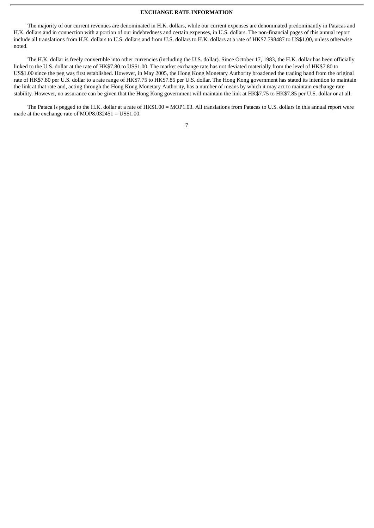#### **EXCHANGE RATE INFORMATION**

<span id="page-12-0"></span>The majority of our current revenues are denominated in H.K. dollars, while our current expenses are denominated predominantly in Patacas and H.K. dollars and in connection with a portion of our indebtedness and certain expenses, in U.S. dollars. The non-financial pages of this annual report include all translations from H.K. dollars to U.S. dollars and from U.S. dollars to H.K. dollars at a rate of HK\$7.798487 to US\$1.00, unless otherwise noted.

The H.K. dollar is freely convertible into other currencies (including the U.S. dollar). Since October 17, 1983, the H.K. dollar has been officially linked to the U.S. dollar at the rate of HK\$7.80 to US\$1.00. The market exchange rate has not deviated materially from the level of HK\$7.80 to US\$1.00 since the peg was first established. However, in May 2005, the Hong Kong Monetary Authority broadened the trading band from the original rate of HK\$7.80 per U.S. dollar to a rate range of HK\$7.75 to HK\$7.85 per U.S. dollar. The Hong Kong government has stated its intention to maintain the link at that rate and, acting through the Hong Kong Monetary Authority, has a number of means by which it may act to maintain exchange rate stability. However, no assurance can be given that the Hong Kong government will maintain the link at HK\$7.75 to HK\$7.85 per U.S. dollar or at all.

The Pataca is pegged to the H.K. dollar at a rate of HK\$1.00 = MOP1.03. All translations from Patacas to U.S. dollars in this annual report were made at the exchange rate of MOP8.032451 = US\$1.00.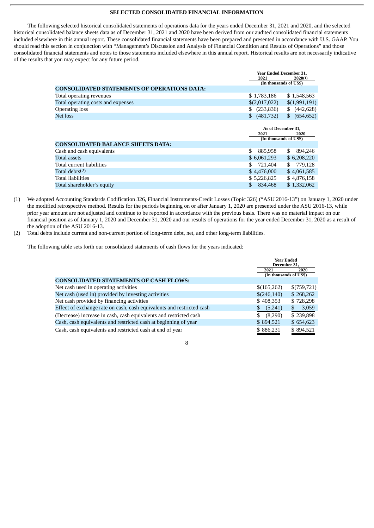#### **SELECTED CONSOLIDATED FINANCIAL INFORMATION**

<span id="page-13-0"></span>The following selected historical consolidated statements of operations data for the years ended December 31, 2021 and 2020, and the selected historical consolidated balance sheets data as of December 31, 2021 and 2020 have been derived from our audited consolidated financial statements included elsewhere in this annual report. These consolidated financial statements have been prepared and presented in accordance with U.S. GAAP. You should read this section in conjunction with "Management's Discussion and Analysis of Financial Condition and Results of Operations" and those consolidated financial statements and notes to those statements included elsewhere in this annual report. Historical results are not necessarily indicative of the results that you may expect for any future period.

|                                                    |                | <b>Year Ended December 31,</b> |  |  |  |
|----------------------------------------------------|----------------|--------------------------------|--|--|--|
|                                                    | 2021           | 2020(1)                        |  |  |  |
|                                                    |                | (In thousands of US\$)         |  |  |  |
| <b>CONSOLIDATED STATEMENTS OF OPERATIONS DATA:</b> |                |                                |  |  |  |
| Total operating revenues                           | \$1,783,186    | \$1,548,563                    |  |  |  |
| Total operating costs and expenses                 | \$(2,017,022)  | \$(1,991,191)                  |  |  |  |
| <b>Operating loss</b>                              | (233, 836)     | (442, 628)                     |  |  |  |
| Net loss                                           | (481,732)      | \$ (654, 652)                  |  |  |  |
|                                                    |                |                                |  |  |  |
|                                                    |                | As of December 31,             |  |  |  |
|                                                    | 2021           | 2020                           |  |  |  |
|                                                    |                | (In thousands of US\$)         |  |  |  |
| <b>CONSOLIDATED BALANCE SHEETS DATA:</b>           |                |                                |  |  |  |
| Cash and cash equivalents                          | \$.<br>885,958 | 894,246<br>S.                  |  |  |  |
| Total assets                                       | \$6,061,293    | \$6,208,220                    |  |  |  |
| Total current liabilities                          | 721,404<br>S.  | \$ 779,128                     |  |  |  |
| Total debts(2)                                     | \$4,476,000    | \$4,061,585                    |  |  |  |
| Total liabilities                                  | \$5,226,825    | \$4,876,158                    |  |  |  |
| Total shareholder's equity                         | \$<br>834,468  | \$1,332,062                    |  |  |  |

- (1) We adopted Accounting Standards Codification 326, Financial Instruments-Credit Losses (Topic 326) ("ASU 2016-13") on January 1, 2020 under the modified retrospective method. Results for the periods beginning on or after January 1, 2020 are presented under the ASU 2016-13, while prior year amount are not adjusted and continue to be reported in accordance with the previous basis. There was no material impact on our financial position as of January 1, 2020 and December 31, 2020 and our results of operations for the year ended December 31, 2020 as a result of the adoption of the ASU 2016-13.
- (2) Total debts include current and non-current portion of long-term debt, net, and other long-term liabilities.

The following table sets forth our consolidated statements of cash flows for the years indicated:

|                                                                       | <b>Year Ended</b><br>December 31. |             |  |
|-----------------------------------------------------------------------|-----------------------------------|-------------|--|
|                                                                       | 2021                              | 2020        |  |
|                                                                       | (In thousands of US\$)            |             |  |
| <b>CONSOLIDATED STATEMENTS OF CASH FLOWS:</b>                         |                                   |             |  |
| Net cash used in operating activities                                 | \$(165,262)                       | \$(759,721) |  |
| Net cash (used in) provided by investing activities                   | \$(246,140)                       | \$268,262   |  |
| Net cash provided by financing activities                             | \$408,353                         | \$728,298   |  |
| Effect of exchange rate on cash, cash equivalents and restricted cash | (5,241)<br>\$                     | 3,059<br>\$ |  |
| (Decrease) increase in cash, cash equivalents and restricted cash     | (8,290)<br>\$                     | \$239,898   |  |
| Cash, cash equivalents and restricted cash at beginning of year       | \$894,521                         | \$654,623   |  |
| Cash, cash equivalents and restricted cash at end of year             | \$886,231                         | \$894,521   |  |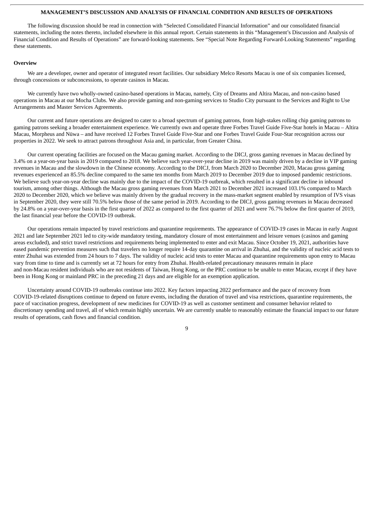#### **MANAGEMENT'S DISCUSSION AND ANALYSIS OF FINANCIAL CONDITION AND RESULTS OF OPERATIONS**

<span id="page-14-0"></span>The following discussion should be read in connection with "Selected Consolidated Financial Information" and our consolidated financial statements, including the notes thereto, included elsewhere in this annual report. Certain statements in this "Management's Discussion and Analysis of Financial Condition and Results of Operations" are forward-looking statements. See "Special Note Regarding Forward-Looking Statements" regarding these statements.

#### **Overview**

We are a developer, owner and operator of integrated resort facilities. Our subsidiary Melco Resorts Macau is one of six companies licensed, through concessions or subconcessions, to operate casinos in Macau.

We currently have two wholly-owned casino-based operations in Macau, namely, City of Dreams and Altira Macau, and non-casino based operations in Macau at our Mocha Clubs. We also provide gaming and non-gaming services to Studio City pursuant to the Services and Right to Use Arrangements and Master Services Agreements.

Our current and future operations are designed to cater to a broad spectrum of gaming patrons, from high-stakes rolling chip gaming patrons to gaming patrons seeking a broader entertainment experience. We currently own and operate three Forbes Travel Guide Five-Star hotels in Macau – Altira Macau, Morpheus and Nüwa – and have received 12 Forbes Travel Guide Five-Star and one Forbes Travel Guide Four-Star recognition across our properties in 2022. We seek to attract patrons throughout Asia and, in particular, from Greater China.

Our current operating facilities are focused on the Macau gaming market. According to the DICJ, gross gaming revenues in Macau declined by 3.4% on a year-on-year basis in 2019 compared to 2018. We believe such year-over-year decline in 2019 was mainly driven by a decline in VIP gaming revenues in Macau and the slowdown in the Chinese economy. According to the DICJ, from March 2020 to December 2020, Macau gross gaming revenues experienced an 85.5% decline compared to the same ten months from March 2019 to December 2019 due to imposed pandemic restrictions. We believe such year-on-year decline was mainly due to the impact of the COVID-19 outbreak, which resulted in a significant decline in inbound tourism, among other things. Although the Macau gross gaming revenues from March 2021 to December 2021 increased 103.1% compared to March 2020 to December 2020, which we believe was mainly driven by the gradual recovery in the mass-market segment enabled by resumption of IVS visas in September 2020, they were still 70.5% below those of the same period in 2019. According to the DICJ, gross gaming revenues in Macau decreased by 24.8% on a year-over-year basis in the first quarter of 2022 as compared to the first quarter of 2021 and were 76.7% below the first quarter of 2019, the last financial year before the COVID-19 outbreak.

Our operations remain impacted by travel restrictions and quarantine requirements. The appearance of COVID-19 cases in Macau in early August 2021 and late September 2021 led to city-wide mandatory testing, mandatory closure of most entertainment and leisure venues (casinos and gaming areas excluded), and strict travel restrictions and requirements being implemented to enter and exit Macau. Since October 19, 2021, authorities have eased pandemic prevention measures such that travelers no longer require 14-day quarantine on arrival in Zhuhai, and the validity of nucleic acid tests to enter Zhuhai was extended from 24 hours to 7 days. The validity of nucleic acid tests to enter Macau and quarantine requirements upon entry to Macau vary from time to time and is currently set at 72 hours for entry from Zhuhai. Health-related precautionary measures remain in place and non-Macau resident individuals who are not residents of Taiwan, Hong Kong, or the PRC continue to be unable to enter Macau, except if they have been in Hong Kong or mainland PRC in the preceding 21 days and are eligible for an exemption application.

Uncertainty around COVID-19 outbreaks continue into 2022. Key factors impacting 2022 performance and the pace of recovery from COVID-19-related disruptions continue to depend on future events, including the duration of travel and visa restrictions, quarantine requirements, the pace of vaccination progress, development of new medicines for COVID-19 as well as customer sentiment and consumer behavior related to discretionary spending and travel, all of which remain highly uncertain. We are currently unable to reasonably estimate the financial impact to our future results of operations, cash flows and financial condition.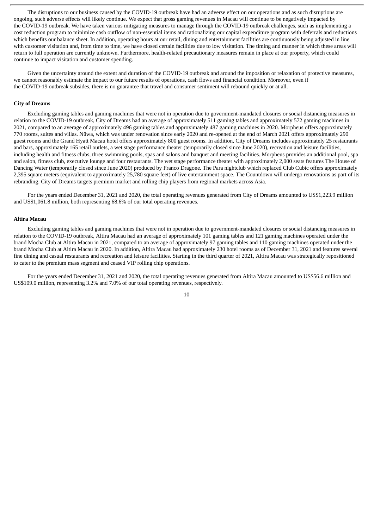The disruptions to our business caused by the COVID-19 outbreak have had an adverse effect on our operations and as such disruptions are ongoing, such adverse effects will likely continue. We expect that gross gaming revenues in Macau will continue to be negatively impacted by the COVID-19 outbreak. We have taken various mitigating measures to manage through the COVID-19 outbreak challenges, such as implementing a cost reduction program to minimize cash outflow of non-essential items and rationalizing our capital expenditure program with deferrals and reductions which benefits our balance sheet. In addition, operating hours at our retail, dining and entertainment facilities are continuously being adjusted in line with customer visitation and, from time to time, we have closed certain facilities due to low visitation. The timing and manner in which these areas will return to full operation are currently unknown. Furthermore, health-related precautionary measures remain in place at our property, which could continue to impact visitation and customer spending.

Given the uncertainty around the extent and duration of the COVID-19 outbreak and around the imposition or relaxation of protective measures, we cannot reasonably estimate the impact to our future results of operations, cash flows and financial condition. Moreover, even if the COVID-19 outbreak subsides, there is no guarantee that travel and consumer sentiment will rebound quickly or at all.

#### **City of Dreams**

Excluding gaming tables and gaming machines that were not in operation due to government-mandated closures or social distancing measures in relation to the COVID-19 outbreak, City of Dreams had an average of approximately 511 gaming tables and approximately 572 gaming machines in 2021, compared to an average of approximately 496 gaming tables and approximately 487 gaming machines in 2020. Morpheus offers approximately 770 rooms, suites and villas. Nüwa, which was under renovation since early 2020 and re-opened at the end of March 2021 offers approximately 290 guest rooms and the Grand Hyatt Macau hotel offers approximately 800 guest rooms. In addition, City of Dreams includes approximately 25 restaurants and bars, approximately 165 retail outlets, a wet stage performance theater (temporarily closed since June 2020), recreation and leisure facilities, including health and fitness clubs, three swimming pools, spas and salons and banquet and meeting facilities. Morpheus provides an additional pool, spa and salon, fitness club, executive lounge and four restaurants. The wet stage performance theater with approximately 2,000 seats features The House of Dancing Water (temporarily closed since June 2020) produced by Franco Dragone. The Para nightclub which replaced Club Cubic offers approximately 2,395 square meters (equivalent to approximately 25,780 square feet) of live entertainment space. The Countdown will undergo renovations as part of its rebranding. City of Dreams targets premium market and rolling chip players from regional markets across Asia.

For the years ended December 31, 2021 and 2020, the total operating revenues generated from City of Dreams amounted to US\$1,223.9 million and US\$1,061.8 million, both representing 68.6% of our total operating revenues.

# **Altira Macau**

Excluding gaming tables and gaming machines that were not in operation due to government-mandated closures or social distancing measures in relation to the COVID-19 outbreak, Altira Macau had an average of approximately 101 gaming tables and 121 gaming machines operated under the brand Mocha Club at Altira Macau in 2021, compared to an average of approximately 97 gaming tables and 110 gaming machines operated under the brand Mocha Club at Altira Macau in 2020. In addition, Altira Macau had approximately 230 hotel rooms as of December 31, 2021 and features several fine dining and casual restaurants and recreation and leisure facilities. Starting in the third quarter of 2021, Altira Macau was strategically repositioned to cater to the premium mass segment and ceased VIP rolling chip operations.

For the years ended December 31, 2021 and 2020, the total operating revenues generated from Altira Macau amounted to US\$56.6 million and US\$109.0 million, representing 3.2% and 7.0% of our total operating revenues, respectively.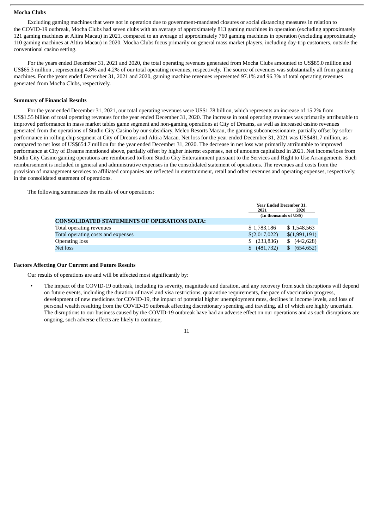#### **Mocha Clubs**

Excluding gaming machines that were not in operation due to government-mandated closures or social distancing measures in relation to the COVID-19 outbreak, Mocha Clubs had seven clubs with an average of approximately 813 gaming machines in operation (excluding approximately 121 gaming machines at Altira Macau) in 2021, compared to an average of approximately 760 gaming machines in operation (excluding approximately 110 gaming machines at Altira Macau) in 2020. Mocha Clubs focus primarily on general mass market players, including day-trip customers, outside the conventional casino setting.

For the years ended December 31, 2021 and 2020, the total operating revenues generated from Mocha Clubs amounted to US\$85.0 million and US\$65.3 million , representing 4.8% and 4.2% of our total operating revenues, respectively. The source of revenues was substantially all from gaming machines. For the years ended December 31, 2021 and 2020, gaming machine revenues represented 97.1% and 96.3% of total operating revenues generated from Mocha Clubs, respectively.

### **Summary of Financial Results**

For the year ended December 31, 2021, our total operating revenues were US\$1.78 billion, which represents an increase of 15.2% from US\$1.55 billion of total operating revenues for the year ended December 31, 2020. The increase in total operating revenues was primarily attributable to improved performance in mass market tables game segment and non-gaming operations at City of Dreams, as well as increased casino revenues generated from the operations of Studio City Casino by our subsidiary, Melco Resorts Macau, the gaming subconcessionaire, partially offset by softer performance in rolling chip segment at City of Dreams and Altira Macau. Net loss for the year ended December 31, 2021 was US\$481.7 million, as compared to net loss of US\$654.7 million for the year ended December 31, 2020. The decrease in net loss was primarily attributable to improved performance at City of Dreams mentioned above, partially offset by higher interest expenses, net of amounts capitalized in 2021. Net income/loss from Studio City Casino gaming operations are reimbursed to/from Studio City Entertainment pursuant to the Services and Right to Use Arrangements. Such reimbursement is included in general and administrative expenses in the consolidated statement of operations. The revenues and costs from the provision of management services to affiliated companies are reflected in entertainment, retail and other revenues and operating expenses, respectively, in the consolidated statement of operations.

The following summarizes the results of our operations:

|                                                    |                        | <b>Year Ended December 31.</b> |  |  |
|----------------------------------------------------|------------------------|--------------------------------|--|--|
|                                                    | 2021                   | 2020                           |  |  |
|                                                    | (In thousands of US\$) |                                |  |  |
| <b>CONSOLIDATED STATEMENTS OF OPERATIONS DATA:</b> |                        |                                |  |  |
| Total operating revenues                           | \$1,783,186            | \$1,548,563                    |  |  |
| Total operating costs and expenses                 | \$(2,017,022)          | \$(1,991,191)                  |  |  |
| <b>Operating loss</b>                              | \$(233, 836)           | (442, 628)<br>S                |  |  |
| Net loss                                           | (481,732)<br>S.        | (654, 652)<br>\$.              |  |  |

#### **Factors Affecting Our Current and Future Results**

Our results of operations are and will be affected most significantly by:

• The impact of the COVID-19 outbreak, including its severity, magnitude and duration, and any recovery from such disruptions will depend on future events, including the duration of travel and visa restrictions, quarantine requirements, the pace of vaccination progress, development of new medicines for COVID-19, the impact of potential higher unemployment rates, declines in income levels, and loss of personal wealth resulting from the COVID-19 outbreak affecting discretionary spending and traveling, all of which are highly uncertain. The disruptions to our business caused by the COVID-19 outbreak have had an adverse effect on our operations and as such disruptions are ongoing, such adverse effects are likely to continue;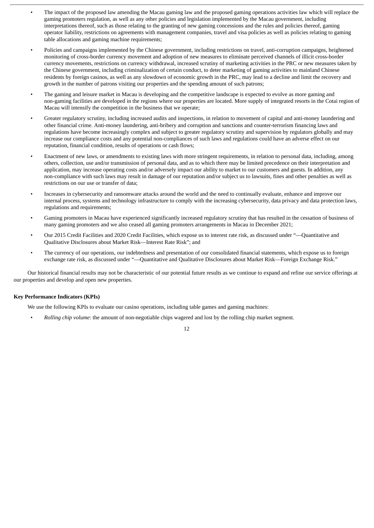- The impact of the proposed law amending the Macau gaming law and the proposed gaming operations activities law which will replace the gaming promoters regulation, as well as any other policies and legislation implemented by the Macau government, including interpretations thereof, such as those relating to the granting of new gaming concessions and the rules and policies thereof, gaming operator liability, restrictions on agreements with management companies, travel and visa policies as well as policies relating to gaming table allocations and gaming machine requirements;
- Policies and campaigns implemented by the Chinese government, including restrictions on travel, anti-corruption campaigns, heightened monitoring of cross-border currency movement and adoption of new measures to eliminate perceived channels of illicit cross-border currency movements, restrictions on currency withdrawal, increased scrutiny of marketing activities in the PRC or new measures taken by the Chinese government, including criminalization of certain conduct, to deter marketing of gaming activities to mainland Chinese residents by foreign casinos, as well as any slowdown of economic growth in the PRC, may lead to a decline and limit the recovery and growth in the number of patrons visiting our properties and the spending amount of such patrons;
- The gaming and leisure market in Macau is developing and the competitive landscape is expected to evolve as more gaming and non-gaming facilities are developed in the regions where our properties are located. More supply of integrated resorts in the Cotai region of Macau will intensify the competition in the business that we operate;
- Greater regulatory scrutiny, including increased audits and inspections, in relation to movement of capital and anti-money laundering and other financial crime. Anti-money laundering, anti-bribery and corruption and sanctions and counter-terrorism financing laws and regulations have become increasingly complex and subject to greater regulatory scrutiny and supervision by regulators globally and may increase our compliance costs and any potential non-compliances of such laws and regulations could have an adverse effect on our reputation, financial condition, results of operations or cash flows;
- Enactment of new laws, or amendments to existing laws with more stringent requirements, in relation to personal data, including, among others, collection, use and/or transmission of personal data, and as to which there may be limited precedence on their interpretation and application, may increase operating costs and/or adversely impact our ability to market to our customers and guests. In addition, any non-compliance with such laws may result in damage of our reputation and/or subject us to lawsuits, fines and other penalties as well as restrictions on our use or transfer of data;
- Increases in cybersecurity and ransomware attacks around the world and the need to continually evaluate, enhance and improve our internal process, systems and technology infrastructure to comply with the increasing cybersecurity, data privacy and data protection laws, regulations and requirements;
- Gaming promoters in Macau have experienced significantly increased regulatory scrutiny that has resulted in the cessation of business of many gaming promoters and we also ceased all gaming promoters arrangements in Macau in December 2021;
- Our 2015 Credit Facilities and 2020 Credit Facilities, which expose us to interest rate risk, as discussed under "—Quantitative and Qualitative Disclosures about Market Risk—Interest Rate Risk"; and
- The currency of our operations, our indebtedness and presentation of our consolidated financial statements, which expose us to foreign exchange rate risk, as discussed under "—Quantitative and Qualitative Disclosures about Market Risk—Foreign Exchange Risk."

Our historical financial results may not be characteristic of our potential future results as we continue to expand and refine our service offerings at our properties and develop and open new properties.

#### **Key Performance Indicators (KPIs)**

We use the following KPIs to evaluate our casino operations, including table games and gaming machines:

• *Rolling chip volume*: the amount of non-negotiable chips wagered and lost by the rolling chip market segment.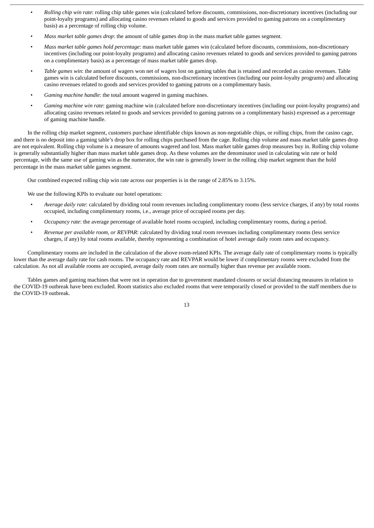- *Rolling chip win rate*: rolling chip table games win (calculated before discounts, commissions, non-discretionary incentives (including our point-loyalty programs) and allocating casino revenues related to goods and services provided to gaming patrons on a complimentary basis) as a percentage of rolling chip volume.
- *Mass market table games drop*: the amount of table games drop in the mass market table games segment.
- *Mass market table games hold percentage*: mass market table games win (calculated before discounts, commissions, non-discretionary incentives (including our point-loyalty programs) and allocating casino revenues related to goods and services provided to gaming patrons on a complimentary basis) as a percentage of mass market table games drop.
- *Table games win*: the amount of wagers won net of wagers lost on gaming tables that is retained and recorded as casino revenues. Table games win is calculated before discounts, commissions, non-discretionary incentives (including our point-loyalty programs) and allocating casino revenues related to goods and services provided to gaming patrons on a complimentary basis.
- *Gaming machine handle*: the total amount wagered in gaming machines.
- *Gaming machine win rate*: gaming machine win (calculated before non-discretionary incentives (including our point-loyalty programs) and allocating casino revenues related to goods and services provided to gaming patrons on a complimentary basis) expressed as a percentage of gaming machine handle.

In the rolling chip market segment, customers purchase identifiable chips known as non-negotiable chips, or rolling chips, from the casino cage, and there is no deposit into a gaming table's drop box for rolling chips purchased from the cage. Rolling chip volume and mass market table games drop are not equivalent. Rolling chip volume is a measure of amounts wagered and lost. Mass market table games drop measures buy in. Rolling chip volume is generally substantially higher than mass market table games drop. As these volumes are the denominator used in calculating win rate or hold percentage, with the same use of gaming win as the numerator, the win rate is generally lower in the rolling chip market segment than the hold percentage in the mass market table games segment.

Our combined expected rolling chip win rate across our properties is in the range of 2.85% to 3.15%.

We use the following KPIs to evaluate our hotel operations:

- *Average daily rate*: calculated by dividing total room revenues including complimentary rooms (less service charges, if any) by total rooms occupied, including complimentary rooms, i.e., average price of occupied rooms per day.
- *Occupancy rate*: the average percentage of available hotel rooms occupied, including complimentary rooms, during a period.
- *Revenue per available room, or REVPAR*: calculated by dividing total room revenues including complimentary rooms (less service charges, if any) by total rooms available, thereby representing a combination of hotel average daily room rates and occupancy.

Complimentary rooms are included in the calculation of the above room-related KPIs. The average daily rate of complimentary rooms is typically lower than the average daily rate for cash rooms. The occupancy rate and REVPAR would be lower if complimentary rooms were excluded from the calculation. As not all available rooms are occupied, average daily room rates are normally higher than revenue per available room.

Tables games and gaming machines that were not in operation due to government mandated closures or social distancing measures in relation to the COVID-19 outbreak have been excluded. Room statistics also excluded rooms that were temporarily closed or provided to the staff members due to the COVID-19 outbreak.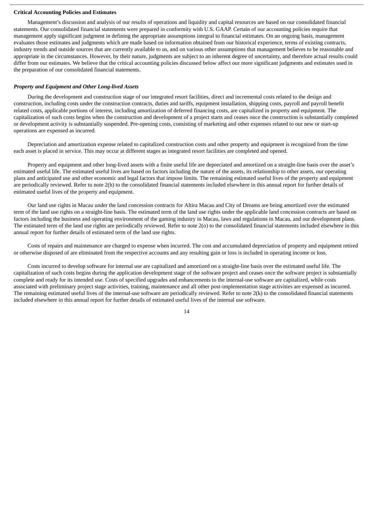#### **Critical Accounting Policies and Estimates**

Management's discussion and analysis of our results of operations and liquidity and capital resources are based on our consolidated financial statements. Our consolidated financial statements were prepared in conformity with U.S. GAAP. Certain of our accounting policies require that management apply significant judgment in defining the appropriate assumptions integral to financial estimates. On an ongoing basis, management evaluates those estimates and judgments which are made based on information obtained from our historical experience, terms of existing contracts, industry trends and outside sources that are currently available to us, and on various other assumptions that management believes to be reasonable and appropriate in the circumstances. However, by their nature, judgments are subject to an inherent degree of uncertainty, and therefore actual results could differ from our estimates. We believe that the critical accounting policies discussed below affect our more significant judgments and estimates used in the preparation of our consolidated financial statements.

#### *Property and Equipment and Other Long-lived Assets*

During the development and construction stage of our integrated resort facilities, direct and incremental costs related to the design and construction, including costs under the construction contracts, duties and tariffs, equipment installation, shipping costs, payroll and payroll benefit related costs, applicable portions of interest, including amortization of deferred financing costs, are capitalized in property and equipment. The capitalization of such costs begins when the construction and development of a project starts and ceases once the construction is substantially completed or development activity is substantially suspended. Pre-opening costs, consisting of marketing and other expenses related to our new or start-up operations are expensed as incurred.

Depreciation and amortization expense related to capitalized construction costs and other property and equipment is recognized from the time each asset is placed in service. This may occur at different stages as integrated resort facilities are completed and opened.

Property and equipment and other long-lived assets with a finite useful life are depreciated and amortized on a straight-line basis over the asset's estimated useful life. The estimated useful lives are based on factors including the nature of the assets, its relationship to other assets, our operating plans and anticipated use and other economic and legal factors that impose limits. The remaining estimated useful lives of the property and equipment are periodically reviewed. Refer to note 2(h) to the consolidated financial statements included elsewhere in this annual report for further details of estimated useful lives of the property and equipment.

Our land use rights in Macau under the land concession contracts for Altira Macau and City of Dreams are being amortized over the estimated term of the land use rights on a straight-line basis. The estimated term of the land use rights under the applicable land concession contracts are based on factors including the business and operating environment of the gaming industry in Macau, laws and regulations in Macau, and our development plans. The estimated term of the land use rights are periodically reviewed. Refer to note 2(o) to the consolidated financial statements included elsewhere in this annual report for further details of estimated term of the land use rights.

Costs of repairs and maintenance are charged to expense when incurred. The cost and accumulated depreciation of property and equipment retired or otherwise disposed of are eliminated from the respective accounts and any resulting gain or loss is included in operating income or loss.

Costs incurred to develop software for internal use are capitalized and amortized on a straight-line basis over the estimated useful life. The capitalization of such costs begins during the application development stage of the software project and ceases once the software project is substantially complete and ready for its intended use. Costs of specified upgrades and enhancements to the internal-use software are capitalized, while costs associated with preliminary project stage activities, training, maintenance and all other post-implementation stage activities are expensed as incurred. The remaining estimated useful lives of the internal-use software are periodically reviewed. Refer to note 2(k) to the consolidated financial statements included elsewhere in this annual report for further details of estimated useful lives of the internal use software.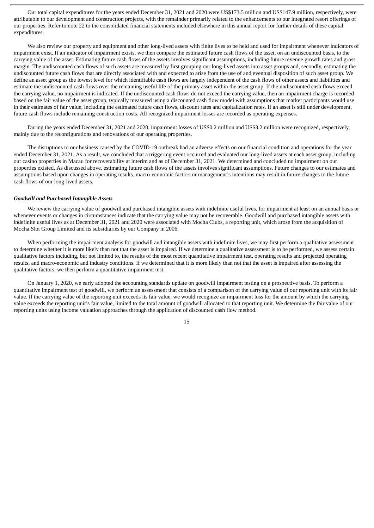Our total capital expenditures for the years ended December 31, 2021 and 2020 were US\$173.5 million and US\$147.9 million, respectively, were attributable to our development and construction projects, with the remainder primarily related to the enhancements to our integrated resort offerings of our properties. Refer to note 22 to the consolidated financial statements included elsewhere in this annual report for further details of these capital expenditures.

We also review our property and equipment and other long-lived assets with finite lives to be held and used for impairment whenever indicators of impairment exist. If an indicator of impairment exists, we then compare the estimated future cash flows of the asset, on an undiscounted basis, to the carrying value of the asset. Estimating future cash flows of the assets involves significant assumptions, including future revenue growth rates and gross margin. The undiscounted cash flows of such assets are measured by first grouping our long-lived assets into asset groups and, secondly, estimating the undiscounted future cash flows that are directly associated with and expected to arise from the use of and eventual disposition of such asset group. We define an asset group as the lowest level for which identifiable cash flows are largely independent of the cash flows of other assets and liabilities and estimate the undiscounted cash flows over the remaining useful life of the primary asset within the asset group. If the undiscounted cash flows exceed the carrying value, no impairment is indicated. If the undiscounted cash flows do not exceed the carrying value, then an impairment charge is recorded based on the fair value of the asset group, typically measured using a discounted cash flow model with assumptions that market participants would use in their estimates of fair value, including the estimated future cash flows, discount rates and capitalization rates. If an asset is still under development, future cash flows include remaining construction costs. All recognized impairment losses are recorded as operating expenses.

During the years ended December 31, 2021 and 2020, impairment losses of US\$0.2 million and US\$3.2 million were recognized, respectively, mainly due to the reconfigurations and renovations of our operating properties.

The disruptions to our business caused by the COVID-19 outbreak had an adverse effects on our financial condition and operations for the year ended December 31, 2021. As a result, we concluded that a triggering event occurred and evaluated our long-lived assets at each asset group, including our casino properties in Macau for recoverability at interim and as of December 31, 2021. We determined and concluded no impairment on our properties existed. As discussed above, estimating future cash flows of the assets involves significant assumptions. Future changes to our estimates and assumptions based upon changes in operating results, macro-economic factors or management's intentions may result in future changes to the future cash flows of our long-lived assets.

#### *Goodwill and Purchased Intangible Assets*

We review the carrying value of goodwill and purchased intangible assets with indefinite useful lives, for impairment at least on an annual basis or whenever events or changes in circumstances indicate that the carrying value may not be recoverable. Goodwill and purchased intangible assets with indefinite useful lives as at December 31, 2021 and 2020 were associated with Mocha Clubs, a reporting unit, which arose from the acquisition of Mocha Slot Group Limited and its subsidiaries by our Company in 2006.

When performing the impairment analysis for goodwill and intangible assets with indefinite lives, we may first perform a qualitative assessment to determine whether it is more likely than not that the asset is impaired. If we determine a qualitative assessment is to be performed, we assess certain qualitative factors including, but not limited to, the results of the most recent quantitative impairment test, operating results and projected operating results, and macro-economic and industry conditions. If we determined that it is more likely than not that the asset is impaired after assessing the qualitative factors, we then perform a quantitative impairment test.

On January 1, 2020, we early adopted the accounting standards update on goodwill impairment testing on a prospective basis. To perform a quantitative impairment test of goodwill, we perform an assessment that consists of a comparison of the carrying value of our reporting unit with its fair value. If the carrying value of the reporting unit exceeds its fair value, we would recognize an impairment loss for the amount by which the carrying value exceeds the reporting unit's fair value, limited to the total amount of goodwill allocated to that reporting unit. We determine the fair value of our reporting units using income valuation approaches through the application of discounted cash flow method.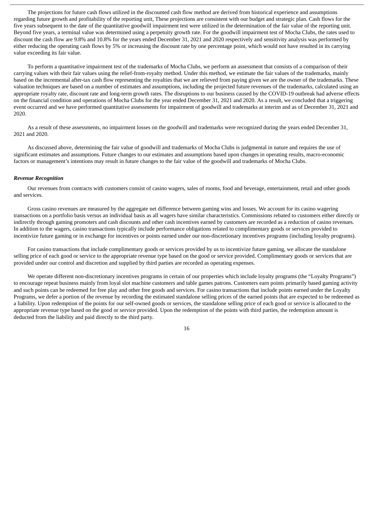The projections for future cash flows utilized in the discounted cash flow method are derived from historical experience and assumptions regarding future growth and profitability of the reporting unit, These projections are consistent with our budget and strategic plan. Cash flows for the five years subsequent to the date of the quantitative goodwill impairment test were utilized in the determination of the fair value of the reporting unit. Beyond five years, a terminal value was determined using a perpetuity growth rate. For the goodwill impairment test of Mocha Clubs, the rates used to discount the cash flow are 9.8% and 10.8% for the years ended December 31, 2021 and 2020 respectively and sensitivity analysis was performed by either reducing the operating cash flows by 5% or increasing the discount rate by one percentage point, which would not have resulted in its carrying value exceeding its fair value.

To perform a quantitative impairment test of the trademarks of Mocha Clubs, we perform an assessment that consists of a comparison of their carrying values with their fair values using the relief-from-royalty method. Under this method, we estimate the fair values of the trademarks, mainly based on the incremental after-tax cash flow representing the royalties that we are relieved from paying given we are the owner of the trademarks. These valuation techniques are based on a number of estimates and assumptions, including the projected future revenues of the trademarks, calculated using an appropriate royalty rate, discount rate and long-term growth rates. The disruptions to our business caused by the COVID-19 outbreak had adverse effects on the financial condition and operations of Mocha Clubs for the year ended December 31, 2021 and 2020. As a result, we concluded that a triggering event occurred and we have performed quantitative assessments for impairment of goodwill and trademarks at interim and as of December 31, 2021 and 2020.

As a result of these assessments, no impairment losses on the goodwill and trademarks were recognized during the years ended December 31, 2021 and 2020.

As discussed above, determining the fair value of goodwill and trademarks of Mocha Clubs is judgmental in nature and requires the use of significant estimates and assumptions. Future changes to our estimates and assumptions based upon changes in operating results, macro-economic factors or management's intentions may result in future changes to the fair value of the goodwill and trademarks of Mocha Clubs.

#### *Revenue Recognition*

Our revenues from contracts with customers consist of casino wagers, sales of rooms, food and beverage, entertainment, retail and other goods and services.

Gross casino revenues are measured by the aggregate net difference between gaming wins and losses. We account for its casino wagering transactions on a portfolio basis versus an individual basis as all wagers have similar characteristics. Commissions rebated to customers either directly or indirectly through gaming promoters and cash discounts and other cash incentives earned by customers are recorded as a reduction of casino revenues. In addition to the wagers, casino transactions typically include performance obligations related to complimentary goods or services provided to incentivize future gaming or in exchange for incentives or points earned under our non-discretionary incentives programs (including loyalty programs).

For casino transactions that include complimentary goods or services provided by us to incentivize future gaming, we allocate the standalone selling price of each good or service to the appropriate revenue type based on the good or service provided. Complimentary goods or services that are provided under our control and discretion and supplied by third parties are recorded as operating expenses.

We operate different non-discretionary incentives programs in certain of our properties which include loyalty programs (the "Loyalty Programs") to encourage repeat business mainly from loyal slot machine customers and table games patrons. Customers earn points primarily based gaming activity and such points can be redeemed for free play and other free goods and services. For casino transactions that include points earned under the Loyalty Programs, we defer a portion of the revenue by recording the estimated standalone selling prices of the earned points that are expected to be redeemed as a liability. Upon redemption of the points for our self-owned goods or services, the standalone selling price of each good or service is allocated to the appropriate revenue type based on the good or service provided. Upon the redemption of the points with third parties, the redemption amount is deducted from the liability and paid directly to the third party.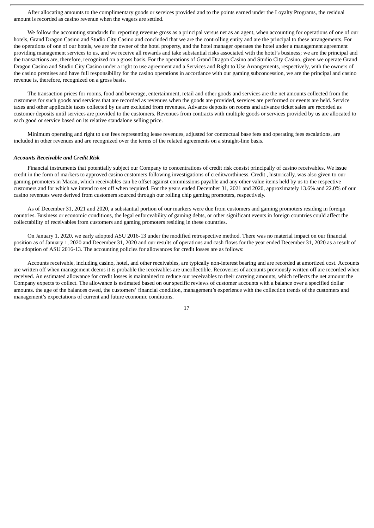After allocating amounts to the complimentary goods or services provided and to the points earned under the Loyalty Programs, the residual amount is recorded as casino revenue when the wagers are settled.

We follow the accounting standards for reporting revenue gross as a principal versus net as an agent, when accounting for operations of one of our hotels, Grand Dragon Casino and Studio City Casino and concluded that we are the controlling entity and are the principal to these arrangements. For the operations of one of our hotels, we are the owner of the hotel property, and the hotel manager operates the hotel under a management agreement providing management services to us, and we receive all rewards and take substantial risks associated with the hotel's business; we are the principal and the transactions are, therefore, recognized on a gross basis. For the operations of Grand Dragon Casino and Studio City Casino, given we operate Grand Dragon Casino and Studio City Casino under a right to use agreement and a Services and Right to Use Arrangements, respectively, with the owners of the casino premises and have full responsibility for the casino operations in accordance with our gaming subconcession, we are the principal and casino revenue is, therefore, recognized on a gross basis.

The transaction prices for rooms, food and beverage, entertainment, retail and other goods and services are the net amounts collected from the customers for such goods and services that are recorded as revenues when the goods are provided, services are performed or events are held. Service taxes and other applicable taxes collected by us are excluded from revenues. Advance deposits on rooms and advance ticket sales are recorded as customer deposits until services are provided to the customers. Revenues from contracts with multiple goods or services provided by us are allocated to each good or service based on its relative standalone selling price.

Minimum operating and right to use fees representing lease revenues, adjusted for contractual base fees and operating fees escalations, are included in other revenues and are recognized over the terms of the related agreements on a straight-line basis.

#### *Accounts Receivable and Credit Risk*

Financial instruments that potentially subject our Company to concentrations of credit risk consist principally of casino receivables. We issue credit in the form of markers to approved casino customers following investigations of creditworthiness. Credit , historically, was also given to our gaming promoters in Macau, which receivables can be offset against commissions payable and any other value items held by us to the respective customers and for which we intend to set off when required. For the years ended December 31, 2021 and 2020, approximately 13.6% and 22.0% of our casino revenues were derived from customers sourced through our rolling chip gaming promoters, respectively.

As of December 31, 2021 and 2020, a substantial portion of our markers were due from customers and gaming promoters residing in foreign countries. Business or economic conditions, the legal enforceability of gaming debts, or other significant events in foreign countries could affect the collectability of receivables from customers and gaming promoters residing in these countries.

On January 1, 2020, we early adopted ASU 2016-13 under the modified retrospective method. There was no material impact on our financial position as of January 1, 2020 and December 31, 2020 and our results of operations and cash flows for the year ended December 31, 2020 as a result of the adoption of ASU 2016-13. The accounting policies for allowances for credit losses are as follows:

Accounts receivable, including casino, hotel, and other receivables, are typically non-interest bearing and are recorded at amortized cost. Accounts are written off when management deems it is probable the receivables are uncollectible. Recoveries of accounts previously written off are recorded when received. An estimated allowance for credit losses is maintained to reduce our receivables to their carrying amounts, which reflects the net amount the Company expects to collect. The allowance is estimated based on our specific reviews of customer accounts with a balance over a specified dollar amounts. the age of the balances owed, the customers' financial condition, management's experience with the collection trends of the customers and management's expectations of current and future economic conditions.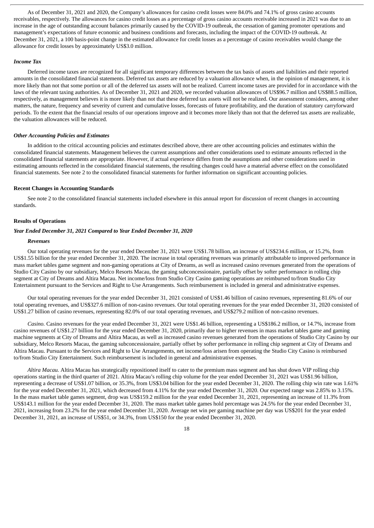As of December 31, 2021 and 2020, the Company's allowances for casino credit losses were 84.0% and 74.1% of gross casino accounts receivables, respectively. The allowances for casino credit losses as a percentage of gross casino accounts receivable increased in 2021 was due to an increase in the age of outstanding account balances primarily caused by the COVID-19 outbreak, the cessation of gaming promoter operations and management's expectations of future economic and business conditions and forecasts, including the impact of the COVID-19 outbreak. At December 31, 2021, a 100 basis-point change in the estimated allowance for credit losses as a percentage of casino receivables would change the allowance for credit losses by approximately US\$3.0 million.

# *Income Tax*

Deferred income taxes are recognized for all significant temporary differences between the tax basis of assets and liabilities and their reported amounts in the consolidated financial statements. Deferred tax assets are reduced by a valuation allowance when, in the opinion of management, it is more likely than not that some portion or all of the deferred tax assets will not be realized. Current income taxes are provided for in accordance with the laws of the relevant taxing authorities. As of December 31, 2021 and 2020, we recorded valuation allowances of US\$96.7 million and US\$88.5 million, respectively, as management believes it is more likely than not that these deferred tax assets will not be realized. Our assessment considers, among other matters, the nature, frequency and severity of current and cumulative losses, forecasts of future profitability, and the duration of statutory carryforward periods. To the extent that the financial results of our operations improve and it becomes more likely than not that the deferred tax assets are realizable, the valuation allowances will be reduced.

#### *Other Accounting Policies and Estimates*

In addition to the critical accounting policies and estimates described above, there are other accounting policies and estimates within the consolidated financial statements. Management believes the current assumptions and other considerations used to estimate amounts reflected in the consolidated financial statements are appropriate. However, if actual experience differs from the assumptions and other considerations used in estimating amounts reflected in the consolidated financial statements, the resulting changes could have a material adverse effect on the consolidated financial statements. See note 2 to the consolidated financial statements for further information on significant accounting policies.

#### **Recent Changes in Accounting Standards**

See note 2 to the consolidated financial statements included elsewhere in this annual report for discussion of recent changes in accounting standards.

#### **Results of Operations**

## *Year Ended December 31, 2021 Compared to Year Ended December 31, 2020*

#### *Revenues*

Our total operating revenues for the year ended December 31, 2021 were US\$1.78 billion, an increase of US\$234.6 million, or 15.2%, from US\$1.55 billion for the year ended December 31, 2020. The increase in total operating revenues was primarily attributable to improved performance in mass market tables game segment and non-gaming operations at City of Dreams, as well as increased casino revenues generated from the operations of Studio City Casino by our subsidiary, Melco Resorts Macau, the gaming subconcessionaire, partially offset by softer performance in rolling chip segment at City of Dreams and Altira Macau. Net income/loss from Studio City Casino gaming operations are reimbursed to/from Studio City Entertainment pursuant to the Services and Right to Use Arrangements. Such reimbursement is included in general and administrative expenses.

Our total operating revenues for the year ended December 31, 2021 consisted of US\$1.46 billion of casino revenues, representing 81.6% of our total operating revenues, and US\$327.6 million of non-casino revenues. Our total operating revenues for the year ended December 31, 2020 consisted of US\$1.27 billion of casino revenues, representing 82.0% of our total operating revenues, and US\$279.2 million of non-casino revenues.

*Casino.* Casino revenues for the year ended December 31, 2021 were US\$1.46 billion, representing a US\$186.2 million, or 14.7%, increase from casino revenues of US\$1.27 billion for the year ended December 31, 2020, primarily due to higher revenues in mass market tables game and gaming machine segments at City of Dreams and Altira Macau, as well as increased casino revenues generated from the operations of Studio City Casino by our subsidiary, Melco Resorts Macau, the gaming subconcessionaire, partially offset by softer performance in rolling chip segment at City of Dreams and Altira Macau. Pursuant to the Services and Right to Use Arrangements, net income/loss arisen from operating the Studio City Casino is reimbursed to/from Studio City Entertainment. Such reimbursement is included in general and administrative expenses.

*Altira Macau.* Altira Macau has strategically repositioned itself to cater to the premium mass segment and has shut down VIP rolling chip operations starting in the third quarter of 2021. Altira Macau's rolling chip volume for the year ended December 31, 2021 was US\$1.96 billion, representing a decrease of US\$1.07 billion, or 35.3%, from US\$3.04 billion for the year ended December 31, 2020. The rolling chip win rate was 1.61% for the year ended December 31, 2021, which decreased from 4.11% for the year ended December 31, 2020. Our expected range was 2.85% to 3.15%. In the mass market table games segment, drop was US\$159.2 million for the year ended December 31, 2021, representing an increase of 11.3% from US\$143.1 million for the year ended December 31, 2020. The mass market table games hold percentage was 24.5% for the year ended December 31, 2021, increasing from 23.2% for the year ended December 31, 2020. Average net win per gaming machine per day was US\$201 for the year ended December 31, 2021, an increase of US\$51, or 34.3%, from US\$150 for the year ended December 31, 2020.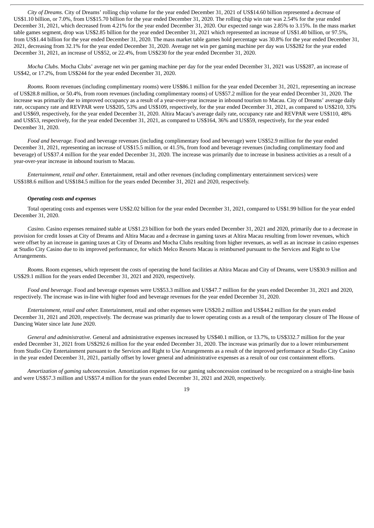*City of Dreams.* City of Dreams' rolling chip volume for the year ended December 31, 2021 of US\$14.60 billion represented a decrease of US\$1.10 billion, or 7.0%, from US\$15.70 billion for the year ended December 31, 2020. The rolling chip win rate was 2.54% for the year ended December 31, 2021, which decreased from 4.21% for the year ended December 31, 2020. Our expected range was 2.85% to 3.15%. In the mass market table games segment, drop was US\$2.85 billion for the year ended December 31, 2021 which represented an increase of US\$1.40 billion, or 97.5%, from US\$1.44 billion for the year ended December 31, 2020. The mass market table games hold percentage was 30.8% for the year ended December 31, 2021, decreasing from 32.1% for the year ended December 31, 2020. Average net win per gaming machine per day was US\$282 for the year ended December 31, 2021, an increase of US\$52, or 22.4%, from US\$230 for the year ended December 31, 2020.

*Mocha Clubs.* Mocha Clubs' average net win per gaming machine per day for the year ended December 31, 2021 was US\$287, an increase of US\$42, or 17.2%, from US\$244 for the year ended December 31, 2020.

*Rooms.* Room revenues (including complimentary rooms) were US\$86.1 million for the year ended December 31, 2021, representing an increase of US\$28.8 million, or 50.4%, from room revenues (including complimentary rooms) of US\$57.2 million for the year ended December 31, 2020. The increase was primarily due to improved occupancy as a result of a year-over-year increase in inbound tourism to Macau. City of Dreams' average daily rate, occupancy rate and REVPAR were US\$205, 53% and US\$109, respectively, for the year ended December 31, 2021, as compared to US\$210, 33% and US\$69, respectively, for the year ended December 31, 2020. Altira Macau's average daily rate, occupancy rate and REVPAR were US\$110, 48% and US\$53, respectively, for the year ended December 31, 2021, as compared to US\$164, 36% and US\$59, respectively, for the year ended December 31, 2020.

*Food and beverage.* Food and beverage revenues (including complimentary food and beverage) were US\$52.9 million for the year ended December 31, 2021, representing an increase of US\$15.5 million, or 41.5%, from food and beverage revenues (including complimentary food and beverage) of US\$37.4 million for the year ended December 31, 2020. The increase was primarily due to increase in business activities as a result of a year-over-year increase in inbound tourism to Macau.

*Entertainment, retail and other*. Entertainment, retail and other revenues (including complimentary entertainment services) were US\$188.6 million and US\$184.5 million for the years ended December 31, 2021 and 2020, respectively.

#### *Operating costs and expenses*

Total operating costs and expenses were US\$2.02 billion for the year ended December 31, 2021, compared to US\$1.99 billion for the year ended December 31, 2020.

*Casino.* Casino expenses remained stable at US\$1.23 billion for both the years ended December 31, 2021 and 2020, primarily due to a decrease in provision for credit losses at City of Dreams and Altira Macau and a decrease in gaming taxes at Altira Macau resulting from lower revenues, which were offset by an increase in gaming taxes at City of Dreams and Mocha Clubs resulting from higher revenues, as well as an increase in casino expenses at Studio City Casino due to its improved performance, for which Melco Resorts Macau is reimbursed pursuant to the Services and Right to Use Arrangements.

*Rooms.* Room expenses, which represent the costs of operating the hotel facilities at Altira Macau and City of Dreams, were US\$30.9 million and US\$29.1 million for the years ended December 31, 2021 and 2020, respectively.

*Food and beverage.* Food and beverage expenses were US\$53.3 million and US\$47.7 million for the years ended December 31, 2021 and 2020, respectively. The increase was in-line with higher food and beverage revenues for the year ended December 31, 2020.

*Entertainment, retail and other.* Entertainment, retail and other expenses were US\$20.2 million and US\$44.2 million for the years ended December 31, 2021 and 2020, respectively. The decrease was primarily due to lower operating costs as a result of the temporary closure of The House of Dancing Water since late June 2020.

*General and administrative.* General and administrative expenses increased by US\$40.1 million, or 13.7%, to US\$332.7 million for the year ended December 31, 2021 from US\$292.6 million for the year ended December 31, 2020. The increase was primarily due to a lower reimbursement from Studio City Entertainment pursuant to the Services and Right to Use Arrangements as a result of the improved performance at Studio City Casino in the year ended December 31, 2021, partially offset by lower general and administrative expenses as a result of our cost containment efforts.

*Amortization of gaming subconcession.* Amortization expenses for our gaming subconcession continued to be recognized on a straight-line basis and were US\$57.3 million and US\$57.4 million for the years ended December 31, 2021 and 2020, respectively.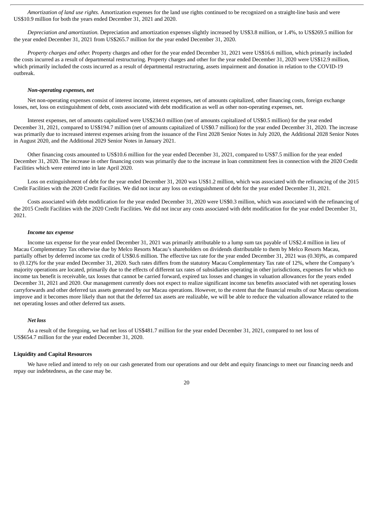*Amortization of land use rights.* Amortization expenses for the land use rights continued to be recognized on a straight-line basis and were US\$10.9 million for both the years ended December 31, 2021 and 2020.

*Depreciation and amortization.* Depreciation and amortization expenses slightly increased by US\$3.8 million, or 1.4%, to US\$269.5 million for the year ended December 31, 2021 from US\$265.7 million for the year ended December 31, 2020.

*Property charges and other.* Property charges and other for the year ended December 31, 2021 were US\$16.6 million, which primarily included the costs incurred as a result of departmental restructuring. Property charges and other for the year ended December 31, 2020 were US\$12.9 million, which primarily included the costs incurred as a result of departmental restructuring, assets impairment and donation in relation to the COVID-19 outbreak.

#### *Non-operating expenses, net*

Net non-operating expenses consist of interest income, interest expenses, net of amounts capitalized, other financing costs, foreign exchange losses, net, loss on extinguishment of debt, costs associated with debt modification as well as other non-operating expenses, net.

Interest expenses, net of amounts capitalized were US\$234.0 million (net of amounts capitalized of US\$0.5 million) for the year ended December 31, 2021, compared to US\$194.7 million (net of amounts capitalized of US\$0.7 million) for the year ended December 31, 2020. The increase was primarily due to increased interest expenses arising from the issuance of the First 2028 Senior Notes in July 2020, the Additional 2028 Senior Notes in August 2020, and the Additional 2029 Senior Notes in January 2021.

Other financing costs amounted to US\$10.6 million for the year ended December 31, 2021, compared to US\$7.5 million for the year ended December 31, 2020. The increase in other financing costs was primarily due to the increase in loan commitment fees in connection with the 2020 Credit Facilities which were entered into in late April 2020.

Loss on extinguishment of debt for the year ended December 31, 2020 was US\$1.2 million, which was associated with the refinancing of the 2015 Credit Facilities with the 2020 Credit Facilities. We did not incur any loss on extinguishment of debt for the year ended December 31, 2021.

Costs associated with debt modification for the year ended December 31, 2020 were US\$0.3 million, which was associated with the refinancing of the 2015 Credit Facilities with the 2020 Credit Facilities. We did not incur any costs associated with debt modification for the year ended December 31, 2021.

#### *Income tax expense*

Income tax expense for the year ended December 31, 2021 was primarily attributable to a lump sum tax payable of US\$2.4 million in lieu of Macau Complementary Tax otherwise due by Melco Resorts Macau's shareholders on dividends distributable to them by Melco Resorts Macau, partially offset by deferred income tax credit of US\$0.6 million. The effective tax rate for the year ended December 31, 2021 was (0.30)%, as compared to (0.12)% for the year ended December 31, 2020. Such rates differs from the statutory Macau Complementary Tax rate of 12%, where the Company's majority operations are located, primarily due to the effects of different tax rates of subsidiaries operating in other jurisdictions, expenses for which no income tax benefit is receivable, tax losses that cannot be carried forward, expired tax losses and changes in valuation allowances for the years ended December 31, 2021 and 2020. Our management currently does not expect to realize significant income tax benefits associated with net operating losses carryforwards and other deferred tax assets generated by our Macau operations. However, to the extent that the financial results of our Macau operations improve and it becomes more likely than not that the deferred tax assets are realizable, we will be able to reduce the valuation allowance related to the net operating losses and other deferred tax assets.

#### *Net loss*

As a result of the foregoing, we had net loss of US\$481.7 million for the year ended December 31, 2021, compared to net loss of US\$654.7 million for the year ended December 31, 2020.

## **Liquidity and Capital Resources**

We have relied and intend to rely on our cash generated from our operations and our debt and equity financings to meet our financing needs and repay our indebtedness, as the case may be.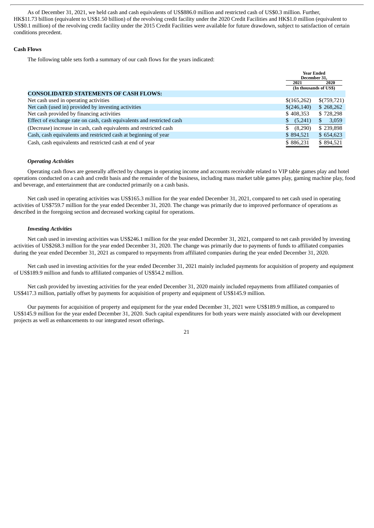As of December 31, 2021, we held cash and cash equivalents of US\$886.0 million and restricted cash of US\$0.3 million. Further, HK\$11.73 billion (equivalent to US\$1.50 billion) of the revolving credit facility under the 2020 Credit Facilities and HK\$1.0 million (equivalent to US\$0.1 million) of the revolving credit facility under the 2015 Credit Facilities were available for future drawdown, subject to satisfaction of certain conditions precedent.

#### **Cash Flows**

The following table sets forth a summary of our cash flows for the years indicated:

|                                                                       | <b>Year Ended</b><br>December 31. |             |
|-----------------------------------------------------------------------|-----------------------------------|-------------|
|                                                                       | 2021                              | 2020        |
|                                                                       | (In thousands of US\$)            |             |
| <b>CONSOLIDATED STATEMENTS OF CASH FLOWS:</b>                         |                                   |             |
| Net cash used in operating activities                                 | \$(165,262)                       | \$(759,721) |
| Net cash (used in) provided by investing activities                   | \$(246,140)                       | \$268,262   |
| Net cash provided by financing activities                             | \$408,353                         | \$728,298   |
| Effect of exchange rate on cash, cash equivalents and restricted cash | (5,241)<br>$\mathbb{S}$           | 3,059<br>S  |
| (Decrease) increase in cash, cash equivalents and restricted cash     | (8,290)                           | \$239,898   |
| Cash, cash equivalents and restricted cash at beginning of year       | \$894,521                         | \$654,623   |
| Cash, cash equivalents and restricted cash at end of year             | \$886,231                         | \$894,521   |

#### *Operating Activities*

Operating cash flows are generally affected by changes in operating income and accounts receivable related to VIP table games play and hotel operations conducted on a cash and credit basis and the remainder of the business, including mass market table games play, gaming machine play, food and beverage, and entertainment that are conducted primarily on a cash basis.

Net cash used in operating activities was US\$165.3 million for the year ended December 31, 2021, compared to net cash used in operating activities of US\$759.7 million for the year ended December 31, 2020. The change was primarily due to improved performance of operations as described in the foregoing section and decreased working capital for operations.

## *Investing Activities*

Net cash used in investing activities was US\$246.1 million for the year ended December 31, 2021, compared to net cash provided by investing activities of US\$268.3 million for the year ended December 31, 2020. The change was primarily due to payments of funds to affiliated companies during the year ended December 31, 2021 as compared to repayments from affiliated companies during the year ended December 31, 2020.

Net cash used in investing activities for the year ended December 31, 2021 mainly included payments for acquisition of property and equipment of US\$189.9 million and funds to affiliated companies of US\$54.2 million.

Net cash provided by investing activities for the year ended December 31, 2020 mainly included repayments from affiliated companies of US\$417.3 million, partially offset by payments for acquisition of property and equipment of US\$145.9 million.

Our payments for acquisition of property and equipment for the year ended December 31, 2021 were US\$189.9 million, as compared to US\$145.9 million for the year ended December 31, 2020. Such capital expenditures for both years were mainly associated with our development projects as well as enhancements to our integrated resort offerings.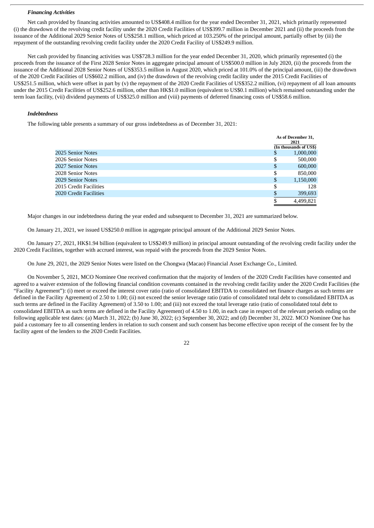#### *Financing Activities*

Net cash provided by financing activities amounted to US\$408.4 million for the year ended December 31, 2021, which primarily represented (i) the drawdown of the revolving credit facility under the 2020 Credit Facilities of US\$399.7 million in December 2021 and (ii) the proceeds from the issuance of the Additional 2029 Senior Notes of US\$258.1 million, which priced at 103.250% of the principal amount, partially offset by (iii) the repayment of the outstanding revolving credit facility under the 2020 Credit Facility of US\$249.9 million.

Net cash provided by financing activities was US\$728.3 million for the year ended December 31, 2020, which primarily represented (i) the proceeds from the issuance of the First 2028 Senior Notes in aggregate principal amount of US\$500.0 million in July 2020, (ii) the proceeds from the issuance of the Additional 2028 Senior Notes of US\$353.5 million in August 2020, which priced at 101.0% of the principal amount, (iii) the drawdown of the 2020 Credit Facilities of US\$602.2 million, and (iv) the drawdown of the revolving credit facility under the 2015 Credit Facilities of US\$251.5 million, which were offset in part by (v) the repayment of the 2020 Credit Facilities of US\$352.2 million, (vi) repayment of all loan amounts under the 2015 Credit Facilities of US\$252.6 million, other than HK\$1.0 million (equivalent to US\$0.1 million) which remained outstanding under the term loan facility, (vii) dividend payments of US\$325.0 million and (viii) payments of deferred financing costs of US\$58.6 million.

#### *Indebtedness*

The following table presents a summary of our gross indebtedness as of December 31, 2021:

|                        |    | As of December 31,<br>2021 |  |
|------------------------|----|----------------------------|--|
|                        |    | (In thousands of US\$)     |  |
| 2025 Senior Notes      | S  | 1,000,000                  |  |
| 2026 Senior Notes      | \$ | 500,000                    |  |
| 2027 Senior Notes      | \$ | 600,000                    |  |
| 2028 Senior Notes      | \$ | 850,000                    |  |
| 2029 Senior Notes      | \$ | 1,150,000                  |  |
| 2015 Credit Facilities | S  | 128                        |  |
| 2020 Credit Facilities | S  | 399,693                    |  |
|                        |    | 4,499,821                  |  |

Major changes in our indebtedness during the year ended and subsequent to December 31, 2021 are summarized below.

On January 21, 2021, we issued US\$250.0 million in aggregate principal amount of the Additional 2029 Senior Notes.

On January 27, 2021, HK\$1.94 billion (equivalent to US\$249.9 million) in principal amount outstanding of the revolving credit facility under the 2020 Credit Facilities, together with accrued interest, was repaid with the proceeds from the 2029 Senior Notes.

On June 29, 2021, the 2029 Senior Notes were listed on the Chongwa (Macao) Financial Asset Exchange Co., Limited.

On November 5, 2021, MCO Nominee One received confirmation that the majority of lenders of the 2020 Credit Facilities have consented and agreed to a waiver extension of the following financial condition covenants contained in the revolving credit facility under the 2020 Credit Facilities (the "Facility Agreement"): (i) meet or exceed the interest cover ratio (ratio of consolidated EBITDA to consolidated net finance charges as such terms are defined in the Facility Agreement) of 2.50 to 1.00; (ii) not exceed the senior leverage ratio (ratio of consolidated total debt to consolidated EBITDA as such terms are defined in the Facility Agreement) of 3.50 to 1.00; and (iii) not exceed the total leverage ratio (ratio of consolidated total debt to consolidated EBITDA as such terms are defined in the Facility Agreement) of 4.50 to 1.00, in each case in respect of the relevant periods ending on the following applicable test dates: (a) March 31, 2022; (b) June 30, 2022; (c) September 30, 2022; and (d) December 31, 2022. MCO Nominee One has paid a customary fee to all consenting lenders in relation to such consent and such consent has become effective upon receipt of the consent fee by the facility agent of the lenders to the 2020 Credit Facilities.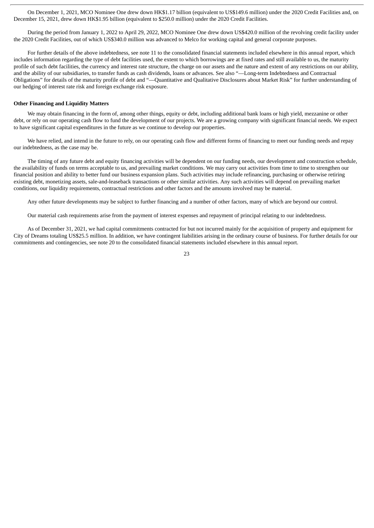On December 1, 2021, MCO Nominee One drew down HK\$1.17 billion (equivalent to US\$149.6 million) under the 2020 Credit Facilities and, on December 15, 2021, drew down HK\$1.95 billion (equivalent to \$250.0 million) under the 2020 Credit Facilities.

During the period from January 1, 2022 to April 29, 2022, MCO Nominee One drew down US\$420.0 million of the revolving credit facility under the 2020 Credit Facilities, out of which US\$340.0 million was advanced to Melco for working capital and general corporate purposes.

For further details of the above indebtedness, see note 11 to the consolidated financial statements included elsewhere in this annual report, which includes information regarding the type of debt facilities used, the extent to which borrowings are at fixed rates and still available to us, the maturity profile of such debt facilities, the currency and interest rate structure, the charge on our assets and the nature and extent of any restrictions on our ability, and the ability of our subsidiaries, to transfer funds as cash dividends, loans or advances. See also "—Long-term Indebtedness and Contractual Obligations" for details of the maturity profile of debt and "—Quantitative and Qualitative Disclosures about Market Risk" for further understanding of our hedging of interest rate risk and foreign exchange risk exposure.

#### **Other Financing and Liquidity Matters**

We may obtain financing in the form of, among other things, equity or debt, including additional bank loans or high yield, mezzanine or other debt, or rely on our operating cash flow to fund the development of our projects. We are a growing company with significant financial needs. We expect to have significant capital expenditures in the future as we continue to develop our properties.

We have relied, and intend in the future to rely, on our operating cash flow and different forms of financing to meet our funding needs and repay our indebtedness, as the case may be.

The timing of any future debt and equity financing activities will be dependent on our funding needs, our development and construction schedule, the availability of funds on terms acceptable to us, and prevailing market conditions. We may carry out activities from time to time to strengthen our financial position and ability to better fund our business expansion plans. Such activities may include refinancing, purchasing or otherwise retiring existing debt, monetizing assets, sale-and-leaseback transactions or other similar activities. Any such activities will depend on prevailing market conditions, our liquidity requirements, contractual restrictions and other factors and the amounts involved may be material.

Any other future developments may be subject to further financing and a number of other factors, many of which are beyond our control.

Our material cash requirements arise from the payment of interest expenses and repayment of principal relating to our indebtedness.

As of December 31, 2021, we had capital commitments contracted for but not incurred mainly for the acquisition of property and equipment for City of Dreams totaling US\$25.5 million. In addition, we have contingent liabilities arising in the ordinary course of business. For further details for our commitments and contingencies, see note 20 to the consolidated financial statements included elsewhere in this annual report.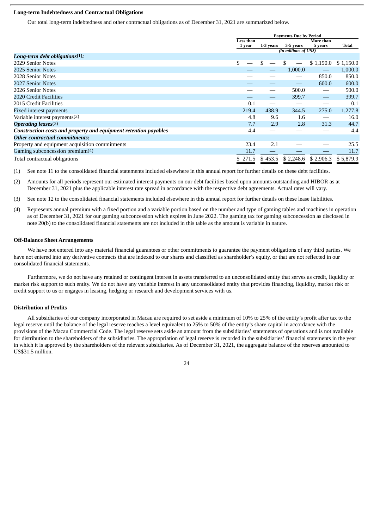# **Long-term Indebtedness and Contractual Obligations**

Our total long-term indebtedness and other contractual obligations as of December 31, 2021 are summarized below.

|                                                                  | <b>Payments Due by Period</b> |           |                       |                   |           |
|------------------------------------------------------------------|-------------------------------|-----------|-----------------------|-------------------|-----------|
|                                                                  | Less than                     |           | More than             |                   |           |
|                                                                  | 1 year                        | 1-3 years | 3-5 years             | 5 years           | Total     |
|                                                                  |                               |           | (in millions of US\$) |                   |           |
| Long-term debt obligations $(1)$ :                               |                               |           |                       |                   |           |
| 2029 Senior Notes                                                | \$                            |           |                       | \$1,150.0         | \$1,150.0 |
| 2025 Senior Notes                                                |                               |           | 1,000.0               |                   | 1,000.0   |
| 2028 Senior Notes                                                |                               |           |                       | 850.0             | 850.0     |
| 2027 Senior Notes                                                |                               |           |                       | 600.0             | 600.0     |
| 2026 Senior Notes                                                |                               |           | 500.0                 | $\hspace{0.05cm}$ | 500.0     |
| 2020 Credit Facilities                                           |                               |           | 399.7                 |                   | 399.7     |
| 2015 Credit Facilities                                           | 0.1                           |           |                       |                   | 0.1       |
| Fixed interest payments                                          | 219.4                         | 438.9     | 344.5                 | 275.0             | 1,277.8   |
| Variable interest payments(2)                                    | 4.8                           | 9.6       | 1.6                   |                   | 16.0      |
| <b>Operating leases</b> (3)                                      | 7.7                           | 2.9       | 2.8                   | 31.3              | 44.7      |
| Construction costs and property and equipment retention payables | 4.4                           |           |                       |                   | 4.4       |
| <b>Other contractual commitments:</b>                            |                               |           |                       |                   |           |
| Property and equipment acquisition commitments                   | 23.4                          | 2.1       |                       |                   | 25.5      |
| Gaming subconcession premium $(4)$                               | 11.7                          |           |                       |                   | 11.7      |
| Total contractual obligations                                    | \$271.5                       | \$453.5   | \$2,248.6             | \$2,906.3         | \$5,879.9 |

(1) See note 11 to the consolidated financial statements included elsewhere in this annual report for further details on these debt facilities.

(2) Amounts for all periods represent our estimated interest payments on our debt facilities based upon amounts outstanding and HIBOR as at December 31, 2021 plus the applicable interest rate spread in accordance with the respective debt agreements. Actual rates will vary.

(3) See note 12 to the consolidated financial statements included elsewhere in this annual report for further details on these lease liabilities.

(4) Represents annual premium with a fixed portion and a variable portion based on the number and type of gaming tables and machines in operation as of December 31, 2021 for our gaming subconcession which expires in June 2022. The gaming tax for gaming subconcession as disclosed in note 20(b) to the consolidated financial statements are not included in this table as the amount is variable in nature.

#### **Off-Balance Sheet Arrangements**

We have not entered into any material financial guarantees or other commitments to guarantee the payment obligations of any third parties. We have not entered into any derivative contracts that are indexed to our shares and classified as shareholder's equity, or that are not reflected in our consolidated financial statements.

Furthermore, we do not have any retained or contingent interest in assets transferred to an unconsolidated entity that serves as credit, liquidity or market risk support to such entity. We do not have any variable interest in any unconsolidated entity that provides financing, liquidity, market risk or credit support to us or engages in leasing, hedging or research and development services with us.

#### **Distribution of Profits**

All subsidiaries of our company incorporated in Macau are required to set aside a minimum of 10% to 25% of the entity's profit after tax to the legal reserve until the balance of the legal reserve reaches a level equivalent to 25% to 50% of the entity's share capital in accordance with the provisions of the Macau Commercial Code. The legal reserve sets aside an amount from the subsidiaries' statements of operations and is not available for distribution to the shareholders of the subsidiaries. The appropriation of legal reserve is recorded in the subsidiaries' financial statements in the year in which it is approved by the shareholders of the relevant subsidiaries. As of December 31, 2021, the aggregate balance of the reserves amounted to US\$31.5 million.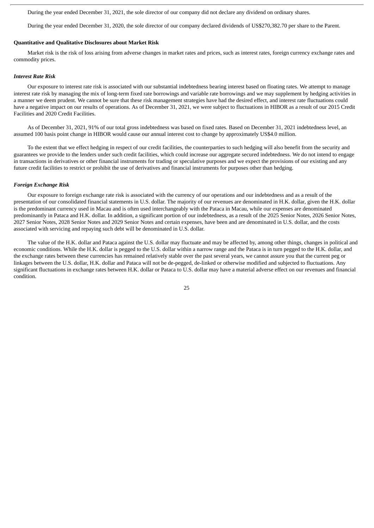During the year ended December 31, 2021, the sole director of our company did not declare any dividend on ordinary shares.

During the year ended December 31, 2020, the sole director of our company declared dividends of US\$270,382.70 per share to the Parent.

#### **Quantitative and Qualitative Disclosures about Market Risk**

Market risk is the risk of loss arising from adverse changes in market rates and prices, such as interest rates, foreign currency exchange rates and commodity prices.

#### *Interest Rate Risk*

Our exposure to interest rate risk is associated with our substantial indebtedness bearing interest based on floating rates. We attempt to manage interest rate risk by managing the mix of long-term fixed rate borrowings and variable rate borrowings and we may supplement by hedging activities in a manner we deem prudent. We cannot be sure that these risk management strategies have had the desired effect, and interest rate fluctuations could have a negative impact on our results of operations. As of December 31, 2021, we were subject to fluctuations in HIBOR as a result of our 2015 Credit Facilities and 2020 Credit Facilities.

As of December 31, 2021, 91% of our total gross indebtedness was based on fixed rates. Based on December 31, 2021 indebtedness level, an assumed 100 basis point change in HIBOR would cause our annual interest cost to change by approximately US\$4.0 million.

To the extent that we effect hedging in respect of our credit facilities, the counterparties to such hedging will also benefit from the security and guarantees we provide to the lenders under such credit facilities, which could increase our aggregate secured indebtedness. We do not intend to engage in transactions in derivatives or other financial instruments for trading or speculative purposes and we expect the provisions of our existing and any future credit facilities to restrict or prohibit the use of derivatives and financial instruments for purposes other than hedging.

#### *Foreign Exchange Risk*

Our exposure to foreign exchange rate risk is associated with the currency of our operations and our indebtedness and as a result of the presentation of our consolidated financial statements in U.S. dollar. The majority of our revenues are denominated in H.K. dollar, given the H.K. dollar is the predominant currency used in Macau and is often used interchangeably with the Pataca in Macau, while our expenses are denominated predominantly in Pataca and H.K. dollar. In addition, a significant portion of our indebtedness, as a result of the 2025 Senior Notes, 2026 Senior Notes, 2027 Senior Notes, 2028 Senior Notes and 2029 Senior Notes and certain expenses, have been and are denominated in U.S. dollar, and the costs associated with servicing and repaying such debt will be denominated in U.S. dollar.

The value of the H.K. dollar and Pataca against the U.S. dollar may fluctuate and may be affected by, among other things, changes in political and economic conditions. While the H.K. dollar is pegged to the U.S. dollar within a narrow range and the Pataca is in turn pegged to the H.K. dollar, and the exchange rates between these currencies has remained relatively stable over the past several years, we cannot assure you that the current peg or linkages between the U.S. dollar, H.K. dollar and Pataca will not be de-pegged, de-linked or otherwise modified and subjected to fluctuations. Any significant fluctuations in exchange rates between H.K. dollar or Pataca to U.S. dollar may have a material adverse effect on our revenues and financial condition.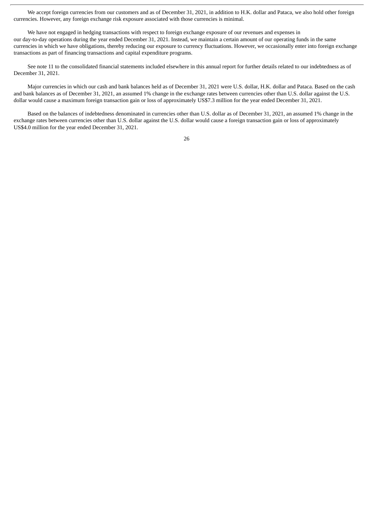We accept foreign currencies from our customers and as of December 31, 2021, in addition to H.K. dollar and Pataca, we also hold other foreign currencies. However, any foreign exchange risk exposure associated with those currencies is minimal.

We have not engaged in hedging transactions with respect to foreign exchange exposure of our revenues and expenses in our day-to-day operations during the year ended December 31, 2021. Instead, we maintain a certain amount of our operating funds in the same currencies in which we have obligations, thereby reducing our exposure to currency fluctuations. However, we occasionally enter into foreign exchange transactions as part of financing transactions and capital expenditure programs.

See note 11 to the consolidated financial statements included elsewhere in this annual report for further details related to our indebtedness as of December 31, 2021.

Major currencies in which our cash and bank balances held as of December 31, 2021 were U.S. dollar, H.K. dollar and Pataca. Based on the cash and bank balances as of December 31, 2021, an assumed 1% change in the exchange rates between currencies other than U.S. dollar against the U.S. dollar would cause a maximum foreign transaction gain or loss of approximately US\$7.3 million for the year ended December 31, 2021.

Based on the balances of indebtedness denominated in currencies other than U.S. dollar as of December 31, 2021, an assumed 1% change in the exchange rates between currencies other than U.S. dollar against the U.S. dollar would cause a foreign transaction gain or loss of approximately US\$4.0 million for the year ended December 31, 2021.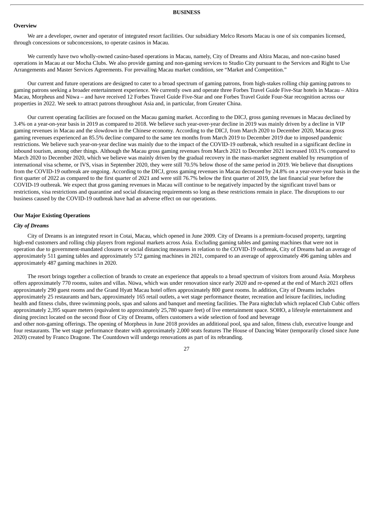#### <span id="page-32-0"></span>**Overview**

We are a developer, owner and operator of integrated resort facilities. Our subsidiary Melco Resorts Macau is one of six companies licensed, through concessions or subconcessions, to operate casinos in Macau.

We currently have two wholly-owned casino-based operations in Macau, namely, City of Dreams and Altira Macau, and non-casino based operations in Macau at our Mocha Clubs. We also provide gaming and non-gaming services to Studio City pursuant to the Services and Right to Use Arrangements and Master Services Agreements. For prevailing Macau market condition, see "Market and Competition."

Our current and future operations are designed to cater to a broad spectrum of gaming patrons, from high-stakes rolling chip gaming patrons to gaming patrons seeking a broader entertainment experience. We currently own and operate three Forbes Travel Guide Five-Star hotels in Macau – Altira Macau, Morpheus and Nüwa – and have received 12 Forbes Travel Guide Five-Star and one Forbes Travel Guide Four-Star recognition across our properties in 2022. We seek to attract patrons throughout Asia and, in particular, from Greater China.

Our current operating facilities are focused on the Macau gaming market. According to the DICJ, gross gaming revenues in Macau declined by 3.4% on a year-on-year basis in 2019 as compared to 2018. We believe such year-over-year decline in 2019 was mainly driven by a decline in VIP gaming revenues in Macau and the slowdown in the Chinese economy. According to the DICJ, from March 2020 to December 2020, Macau gross gaming revenues experienced an 85.5% decline compared to the same ten months from March 2019 to December 2019 due to imposed pandemic restrictions. We believe such year-on-year decline was mainly due to the impact of the COVID-19 outbreak, which resulted in a significant decline in inbound tourism, among other things. Although the Macau gross gaming revenues from March 2021 to December 2021 increased 103.1% compared to March 2020 to December 2020, which we believe was mainly driven by the gradual recovery in the mass-market segment enabled by resumption of international visa scheme, or IVS, visas in September 2020, they were still 70.5% below those of the same period in 2019. We believe that disruptions from the COVID-19 outbreak are ongoing. According to the DICJ, gross gaming revenues in Macau decreased by 24.8% on a year-over-year basis in the first quarter of 2022 as compared to the first quarter of 2021 and were still 76.7% below the first quarter of 2019, the last financial year before the COVID-19 outbreak. We expect that gross gaming revenues in Macau will continue to be negatively impacted by the significant travel bans or restrictions, visa restrictions and quarantine and social distancing requirements so long as these restrictions remain in place. The disruptions to our business caused by the COVID-19 outbreak have had an adverse effect on our operations.

#### **Our Major Existing Operations**

#### *City of Dreams*

City of Dreams is an integrated resort in Cotai, Macau, which opened in June 2009. City of Dreams is a premium-focused property, targeting high-end customers and rolling chip players from regional markets across Asia. Excluding gaming tables and gaming machines that were not in operation due to government-mandated closures or social distancing measures in relation to the COVID-19 outbreak, City of Dreams had an average of approximately 511 gaming tables and approximately 572 gaming machines in 2021, compared to an average of approximately 496 gaming tables and approximately 487 gaming machines in 2020.

The resort brings together a collection of brands to create an experience that appeals to a broad spectrum of visitors from around Asia. Morpheus offers approximately 770 rooms, suites and villas. Nüwa, which was under renovation since early 2020 and re-opened at the end of March 2021 offers approximately 290 guest rooms and the Grand Hyatt Macau hotel offers approximately 800 guest rooms. In addition, City of Dreams includes approximately 25 restaurants and bars, approximately 165 retail outlets, a wet stage performance theater, recreation and leisure facilities, including health and fitness clubs, three swimming pools, spas and salons and banquet and meeting facilities. The Para nightclub which replaced Club Cubic offers approximately 2,395 square meters (equivalent to approximately 25,780 square feet) of live entertainment space. SOHO, a lifestyle entertainment and dining precinct located on the second floor of City of Dreams, offers customers a wide selection of food and beverage and other non-gaming offerings. The opening of Morpheus in June 2018 provides an additional pool, spa and salon, fitness club, executive lounge and four restaurants. The wet stage performance theater with approximately 2,000 seats features The House of Dancing Water (temporarily closed since June

27

2020) created by Franco Dragone. The Countdown will undergo renovations as part of its rebranding.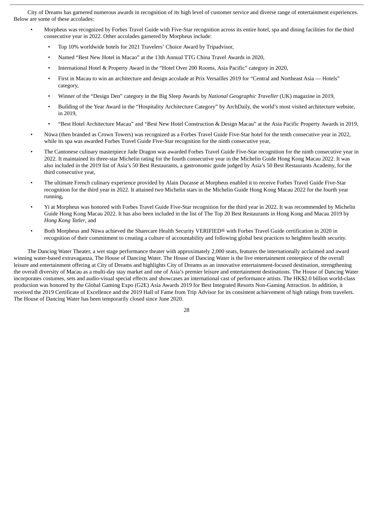City of Dreams has garnered numerous awards in recognition of its high level of customer service and diverse range of entertainment experiences. Below are some of these accolades:

- Morpheus was recognized by Forbes Travel Guide with Five-Star recognition across its entire hotel, spa and dining facilities for the third consecutive year in 2022. Other accolades garnered by Morpheus include:
	- Top 10% worldwide hotels for 2021 Travelers' Choice Award by Tripadvisor,
	- Named "Best New Hotel in Macao" at the 13th Annual TTG China Travel Awards in 2020,
	- International Hotel & Property Award in the "Hotel Over 200 Rooms, Asia Pacific" category in 2020,
	- First in Macau to win an architecture and design accolade at Prix Versailles 2019 for "Central and Northeast Asia Hotels" category,
	- Winner of the "Design Den" category in the Big Sleep Awards by *National Geographic Traveller* (UK) magazine in 2019,
	- Building of the Year Award in the "Hospitality Architecture Category" by ArchDaily, the world's most visited architecture website, in 2019,
	- "Best Hotel Architecture Macau" and "Best New Hotel Construction & Design Macau" at the Asia Pacific Property Awards in 2019,
- Nüwa (then branded as Crown Towers) was recognized as a Forbes Travel Guide Five-Star hotel for the tenth consecutive year in 2022, while its spa was awarded Forbes Travel Guide Five-Star recognition for the ninth consecutive year,
- The Cantonese culinary masterpiece Jade Dragon was awarded Forbes Travel Guide Five-Star recognition for the ninth consecutive year in 2022. It maintained its three-star Michelin rating for the fourth consecutive year in the Michelin Guide Hong Kong Macau 2022. It was also included in the 2019 list of Asia's 50 Best Restaurants, a gastronomic guide judged by Asia's 50 Best Restaurants Academy, for the third consecutive year,
- The ultimate French culinary experience provided by Alain Ducasse at Morpheus enabled it to receive Forbes Travel Guide Five-Star recognition for the third year in 2022. It attained two Michelin stars in the Michelin Guide Hong Kong Macau 2022 for the fourth year running,
- Yi at Morpheus was honored with Forbes Travel Guide Five-Star recognition for the third year in 2022. It was recommended by Michelin Guide Hong Kong Macau 2022. It has also been included in the list of The Top 20 Best Restaurants in Hong Kong and Macau 2019 by *Hong Kong Tatler*, and
- Both Morpheus and Nüwa achieved the Sharecare Health Security VERIFIED® with Forbes Travel Guide certification in 2020 in recognition of their commitment to creating a culture of accountability and following global best practices to heighten health security.

The Dancing Water Theater, a wet stage performance theater with approximately 2,000 seats, features the internationally acclaimed and award winning water-based extravaganza, The House of Dancing Water. The House of Dancing Water is the live entertainment centerpiece of the overall leisure and entertainment offering at City of Dreams and highlights City of Dreams as an innovative entertainment-focused destination, strengthening the overall diversity of Macau as a multi-day stay market and one of Asia's premier leisure and entertainment destinations. The House of Dancing Water incorporates costumes, sets and audio-visual special effects and showcases an international cast of performance artists. The HK\$2.0 billion world-class production was honored by the Global Gaming Expo (G2E) Asia Awards 2019 for Best Integrated Resorts Non-Gaming Attraction. In addition, it received the 2019 Certificate of Excellence and the 2019 Hall of Fame from Trip Advisor for its consistent achievement of high ratings from travelers. The House of Dancing Water has been temporarily closed since June 2020.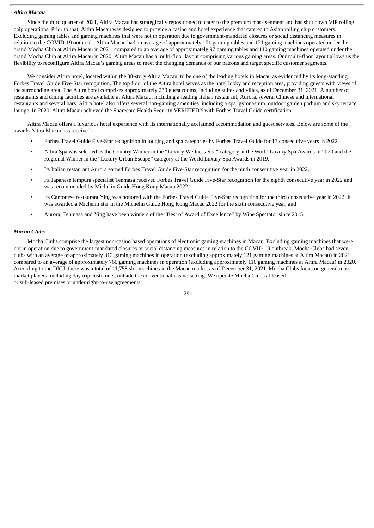## *Altira Macau*

Since the third quarter of 2021, Altira Macau has strategically repositioned to cater to the premium mass segment and has shut down VIP rolling chip operations. Prior to that, Altira Macau was designed to provide a casino and hotel experience that catered to Asian rolling chip customers. Excluding gaming tables and gaming machines that were not in operation due to government-mandated closures or social distancing measures in relation to the COVID-19 outbreak, Altira Macau had an average of approximately 101 gaming tables and 121 gaming machines operated under the brand Mocha Club at Altira Macau in 2021, compared to an average of approximately 97 gaming tables and 110 gaming machines operated under the brand Mocha Club at Altira Macau in 2020. Altira Macau has a multi-floor layout comprising various gaming areas. Our multi-floor layout allows us the flexibility to reconfigure Altira Macau's gaming areas to meet the changing demands of our patrons and target specific customer segments.

We consider Altira hotel, located within the 38-story Altira Macau, to be one of the leading hotels in Macau as evidenced by its long-standing Forbes Travel Guide Five-Star recognition. The top floor of the Altira hotel serves as the hotel lobby and reception area, providing guests with views of the surrounding area. The Altira hotel comprises approximately 230 guest rooms, including suites and villas, as of December 31, 2021. A number of restaurants and dining facilities are available at Altira Macau, including a leading Italian restaurant, Aurora, several Chinese and international restaurants and several bars. Altira hotel also offers several non-gaming amenities, including a spa, gymnasium, outdoor garden podium and sky terrace lounge. In 2020, Altira Macau achieved the Sharecare Health Security VERIFIED® with Forbes Travel Guide certification.

Altira Macau offers a luxurious hotel experience with its internationally acclaimed accommodation and guest services. Below are some of the awards Altira Macau has received:

- Forbes Travel Guide Five-Star recognition in lodging and spa categories by Forbes Travel Guide for 13 consecutive years in 2022,
- Altira Spa was selected as the Country Winner in the "Luxury Wellness Spa" category at the World Luxury Spa Awards in 2020 and the Regional Winner in the "Luxury Urban Escape" category at the World Luxury Spa Awards in 2019,
- Its Italian restaurant Aurora earned Forbes Travel Guide Five-Star recognition for the ninth consecutive year in 2022,
- Its Japanese tempura specialist Tenmasa received Forbes Travel Guide Five-Star recognition for the eighth consecutive year in 2022 and was recommended by Michelin Guide Hong Kong Macau 2022,
- Its Cantonese restaurant Ying was honored with the Forbes Travel Guide Five-Star recognition for the third consecutive year in 2022. It was awarded a Michelin star in the Michelin Guide Hong Kong Macau 2022 for the sixth consecutive year, and
- Aurora, Tenmasa and Ying have been winners of the "Best of Award of Excellence" by Wine Spectator since 2015.

#### *Mocha Clubs*

Mocha Clubs comprise the largest non-casino based operations of electronic gaming machines in Macau. Excluding gaming machines that were not in operation due to government-mandated closures or social distancing measures in relation to the COVID-19 outbreak, Mocha Clubs had seven clubs with an average of approximately 813 gaming machines in operation (excluding approximately 121 gaming machines at Altira Macau) in 2021, compared to an average of approximately 760 gaming machines in operation (excluding approximately 110 gaming machines at Altira Macau) in 2020. According to the DICJ, there was a total of 11,758 slot machines in the Macau market as of December 31, 2021. Mocha Clubs focus on general mass market players, including day trip customers, outside the conventional casino setting. We operate Mocha Clubs at leased or sub-leased premises or under right-to-use agreements.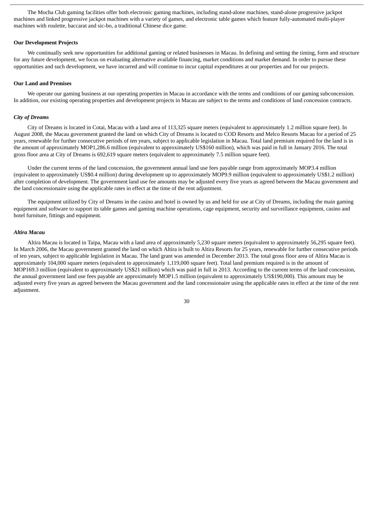The Mocha Club gaming facilities offer both electronic gaming machines, including stand-alone machines, stand-alone progressive jackpot machines and linked progressive jackpot machines with a variety of games, and electronic table games which feature fully-automated multi-player machines with roulette, baccarat and sic-bo, a traditional Chinese dice game.

#### **Our Development Projects**

We continually seek new opportunities for additional gaming or related businesses in Macau. In defining and setting the timing, form and structure for any future development, we focus on evaluating alternative available financing, market conditions and market demand. In order to pursue these opportunities and such development, we have incurred and will continue to incur capital expenditures at our properties and for our projects.

#### **Our Land and Premises**

We operate our gaming business at our operating properties in Macau in accordance with the terms and conditions of our gaming subconcession. In addition, our existing operating properties and development projects in Macau are subject to the terms and conditions of land concession contracts.

#### *City of Dreams*

City of Dreams is located in Cotai, Macau with a land area of 113,325 square meters (equivalent to approximately 1.2 million square feet). In August 2008, the Macau government granted the land on which City of Dreams is located to COD Resorts and Melco Resorts Macau for a period of 25 years, renewable for further consecutive periods of ten years, subject to applicable legislation in Macau. Total land premium required for the land is in the amount of approximately MOP1,286.6 million (equivalent to approximately US\$160 million), which was paid in full in January 2016. The total gross floor area at City of Dreams is 692,619 square meters (equivalent to approximately 7.5 million square feet).

Under the current terms of the land concession, the government annual land use fees payable range from approximately MOP3.4 million (equivalent to approximately US\$0.4 million) during development up to approximately MOP9.9 million (equivalent to approximately US\$1.2 million) after completion of development. The government land use fee amounts may be adjusted every five years as agreed between the Macau government and the land concessionaire using the applicable rates in effect at the time of the rent adjustment.

The equipment utilized by City of Dreams in the casino and hotel is owned by us and held for use at City of Dreams, including the main gaming equipment and software to support its table games and gaming machine operations, cage equipment, security and surveillance equipment, casino and hotel furniture, fittings and equipment.

### *Altira Macau*

Altira Macau is located in Taipa, Macau with a land area of approximately 5,230 square meters (equivalent to approximately 56,295 square feet). In March 2006, the Macau government granted the land on which Altira is built to Altira Resorts for 25 years, renewable for further consecutive periods of ten years, subject to applicable legislation in Macau. The land grant was amended in December 2013. The total gross floor area of Altira Macau is approximately 104,000 square meters (equivalent to approximately 1,119,000 square feet). Total land premium required is in the amount of MOP169.3 million (equivalent to approximately US\$21 million) which was paid in full in 2013. According to the current terms of the land concession, the annual government land use fees payable are approximately MOP1.5 million (equivalent to approximately US\$190,000). This amount may be adjusted every five years as agreed between the Macau government and the land concessionaire using the applicable rates in effect at the time of the rent adjustment.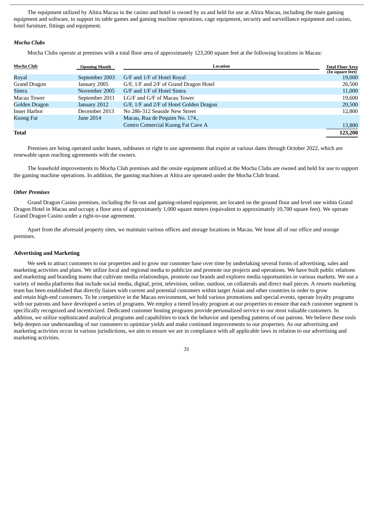The equipment utilized by Altira Macau in the casino and hotel is owned by us and held for use at Altira Macau, including the main gaming equipment and software, to support its table games and gaming machine operations, cage equipment, security and surveillance equipment and casino, hotel furniture, fittings and equipment.

### *Mocha Clubs*

Mocha Clubs operate at premises with a total floor area of approximately 123,200 square feet at the following locations in Macau:

| Mocha Club    | <b>Opening Month</b> | <b>Location</b>                         | <b>Total Floor Area</b><br>(In square feet) |
|---------------|----------------------|-----------------------------------------|---------------------------------------------|
| Royal         | September 2003       | G/F and 1/F of Hotel Royal              | 19,000                                      |
| Grand Dragon  | January 2005         | G/F, 1/F and 2/F of Grand Dragon Hotel  | 26,500                                      |
| Sintra        | November 2005        | G/F and 1/F of Hotel Sintra             | 11,000                                      |
| Macau Tower   | September 2011       | LG/F and G/F of Macau Tower             | 19,600                                      |
| Golden Dragon | January 2012         | G/F, 1/F and 2/F of Hotel Golden Dragon | 20,500                                      |
| Inner Harbor  | December 2013        | No 286-312 Seaside New Street           | 12,800                                      |
| Kuong Fat     | June 2014            | Macau, Rua de Pequim No. 174.,          |                                             |
|               |                      | Centro Comercial Kuong Fat Cave A       | 13,800                                      |
| Total         |                      |                                         | 123,200                                     |

Premises are being operated under leases, subleases or right to use agreements that expire at various dates through October 2022, which are renewable upon reaching agreements with the owners.

The leasehold improvements to Mocha Club premises and the onsite equipment utilized at the Mocha Clubs are owned and held for use to support the gaming machine operations. In addition, the gaming machines at Altira are operated under the Mocha Club brand.

# *Other Premises*

Grand Dragon Casino premises, including the fit-out and gaming-related equipment, are located on the ground floor and level one within Grand Dragon Hotel in Macau and occupy a floor area of approximately 1,000 square meters (equivalent to approximately 10,700 square feet). We operate Grand Dragon Casino under a right-to-use agreement.

Apart from the aforesaid property sites, we maintain various offices and storage locations in Macau. We lease all of our office and storage premises.

### **Advertising and Marketing**

We seek to attract customers to our properties and to grow our customer base over time by undertaking several forms of advertising, sales and marketing activities and plans. We utilize local and regional media to publicize and promote our projects and operations. We have built public relations and marketing and branding teams that cultivate media relationships, promote our brands and explores media opportunities in various markets. We use a variety of media platforms that include social media, digital, print, television, online, outdoor, on collaterals and direct mail pieces. A resorts marketing team has been established that directly liaises with current and potential customers within target Asian and other countries in order to grow and retain high-end customers. To be competitive in the Macau environment, we hold various promotions and special events, operate loyalty programs with our patrons and have developed a series of programs. We employ a tiered loyalty program at our properties to ensure that each customer segment is specifically recognized and incentivized. Dedicated customer hosting programs provide personalized service to our most valuable customers. In addition, we utilize sophisticated analytical programs and capabilities to track the behavior and spending patterns of our patrons. We believe these tools help deepen our understanding of our customers to optimize yields and make continued improvements to our properties. As our advertising and marketing activities occur in various jurisdictions, we aim to ensure we are in compliance with all applicable laws in relation to our advertising and marketing activities.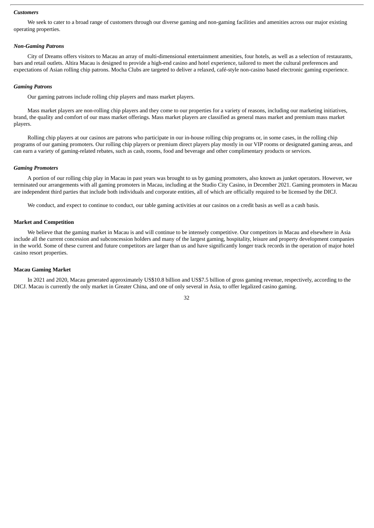### *Customers*

We seek to cater to a broad range of customers through our diverse gaming and non-gaming facilities and amenities across our major existing operating properties.

# *Non-Gaming Patrons*

City of Dreams offers visitors to Macau an array of multi-dimensional entertainment amenities, four hotels, as well as a selection of restaurants, bars and retail outlets. Altira Macau is designed to provide a high-end casino and hotel experience, tailored to meet the cultural preferences and expectations of Asian rolling chip patrons. Mocha Clubs are targeted to deliver a relaxed, café-style non-casino based electronic gaming experience.

### *Gaming Patrons*

Our gaming patrons include rolling chip players and mass market players.

Mass market players are non-rolling chip players and they come to our properties for a variety of reasons, including our marketing initiatives, brand, the quality and comfort of our mass market offerings. Mass market players are classified as general mass market and premium mass market players.

Rolling chip players at our casinos are patrons who participate in our in-house rolling chip programs or, in some cases, in the rolling chip programs of our gaming promoters. Our rolling chip players or premium direct players play mostly in our VIP rooms or designated gaming areas, and can earn a variety of gaming-related rebates, such as cash, rooms, food and beverage and other complimentary products or services.

#### *Gaming Promoters*

A portion of our rolling chip play in Macau in past years was brought to us by gaming promoters, also known as junket operators. However, we terminated our arrangements with all gaming promoters in Macau, including at the Studio City Casino, in December 2021. Gaming promoters in Macau are independent third parties that include both individuals and corporate entities, all of which are officially required to be licensed by the DICJ.

We conduct, and expect to continue to conduct, our table gaming activities at our casinos on a credit basis as well as a cash basis.

### **Market and Competition**

We believe that the gaming market in Macau is and will continue to be intensely competitive. Our competitors in Macau and elsewhere in Asia include all the current concession and subconcession holders and many of the largest gaming, hospitality, leisure and property development companies in the world. Some of these current and future competitors are larger than us and have significantly longer track records in the operation of major hotel casino resort properties.

### **Macau Gaming Market**

In 2021 and 2020, Macau generated approximately US\$10.8 billion and US\$7.5 billion of gross gaming revenue, respectively, according to the DICJ. Macau is currently the only market in Greater China, and one of only several in Asia, to offer legalized casino gaming.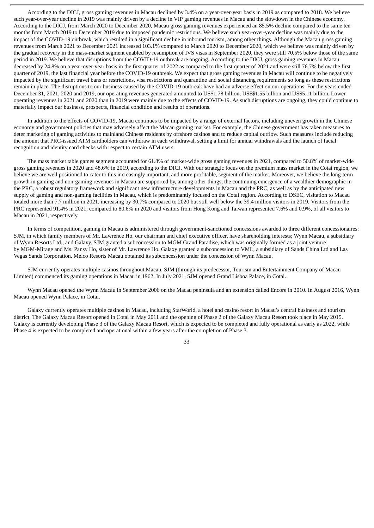According to the DICJ, gross gaming revenues in Macau declined by 3.4% on a year-over-year basis in 2019 as compared to 2018. We believe such year-over-year decline in 2019 was mainly driven by a decline in VIP gaming revenues in Macau and the slowdown in the Chinese economy. According to the DICJ, from March 2020 to December 2020, Macau gross gaming revenues experienced an 85.5% decline compared to the same ten months from March 2019 to December 2019 due to imposed pandemic restrictions. We believe such year-over-year decline was mainly due to the impact of the COVID-19 outbreak, which resulted in a significant decline in inbound tourism, among other things. Although the Macau gross gaming revenues from March 2021 to December 2021 increased 103.1% compared to March 2020 to December 2020, which we believe was mainly driven by the gradual recovery in the mass-market segment enabled by resumption of IVS visas in September 2020, they were still 70.5% below those of the same period in 2019. We believe that disruptions from the COVID-19 outbreak are ongoing. According to the DICJ, gross gaming revenues in Macau decreased by 24.8% on a year-over-year basis in the first quarter of 2022 as compared to the first quarter of 2021 and were still 76.7% below the first quarter of 2019, the last financial year before the COVID-19 outbreak. We expect that gross gaming revenues in Macau will continue to be negatively impacted by the significant travel bans or restrictions, visa restrictions and quarantine and social distancing requirements so long as these restrictions remain in place. The disruptions to our business caused by the COVID-19 outbreak have had an adverse effect on our operations. For the years ended December 31, 2021, 2020 and 2019, our operating revenues generated amounted to US\$1.78 billion, US\$\$1.55 billion and US\$5.11 billion. Lower operating revenues in 2021 and 2020 than in 2019 were mainly due to the effects of COVID-19. As such disruptions are ongoing, they could continue to materially impact our business, prospects, financial condition and results of operations.

In addition to the effects of COVID-19, Macau continues to be impacted by a range of external factors, including uneven growth in the Chinese economy and government policies that may adversely affect the Macau gaming market. For example, the Chinese government has taken measures to deter marketing of gaming activities to mainland Chinese residents by offshore casinos and to reduce capital outflow. Such measures include reducing the amount that PRC-issued ATM cardholders can withdraw in each withdrawal, setting a limit for annual withdrawals and the launch of facial recognition and identity card checks with respect to certain ATM users.

The mass market table games segment accounted for 61.8% of market-wide gross gaming revenues in 2021, compared to 50.8% of market-wide gross gaming revenues in 2020 and 48.6% in 2019, according to the DICJ. With our strategic focus on the premium mass market in the Cotai region, we believe we are well positioned to cater to this increasingly important, and more profitable, segment of the market. Moreover, we believe the long-term growth in gaming and non-gaming revenues in Macau are supported by, among other things, the continuing emergence of a wealthier demographic in the PRC, a robust regulatory framework and significant new infrastructure developments in Macau and the PRC, as well as by the anticipated new supply of gaming and non-gaming facilities in Macau, which is predominantly focused on the Cotai region. According to DSEC, visitation to Macau totaled more than 7.7 million in 2021, increasing by 30.7% compared to 2020 but still well below the 39.4 million visitors in 2019. Visitors from the PRC represented 91.4% in 2021, compared to 80.6% in 2020 and visitors from Hong Kong and Taiwan represented 7.6% and 0.9%, of all visitors to Macau in 2021, respectively.

In terms of competition, gaming in Macau is administered through government-sanctioned concessions awarded to three different concessionaires: SJM, in which family members of Mr. Lawrence Ho, our chairman and chief executive officer, have shareholding interests; Wynn Macau, a subsidiary of Wynn Resorts Ltd.; and Galaxy. SJM granted a subconcession to MGM Grand Paradise, which was originally formed as a joint venture by MGM-Mirage and Ms. Pansy Ho, sister of Mr. Lawrence Ho. Galaxy granted a subconcession to VML, a subsidiary of Sands China Ltd and Las Vegas Sands Corporation. Melco Resorts Macau obtained its subconcession under the concession of Wynn Macau.

SJM currently operates multiple casinos throughout Macau. SJM (through its predecessor, Tourism and Entertainment Company of Macau Limited) commenced its gaming operations in Macau in 1962. In July 2021, SJM opened Grand Lisboa Palace, in Cotai.

Wynn Macau opened the Wynn Macau in September 2006 on the Macau peninsula and an extension called Encore in 2010. In August 2016, Wynn Macau opened Wynn Palace, in Cotai.

Galaxy currently operates multiple casinos in Macau, including StarWorld, a hotel and casino resort in Macau's central business and tourism district. The Galaxy Macau Resort opened in Cotai in May 2011 and the opening of Phase 2 of the Galaxy Macau Resort took place in May 2015. Galaxy is currently developing Phase 3 of the Galaxy Macau Resort, which is expected to be completed and fully operational as early as 2022, while Phase 4 is expected to be completed and operational within a few years after the completion of Phase 3.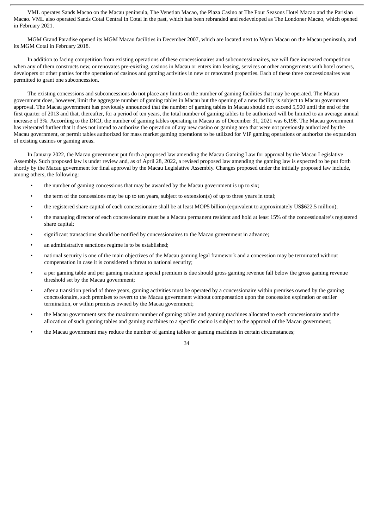VML operates Sands Macao on the Macau peninsula, The Venetian Macao, the Plaza Casino at The Four Seasons Hotel Macao and the Parisian Macao. VML also operated Sands Cotai Central in Cotai in the past, which has been rebranded and redeveloped as The Londoner Macao, which opened in February 2021.

MGM Grand Paradise opened its MGM Macau facilities in December 2007, which are located next to Wynn Macau on the Macau peninsula, and its MGM Cotai in February 2018.

In addition to facing competition from existing operations of these concessionaires and subconcessionaires, we will face increased competition when any of them constructs new, or renovates pre-existing, casinos in Macau or enters into leasing, services or other arrangements with hotel owners, developers or other parties for the operation of casinos and gaming activities in new or renovated properties. Each of these three concessionaires was permitted to grant one subconcession.

The existing concessions and subconcessions do not place any limits on the number of gaming facilities that may be operated. The Macau government does, however, limit the aggregate number of gaming tables in Macau but the opening of a new facility is subject to Macau government approval. The Macau government has previously announced that the number of gaming tables in Macau should not exceed 5,500 until the end of the first quarter of 2013 and that, thereafter, for a period of ten years, the total number of gaming tables to be authorized will be limited to an average annual increase of 3%. According to the DICJ, the number of gaming tables operating in Macau as of December 31, 2021 was 6,198. The Macau government has reiterated further that it does not intend to authorize the operation of any new casino or gaming area that were not previously authorized by the Macau government, or permit tables authorized for mass market gaming operations to be utilized for VIP gaming operations or authorize the expansion of existing casinos or gaming areas.

In January 2022, the Macau government put forth a proposed law amending the Macau Gaming Law for approval by the Macau Legislative Assembly. Such proposed law is under review and, as of April 28, 2022, a revised proposed law amending the gaming law is expected to be put forth shortly by the Macau government for final approval by the Macau Legislative Assembly. Changes proposed under the initially proposed law include, among others, the following:

- the number of gaming concessions that may be awarded by the Macau government is up to six;
- the term of the concessions may be up to ten years, subject to extension(s) of up to three years in total;
- the registered share capital of each concessionaire shall be at least MOP5 billion (equivalent to approximately US\$622.5 million);
- the managing director of each concessionaire must be a Macau permanent resident and hold at least 15% of the concessionaire's registered share capital;
- significant transactions should be notified by concessionaires to the Macau government in advance;
- an administrative sanctions regime is to be established;
- national security is one of the main objectives of the Macau gaming legal framework and a concession may be terminated without compensation in case it is considered a threat to national security;
- a per gaming table and per gaming machine special premium is due should gross gaming revenue fall below the gross gaming revenue threshold set by the Macau government;
- after a transition period of three years, gaming activities must be operated by a concessionaire within premises owned by the gaming concessionaire, such premises to revert to the Macau government without compensation upon the concession expiration or earlier termination, or within premises owned by the Macau government;
- the Macau government sets the maximum number of gaming tables and gaming machines allocated to each concessionaire and the allocation of such gaming tables and gaming machines to a specific casino is subject to the approval of the Macau government;
- the Macau government may reduce the number of gaming tables or gaming machines in certain circumstances;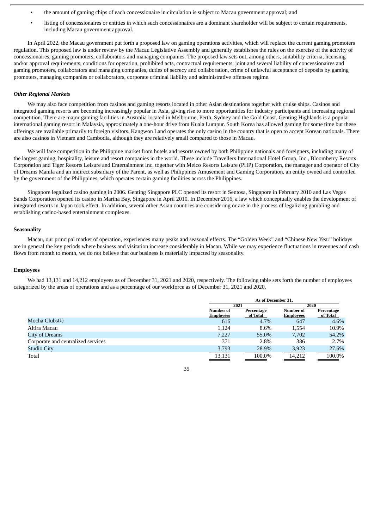- the amount of gaming chips of each concessionaire in circulation is subject to Macau government approval; and
- listing of concessionaires or entities in which such concessionaires are a dominant shareholder will be subject to certain requirements, including Macau government approval.

In April 2022, the Macau government put forth a proposed law on gaming operations activities, which will replace the current gaming promoters regulation. This proposed law is under review by the Macau Legislative Assembly and generally establishes the rules on the exercise of the activity of concessionaires, gaming promoters, collaborators and managing companies. The proposed law sets out, among others, suitability criteria, licensing and/or approval requirements, conditions for operation, prohibited acts, contractual requirements, joint and several liability of concessionaires and gaming promoters, collaborators and managing companies, duties of secrecy and collaboration, crime of unlawful acceptance of deposits by gaming promoters, managing companies or collaborators, corporate criminal liability and administrative offenses regime.

### *Other Regional Markets*

We may also face competition from casinos and gaming resorts located in other Asian destinations together with cruise ships. Casinos and integrated gaming resorts are becoming increasingly popular in Asia, giving rise to more opportunities for industry participants and increasing regional competition. There are major gaming facilities in Australia located in Melbourne, Perth, Sydney and the Gold Coast. Genting Highlands is a popular international gaming resort in Malaysia, approximately a one-hour drive from Kuala Lumpur. South Korea has allowed gaming for some time but these offerings are available primarily to foreign visitors. Kangwon Land operates the only casino in the country that is open to accept Korean nationals. There are also casinos in Vietnam and Cambodia, although they are relatively small compared to those in Macau.

We will face competition in the Philippine market from hotels and resorts owned by both Philippine nationals and foreigners, including many of the largest gaming, hospitality, leisure and resort companies in the world. These include Travellers International Hotel Group, Inc., Bloomberry Resorts Corporation and Tiger Resorts Leisure and Entertainment Inc. together with Melco Resorts Leisure (PHP) Corporation, the manager and operator of City of Dreams Manila and an indirect subsidiary of the Parent, as well as Philippines Amusement and Gaming Corporation, an entity owned and controlled by the government of the Philippines, which operates certain gaming facilities across the Philippines.

Singapore legalized casino gaming in 2006. Genting Singapore PLC opened its resort in Sentosa, Singapore in February 2010 and Las Vegas Sands Corporation opened its casino in Marina Bay, Singapore in April 2010. In December 2016, a law which conceptually enables the development of integrated resorts in Japan took effect. In addition, several other Asian countries are considering or are in the process of legalizing gambling and establishing casino-based entertainment complexes.

### **Seasonality**

Macau, our principal market of operation, experiences many peaks and seasonal effects. The "Golden Week" and "Chinese New Year" holidays are in general the key periods where business and visitation increase considerably in Macau. While we may experience fluctuations in revenues and cash flows from month to month, we do not believe that our business is materially impacted by seasonality.

### **Employees**

We had 13,131 and 14,212 employees as of December 31, 2021 and 2020, respectively. The following table sets forth the number of employees categorized by the areas of operations and as a percentage of our workforce as of December 31, 2021 and 2020.

|                                    |                                      | As of December 31.     |                               |                        |  |  |
|------------------------------------|--------------------------------------|------------------------|-------------------------------|------------------------|--|--|
|                                    |                                      | 2021                   |                               | 2020                   |  |  |
|                                    | <b>Number of</b><br><b>Employees</b> | Percentage<br>of Total | Number of<br><b>Employees</b> | Percentage<br>of Total |  |  |
| Mocha Clubs <sup>(1)</sup>         | 616                                  | 4.7%                   | 647                           | 4.6%                   |  |  |
| Altira Macau                       | 1.124                                | 8.6%                   | 1,554                         | 10.9%                  |  |  |
| City of Dreams                     | 7.227                                | 55.0%                  | 7.702                         | 54.2%                  |  |  |
| Corporate and centralized services | 371                                  | 2.8%                   | 386                           | 2.7%                   |  |  |
| <b>Studio City</b>                 | 3,793                                | 28.9%                  | 3,923                         | 27.6%                  |  |  |
| Total                              | 13,131                               | 100.0%                 | 14,212                        | 100.0%                 |  |  |

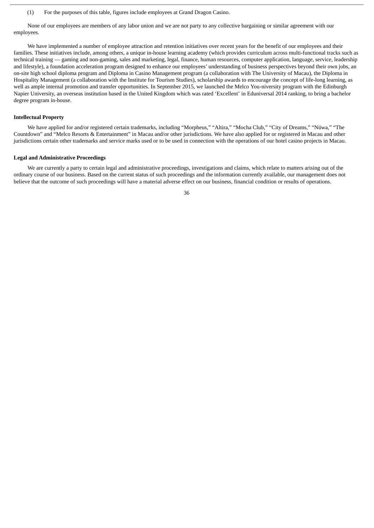None of our employees are members of any labor union and we are not party to any collective bargaining or similar agreement with our employees.

We have implemented a number of employee attraction and retention initiatives over recent years for the benefit of our employees and their families. These initiatives include, among others, a unique in-house learning academy (which provides curriculum across multi-functional tracks such as technical training — gaming and non-gaming, sales and marketing, legal, finance, human resources, computer application, language, service, leadership and lifestyle), a foundation acceleration program designed to enhance our employees' understanding of business perspectives beyond their own jobs, an on-site high school diploma program and Diploma in Casino Management program (a collaboration with The University of Macau), the Diploma in Hospitality Management (a collaboration with the Institute for Tourism Studies), scholarship awards to encourage the concept of life-long learning, as well as ample internal promotion and transfer opportunities. In September 2015, we launched the Melco You-niversity program with the Edinburgh Napier University, an overseas institution based in the United Kingdom which was rated 'Excellent' in Eduniversal 2014 ranking, to bring a bachelor degree program in-house.

### **Intellectual Property**

We have applied for and/or registered certain trademarks, including "Morpheus," "Altira," "Mocha Club," "City of Dreams," "Nüwa," "The Countdown" and "Melco Resorts & Entertainment" in Macau and/or other jurisdictions. We have also applied for or registered in Macau and other jurisdictions certain other trademarks and service marks used or to be used in connection with the operations of our hotel casino projects in Macau.

### **Legal and Administrative Proceedings**

We are currently a party to certain legal and administrative proceedings, investigations and claims, which relate to matters arising out of the ordinary course of our business. Based on the current status of such proceedings and the information currently available, our management does not believe that the outcome of such proceedings will have a material adverse effect on our business, financial condition or results of operations.

<sup>(1)</sup> For the purposes of this table, figures include employees at Grand Dragon Casino.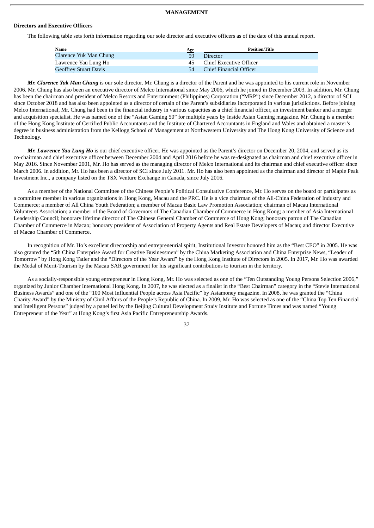### **MANAGEMENT**

#### **Directors and Executive Officers**

The following table sets forth information regarding our sole director and executive officers as of the date of this annual report.

| <b>Name</b>                   | Age | <b>Position/Title</b>          |
|-------------------------------|-----|--------------------------------|
| <b>Clarence Yuk Man Chung</b> | 59  | <b>Director</b>                |
| Lawrence Yau Lung Ho          | 45. | Chief Executive Officer        |
| <b>Geoffrey Stuart Davis</b>  | 54  | <b>Chief Financial Officer</b> |

*Mr. Clarence Yuk Man Chung* is our sole director. Mr. Chung is a director of the Parent and he was appointed to his current role in November 2006. Mr. Chung has also been an executive director of Melco International since May 2006, which he joined in December 2003. In addition, Mr. Chung has been the chairman and president of Melco Resorts and Entertainment (Philippines) Corporation ("MRP") since December 2012, a director of SCI since October 2018 and has also been appointed as a director of certain of the Parent's subsidiaries incorporated in various jurisdictions. Before joining Melco International, Mr. Chung had been in the financial industry in various capacities as a chief financial officer, an investment banker and a merger and acquisition specialist. He was named one of the "Asian Gaming 50" for multiple years by Inside Asian Gaming magazine. Mr. Chung is a member of the Hong Kong Institute of Certified Public Accountants and the Institute of Chartered Accountants in England and Wales and obtained a master's degree in business administration from the Kellogg School of Management at Northwestern University and The Hong Kong University of Science and Technology.

*Mr. Lawrence Yau Lung Ho* is our chief executive officer. He was appointed as the Parent's director on December 20, 2004, and served as its co-chairman and chief executive officer between December 2004 and April 2016 before he was re-designated as chairman and chief executive officer in May 2016. Since November 2001, Mr. Ho has served as the managing director of Melco International and its chairman and chief executive officer since March 2006. In addition, Mr. Ho has been a director of SCI since July 2011. Mr. Ho has also been appointed as the chairman and director of Maple Peak Investment Inc., a company listed on the TSX Venture Exchange in Canada, since July 2016.

As a member of the National Committee of the Chinese People's Political Consultative Conference, Mr. Ho serves on the board or participates as a committee member in various organizations in Hong Kong, Macau and the PRC. He is a vice chairman of the All-China Federation of Industry and Commerce; a member of All China Youth Federation; a member of Macau Basic Law Promotion Association; chairman of Macau International Volunteers Association; a member of the Board of Governors of The Canadian Chamber of Commerce in Hong Kong; a member of Asia International Leadership Council; honorary lifetime director of The Chinese General Chamber of Commerce of Hong Kong; honorary patron of The Canadian Chamber of Commerce in Macao; honorary president of Association of Property Agents and Real Estate Developers of Macau; and director Executive of Macao Chamber of Commerce.

In recognition of Mr. Ho's excellent directorship and entrepreneurial spirit, Institutional Investor honored him as the "Best CEO" in 2005. He was also granted the "5th China Enterprise Award for Creative Businessmen" by the China Marketing Association and China Enterprise News, "Leader of Tomorrow" by Hong Kong Tatler and the "Directors of the Year Award" by the Hong Kong Institute of Directors in 2005. In 2017, Mr. Ho was awarded the Medal of Merit-Tourism by the Macau SAR government for his significant contributions to tourism in the territory.

As a socially-responsible young entrepreneur in Hong Kong, Mr. Ho was selected as one of the "Ten Outstanding Young Persons Selection 2006," organized by Junior Chamber International Hong Kong. In 2007, he was elected as a finalist in the "Best Chairman" category in the "Stevie International Business Awards" and one of the "100 Most Influential People across Asia Pacific" by Asiamoney magazine. In 2008, he was granted the "China Charity Award" by the Ministry of Civil Affairs of the People's Republic of China. In 2009, Mr. Ho was selected as one of the "China Top Ten Financial and Intelligent Persons" judged by a panel led by the Beijing Cultural Development Study Institute and Fortune Times and was named "Young Entrepreneur of the Year" at Hong Kong's first Asia Pacific Entrepreneurship Awards.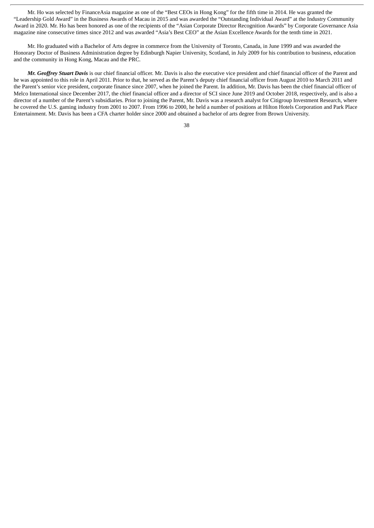Mr. Ho was selected by FinanceAsia magazine as one of the "Best CEOs in Hong Kong" for the fifth time in 2014. He was granted the "Leadership Gold Award" in the Business Awards of Macau in 2015 and was awarded the "Outstanding Individual Award" at the Industry Community Award in 2020. Mr. Ho has been honored as one of the recipients of the "Asian Corporate Director Recognition Awards" by Corporate Governance Asia magazine nine consecutive times since 2012 and was awarded "Asia's Best CEO" at the Asian Excellence Awards for the tenth time in 2021.

Mr. Ho graduated with a Bachelor of Arts degree in commerce from the University of Toronto, Canada, in June 1999 and was awarded the Honorary Doctor of Business Administration degree by Edinburgh Napier University, Scotland, in July 2009 for his contribution to business, education and the community in Hong Kong, Macau and the PRC.

*Mr. Geoffrey Stuart Davis* is our chief financial officer. Mr. Davis is also the executive vice president and chief financial officer of the Parent and he was appointed to this role in April 2011. Prior to that, he served as the Parent's deputy chief financial officer from August 2010 to March 2011 and the Parent's senior vice president, corporate finance since 2007, when he joined the Parent. In addition, Mr. Davis has been the chief financial officer of Melco International since December 2017, the chief financial officer and a director of SCI since June 2019 and October 2018, respectively, and is also a director of a number of the Parent's subsidiaries. Prior to joining the Parent, Mr. Davis was a research analyst for Citigroup Investment Research, where he covered the U.S. gaming industry from 2001 to 2007. From 1996 to 2000, he held a number of positions at Hilton Hotels Corporation and Park Place Entertainment. Mr. Davis has been a CFA charter holder since 2000 and obtained a bachelor of arts degree from Brown University.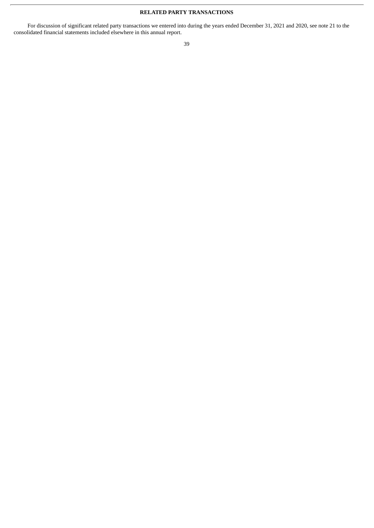# **RELATED PARTY TRANSACTIONS**

For discussion of significant related party transactions we entered into during the years ended December 31, 2021 and 2020, see note 21 to the consolidated financial statements included elsewhere in this annual report.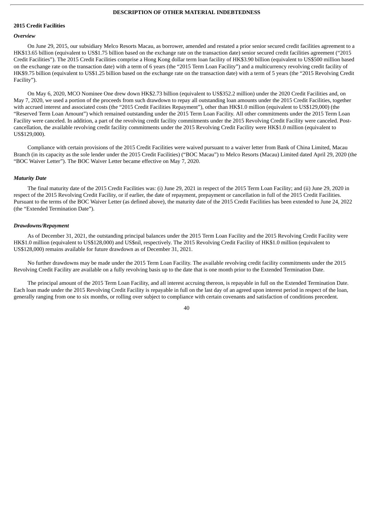### **DESCRIPTION OF OTHER MATERIAL INDEBTEDNESS**

### **2015 Credit Facilities**

#### *Overview*

On June 29, 2015, our subsidiary Melco Resorts Macau, as borrower, amended and restated a prior senior secured credit facilities agreement to a HK\$13.65 billion (equivalent to US\$1.75 billion based on the exchange rate on the transaction date) senior secured credit facilities agreement ("2015 Credit Facilities"). The 2015 Credit Facilities comprise a Hong Kong dollar term loan facility of HK\$3.90 billion (equivalent to US\$500 million based on the exchange rate on the transaction date) with a term of 6 years (the "2015 Term Loan Facility") and a multicurrency revolving credit facility of HK\$9.75 billion (equivalent to US\$1.25 billion based on the exchange rate on the transaction date) with a term of 5 years (the "2015 Revolving Credit Facility").

On May 6, 2020, MCO Nominee One drew down HK\$2.73 billion (equivalent to US\$352.2 million) under the 2020 Credit Facilities and, on May 7, 2020, we used a portion of the proceeds from such drawdown to repay all outstanding loan amounts under the 2015 Credit Facilities, together with accrued interest and associated costs (the "2015 Credit Facilities Repayment"), other than HK\$1.0 million (equivalent to US\$129,000) (the "Reserved Term Loan Amount") which remained outstanding under the 2015 Term Loan Facility. All other commitments under the 2015 Term Loan Facility were canceled. In addition, a part of the revolving credit facility commitments under the 2015 Revolving Credit Facility were canceled. Postcancellation, the available revolving credit facility commitments under the 2015 Revolving Credit Facility were HK\$1.0 million (equivalent to US\$129,000).

Compliance with certain provisions of the 2015 Credit Facilities were waived pursuant to a waiver letter from Bank of China Limited, Macau Branch (in its capacity as the sole lender under the 2015 Credit Facilities) ("BOC Macau") to Melco Resorts (Macau) Limited dated April 29, 2020 (the "BOC Waiver Letter"). The BOC Waiver Letter became effective on May 7, 2020.

### *Maturity Date*

The final maturity date of the 2015 Credit Facilities was: (i) June 29, 2021 in respect of the 2015 Term Loan Facility; and (ii) June 29, 2020 in respect of the 2015 Revolving Credit Facility, or if earlier, the date of repayment, prepayment or cancellation in full of the 2015 Credit Facilities. Pursuant to the terms of the BOC Waiver Letter (as defined above), the maturity date of the 2015 Credit Facilities has been extended to June 24, 2022 (the "Extended Termination Date").

### *Drawdowns/Repayment*

As of December 31, 2021, the outstanding principal balances under the 2015 Term Loan Facility and the 2015 Revolving Credit Facility were HK\$1.0 million (equivalent to US\$128,000) and US\$nil, respectively. The 2015 Revolving Credit Facility of HK\$1.0 million (equivalent to US\$128,000) remains available for future drawdown as of December 31, 2021.

No further drawdowns may be made under the 2015 Term Loan Facility. The available revolving credit facility commitments under the 2015 Revolving Credit Facility are available on a fully revolving basis up to the date that is one month prior to the Extended Termination Date.

The principal amount of the 2015 Term Loan Facility, and all interest accruing thereon, is repayable in full on the Extended Termination Date. Each loan made under the 2015 Revolving Credit Facility is repayable in full on the last day of an agreed upon interest period in respect of the loan, generally ranging from one to six months, or rolling over subject to compliance with certain covenants and satisfaction of conditions precedent.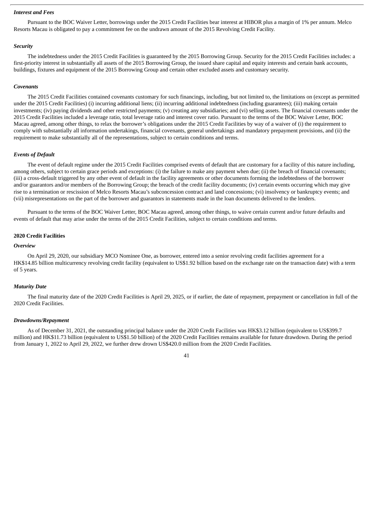### *Interest and Fees*

Pursuant to the BOC Waiver Letter, borrowings under the 2015 Credit Facilities bear interest at HIBOR plus a margin of 1% per annum. Melco Resorts Macau is obligated to pay a commitment fee on the undrawn amount of the 2015 Revolving Credit Facility.

### *Security*

The indebtedness under the 2015 Credit Facilities is guaranteed by the 2015 Borrowing Group. Security for the 2015 Credit Facilities includes: a first-priority interest in substantially all assets of the 2015 Borrowing Group, the issued share capital and equity interests and certain bank accounts, buildings, fixtures and equipment of the 2015 Borrowing Group and certain other excluded assets and customary security.

### *Covenants*

The 2015 Credit Facilities contained covenants customary for such financings, including, but not limited to, the limitations on (except as permitted under the 2015 Credit Facilities) (i) incurring additional liens; (ii) incurring additional indebtedness (including guarantees); (iii) making certain investments; (iv) paying dividends and other restricted payments; (v) creating any subsidiaries; and (vi) selling assets. The financial covenants under the 2015 Credit Facilities included a leverage ratio, total leverage ratio and interest cover ratio. Pursuant to the terms of the BOC Waiver Letter, BOC Macau agreed, among other things, to relax the borrower's obligations under the 2015 Credit Facilities by way of a waiver of (i) the requirement to comply with substantially all information undertakings, financial covenants, general undertakings and mandatory prepayment provisions, and (ii) the requirement to make substantially all of the representations, subject to certain conditions and terms.

### *Events of Default*

The event of default regime under the 2015 Credit Facilities comprised events of default that are customary for a facility of this nature including, among others, subject to certain grace periods and exceptions: (i) the failure to make any payment when due; (ii) the breach of financial covenants; (iii) a cross-default triggered by any other event of default in the facility agreements or other documents forming the indebtedness of the borrower and/or guarantors and/or members of the Borrowing Group; the breach of the credit facility documents; (iv) certain events occurring which may give rise to a termination or rescission of Melco Resorts Macau's subconcession contract and land concessions; (vi) insolvency or bankruptcy events; and (vii) misrepresentations on the part of the borrower and guarantors in statements made in the loan documents delivered to the lenders.

Pursuant to the terms of the BOC Waiver Letter, BOC Macau agreed, among other things, to waive certain current and/or future defaults and events of default that may arise under the terms of the 2015 Credit Facilities, subject to certain conditions and terms.

### **2020 Credit Facilities**

#### *Overview*

On April 29, 2020, our subsidiary MCO Nominee One, as borrower, entered into a senior revolving credit facilities agreement for a HK\$14.85 billion multicurrency revolving credit facility (equivalent to US\$1.92 billion based on the exchange rate on the transaction date) with a term of 5 years.

### *Maturity Date*

The final maturity date of the 2020 Credit Facilities is April 29, 2025, or if earlier, the date of repayment, prepayment or cancellation in full of the 2020 Credit Facilities.

### *Drawdowns/Repayment*

As of December 31, 2021, the outstanding principal balance under the 2020 Credit Facilities was HK\$3.12 billion (equivalent to US\$399.7 million) and HK\$11.73 billion (equivalent to US\$1.50 billion) of the 2020 Credit Facilities remains available for future drawdown. During the period from January 1, 2022 to April 29, 2022, we further drew drown US\$420.0 million from the 2020 Credit Facilities.

 $\overline{A1}$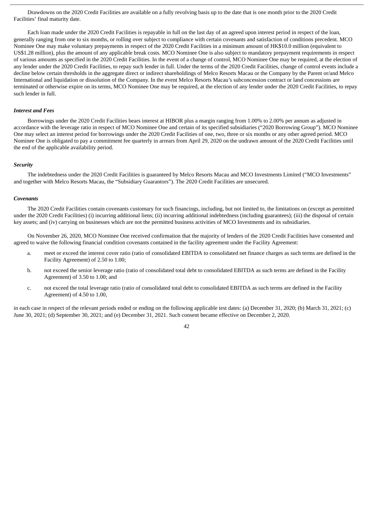Drawdowns on the 2020 Credit Facilities are available on a fully revolving basis up to the date that is one month prior to the 2020 Credit Facilities' final maturity date.

Each loan made under the 2020 Credit Facilities is repayable in full on the last day of an agreed upon interest period in respect of the loan, generally ranging from one to six months, or rolling over subject to compliance with certain covenants and satisfaction of conditions precedent. MCO Nominee One may make voluntary prepayments in respect of the 2020 Credit Facilities in a minimum amount of HK\$10.0 million (equivalent to US\$1.28 million), plus the amount of any applicable break costs. MCO Nominee One is also subject to mandatory prepayment requirements in respect of various amounts as specified in the 2020 Credit Facilities. In the event of a change of control, MCO Nominee One may be required, at the election of any lender under the 2020 Credit Facilities, to repay such lender in full. Under the terms of the 2020 Credit Facilities, change of control events include a decline below certain thresholds in the aggregate direct or indirect shareholdings of Melco Resorts Macau or the Company by the Parent or/and Melco International and liquidation or dissolution of the Company. In the event Melco Resorts Macau's subconcession contract or land concessions are terminated or otherwise expire on its terms, MCO Nominee One may be required, at the election of any lender under the 2020 Credit Facilities, to repay such lender in full.

### *Interest and Fees*

Borrowings under the 2020 Credit Facilities bears interest at HIBOR plus a margin ranging from 1.00% to 2.00% per annum as adjusted in accordance with the leverage ratio in respect of MCO Nominee One and certain of its specified subsidiaries ("2020 Borrowing Group"). MCO Nominee One may select an interest period for borrowings under the 2020 Credit Facilities of one, two, three or six months or any other agreed period. MCO Nominee One is obligated to pay a commitment fee quarterly in arrears from April 29, 2020 on the undrawn amount of the 2020 Credit Facilities until the end of the applicable availability period.

#### *Security*

The indebtedness under the 2020 Credit Facilities is guaranteed by Melco Resorts Macau and MCO Investments Limited ("MCO Investments" and together with Melco Resorts Macau, the "Subsidiary Guarantors"). The 2020 Credit Facilities are unsecured.

#### *Covenants*

The 2020 Credit Facilities contain covenants customary for such financings, including, but not limited to, the limitations on (except as permitted under the 2020 Credit Facilities) (i) incurring additional liens; (ii) incurring additional indebtedness (including guarantees); (iii) the disposal of certain key assets; and (iv) carrying on businesses which are not the permitted business activities of MCO Investments and its subsidiaries.

On November 26, 2020, MCO Nominee One received confirmation that the majority of lenders of the 2020 Credit Facilities have consented and agreed to waive the following financial condition covenants contained in the facility agreement under the Facility Agreement:

- a. meet or exceed the interest cover ratio (ratio of consolidated EBITDA to consolidated net finance charges as such terms are defined in the Facility Agreement) of 2.50 to 1.00;
- b. not exceed the senior leverage ratio (ratio of consolidated total debt to consolidated EBITDA as such terms are defined in the Facility Agreement) of 3.50 to 1.00; and
- c. not exceed the total leverage ratio (ratio of consolidated total debt to consolidated EBITDA as such terms are defined in the Facility Agreement) of 4.50 to 1.00,

in each case in respect of the relevant periods ended or ending on the following applicable test dates: (a) December 31, 2020; (b) March 31, 2021; (c) June 30, 2021; (d) September 30, 2021; and (e) December 31, 2021. Such consent became effective on December 2, 2020.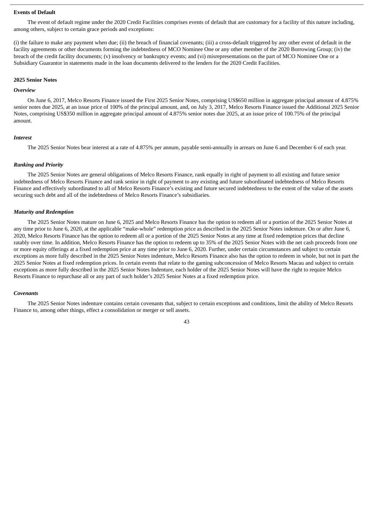### **Events of Default**

The event of default regime under the 2020 Credit Facilities comprises events of default that are customary for a facility of this nature including, among others, subject to certain grace periods and exceptions:

(i) the failure to make any payment when due; (ii) the breach of financial covenants; (iii) a cross-default triggered by any other event of default in the facility agreements or other documents forming the indebtedness of MCO Nominee One or any other member of the 2020 Borrowing Group; (iv) the breach of the credit facility documents; (v) insolvency or bankruptcy events; and (vi) misrepresentations on the part of MCO Nominee One or a Subsidiary Guarantor in statements made in the loan documents delivered to the lenders for the 2020 Credit Facilities.

### **2025 Senior Notes**

#### *Overview*

On June 6, 2017, Melco Resorts Finance issued the First 2025 Senior Notes, comprising US\$650 million in aggregate principal amount of 4.875% senior notes due 2025, at an issue price of 100% of the principal amount, and, on July 3, 2017, Melco Resorts Finance issued the Additional 2025 Senior Notes, comprising US\$350 million in aggregate principal amount of 4.875% senior notes due 2025, at an issue price of 100.75% of the principal amount.

#### *Interest*

The 2025 Senior Notes bear interest at a rate of 4.875% per annum, payable semi-annually in arrears on June 6 and December 6 of each year.

#### *Ranking and Priority*

The 2025 Senior Notes are general obligations of Melco Resorts Finance, rank equally in right of payment to all existing and future senior indebtedness of Melco Resorts Finance and rank senior in right of payment to any existing and future subordinated indebtedness of Melco Resorts Finance and effectively subordinated to all of Melco Resorts Finance's existing and future secured indebtedness to the extent of the value of the assets securing such debt and all of the indebtedness of Melco Resorts Finance's subsidiaries.

### *Maturity and Redemption*

The 2025 Senior Notes mature on June 6, 2025 and Melco Resorts Finance has the option to redeem all or a portion of the 2025 Senior Notes at any time prior to June 6, 2020, at the applicable "make-whole" redemption price as described in the 2025 Senior Notes indenture. On or after June 6, 2020, Melco Resorts Finance has the option to redeem all or a portion of the 2025 Senior Notes at any time at fixed redemption prices that decline ratably over time. In addition, Melco Resorts Finance has the option to redeem up to 35% of the 2025 Senior Notes with the net cash proceeds from one or more equity offerings at a fixed redemption price at any time prior to June 6, 2020. Further, under certain circumstances and subject to certain exceptions as more fully described in the 2025 Senior Notes indenture, Melco Resorts Finance also has the option to redeem in whole, but not in part the 2025 Senior Notes at fixed redemption prices. In certain events that relate to the gaming subconcession of Melco Resorts Macau and subject to certain exceptions as more fully described in the 2025 Senior Notes Indenture, each holder of the 2025 Senior Notes will have the right to require Melco Resorts Finance to repurchase all or any part of such holder's 2025 Senior Notes at a fixed redemption price.

#### *Covenants*

The 2025 Senior Notes indenture contains certain covenants that, subject to certain exceptions and conditions, limit the ability of Melco Resorts Finance to, among other things, effect a consolidation or merger or sell assets.

 $\overline{A}$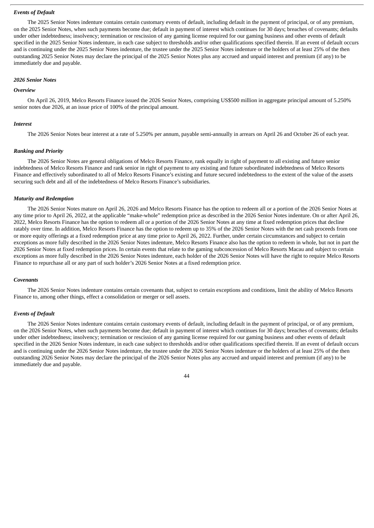# *Events of Default*

The 2025 Senior Notes indenture contains certain customary events of default, including default in the payment of principal, or of any premium, on the 2025 Senior Notes, when such payments become due; default in payment of interest which continues for 30 days; breaches of covenants; defaults under other indebtedness; insolvency; termination or rescission of any gaming license required for our gaming business and other events of default specified in the 2025 Senior Notes indenture, in each case subject to thresholds and/or other qualifications specified therein. If an event of default occurs and is continuing under the 2025 Senior Notes indenture, the trustee under the 2025 Senior Notes indenture or the holders of at least 25% of the then outstanding 2025 Senior Notes may declare the principal of the 2025 Senior Notes plus any accrued and unpaid interest and premium (if any) to be immediately due and payable.

# *2026 Senior Notes*

### *Overview*

On April 26, 2019, Melco Resorts Finance issued the 2026 Senior Notes, comprising US\$500 million in aggregate principal amount of 5.250% senior notes due 2026, at an issue price of 100% of the principal amount.

#### *Interest*

The 2026 Senior Notes bear interest at a rate of 5.250% per annum, payable semi-annually in arrears on April 26 and October 26 of each year.

#### *Ranking and Priority*

The 2026 Senior Notes are general obligations of Melco Resorts Finance, rank equally in right of payment to all existing and future senior indebtedness of Melco Resorts Finance and rank senior in right of payment to any existing and future subordinated indebtedness of Melco Resorts Finance and effectively subordinated to all of Melco Resorts Finance's existing and future secured indebtedness to the extent of the value of the assets securing such debt and all of the indebtedness of Melco Resorts Finance's subsidiaries.

### *Maturity and Redemption*

The 2026 Senior Notes mature on April 26, 2026 and Melco Resorts Finance has the option to redeem all or a portion of the 2026 Senior Notes at any time prior to April 26, 2022, at the applicable "make-whole" redemption price as described in the 2026 Senior Notes indenture. On or after April 26, 2022, Melco Resorts Finance has the option to redeem all or a portion of the 2026 Senior Notes at any time at fixed redemption prices that decline ratably over time. In addition, Melco Resorts Finance has the option to redeem up to 35% of the 2026 Senior Notes with the net cash proceeds from one or more equity offerings at a fixed redemption price at any time prior to April 26, 2022. Further, under certain circumstances and subject to certain exceptions as more fully described in the 2026 Senior Notes indenture, Melco Resorts Finance also has the option to redeem in whole, but not in part the 2026 Senior Notes at fixed redemption prices. In certain events that relate to the gaming subconcession of Melco Resorts Macau and subject to certain exceptions as more fully described in the 2026 Senior Notes indenture, each holder of the 2026 Senior Notes will have the right to require Melco Resorts Finance to repurchase all or any part of such holder's 2026 Senior Notes at a fixed redemption price.

#### *Covenants*

The 2026 Senior Notes indenture contains certain covenants that, subject to certain exceptions and conditions, limit the ability of Melco Resorts Finance to, among other things, effect a consolidation or merger or sell assets.

# *Events of Default*

The 2026 Senior Notes indenture contains certain customary events of default, including default in the payment of principal, or of any premium, on the 2026 Senior Notes, when such payments become due; default in payment of interest which continues for 30 days; breaches of covenants; defaults under other indebtedness; insolvency; termination or rescission of any gaming license required for our gaming business and other events of default specified in the 2026 Senior Notes indenture, in each case subject to thresholds and/or other qualifications specified therein. If an event of default occurs and is continuing under the 2026 Senior Notes indenture, the trustee under the 2026 Senior Notes indenture or the holders of at least 25% of the then outstanding 2026 Senior Notes may declare the principal of the 2026 Senior Notes plus any accrued and unpaid interest and premium (if any) to be immediately due and payable.

# $\overline{44}$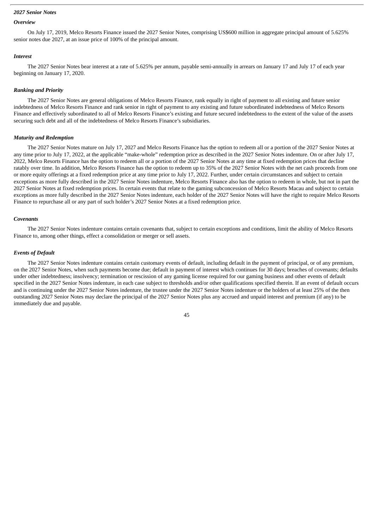### *2027 Senior Notes*

### *Overview*

On July 17, 2019, Melco Resorts Finance issued the 2027 Senior Notes, comprising US\$600 million in aggregate principal amount of 5.625% senior notes due 2027, at an issue price of 100% of the principal amount.

#### *Interest*

The 2027 Senior Notes bear interest at a rate of 5.625% per annum, payable semi-annually in arrears on January 17 and July 17 of each year beginning on January 17, 2020.

#### *Ranking and Priority*

The 2027 Senior Notes are general obligations of Melco Resorts Finance, rank equally in right of payment to all existing and future senior indebtedness of Melco Resorts Finance and rank senior in right of payment to any existing and future subordinated indebtedness of Melco Resorts Finance and effectively subordinated to all of Melco Resorts Finance's existing and future secured indebtedness to the extent of the value of the assets securing such debt and all of the indebtedness of Melco Resorts Finance's subsidiaries.

#### *Maturity and Redemption*

The 2027 Senior Notes mature on July 17, 2027 and Melco Resorts Finance has the option to redeem all or a portion of the 2027 Senior Notes at any time prior to July 17, 2022, at the applicable "make-whole" redemption price as described in the 2027 Senior Notes indenture. On or after July 17, 2022, Melco Resorts Finance has the option to redeem all or a portion of the 2027 Senior Notes at any time at fixed redemption prices that decline ratably over time. In addition, Melco Resorts Finance has the option to redeem up to 35% of the 2027 Senior Notes with the net cash proceeds from one or more equity offerings at a fixed redemption price at any time prior to July 17, 2022. Further, under certain circumstances and subject to certain exceptions as more fully described in the 2027 Senior Notes indenture, Melco Resorts Finance also has the option to redeem in whole, but not in part the 2027 Senior Notes at fixed redemption prices. In certain events that relate to the gaming subconcession of Melco Resorts Macau and subject to certain exceptions as more fully described in the 2027 Senior Notes indenture, each holder of the 2027 Senior Notes will have the right to require Melco Resorts Finance to repurchase all or any part of such holder's 2027 Senior Notes at a fixed redemption price.

### *Covenants*

The 2027 Senior Notes indenture contains certain covenants that, subject to certain exceptions and conditions, limit the ability of Melco Resorts Finance to, among other things, effect a consolidation or merger or sell assets.

#### *Events of Default*

The 2027 Senior Notes indenture contains certain customary events of default, including default in the payment of principal, or of any premium, on the 2027 Senior Notes, when such payments become due; default in payment of interest which continues for 30 days; breaches of covenants; defaults under other indebtedness; insolvency; termination or rescission of any gaming license required for our gaming business and other events of default specified in the 2027 Senior Notes indenture, in each case subject to thresholds and/or other qualifications specified therein. If an event of default occurs and is continuing under the 2027 Senior Notes indenture, the trustee under the 2027 Senior Notes indenture or the holders of at least 25% of the then outstanding 2027 Senior Notes may declare the principal of the 2027 Senior Notes plus any accrued and unpaid interest and premium (if any) to be immediately due and payable.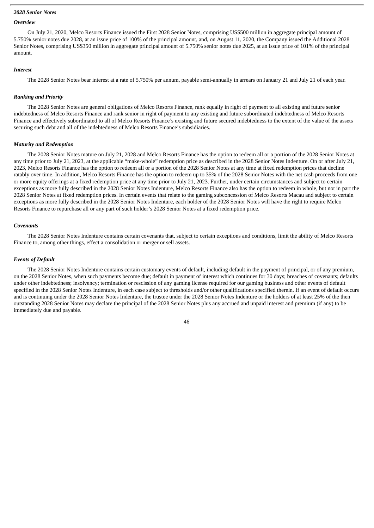### *2028 Senior Notes*

# *Overview*

On July 21, 2020, Melco Resorts Finance issued the First 2028 Senior Notes, comprising US\$500 million in aggregate principal amount of 5.750% senior notes due 2028, at an issue price of 100% of the principal amount, and, on August 11, 2020, the Company issued the Additional 2028 Senior Notes, comprising US\$350 million in aggregate principal amount of 5.750% senior notes due 2025, at an issue price of 101% of the principal amount.

#### *Interest*

The 2028 Senior Notes bear interest at a rate of 5.750% per annum, payable semi-annually in arrears on January 21 and July 21 of each year.

#### *Ranking and Priority*

The 2028 Senior Notes are general obligations of Melco Resorts Finance, rank equally in right of payment to all existing and future senior indebtedness of Melco Resorts Finance and rank senior in right of payment to any existing and future subordinated indebtedness of Melco Resorts Finance and effectively subordinated to all of Melco Resorts Finance's existing and future secured indebtedness to the extent of the value of the assets securing such debt and all of the indebtedness of Melco Resorts Finance's subsidiaries.

### *Maturity and Redemption*

The 2028 Senior Notes mature on July 21, 2028 and Melco Resorts Finance has the option to redeem all or a portion of the 2028 Senior Notes at any time prior to July 21, 2023, at the applicable "make-whole" redemption price as described in the 2028 Senior Notes Indenture. On or after July 21, 2023, Melco Resorts Finance has the option to redeem all or a portion of the 2028 Senior Notes at any time at fixed redemption prices that decline ratably over time. In addition, Melco Resorts Finance has the option to redeem up to 35% of the 2028 Senior Notes with the net cash proceeds from one or more equity offerings at a fixed redemption price at any time prior to July 21, 2023. Further, under certain circumstances and subject to certain exceptions as more fully described in the 2028 Senior Notes Indenture, Melco Resorts Finance also has the option to redeem in whole, but not in part the 2028 Senior Notes at fixed redemption prices. In certain events that relate to the gaming subconcession of Melco Resorts Macau and subject to certain exceptions as more fully described in the 2028 Senior Notes Indenture, each holder of the 2028 Senior Notes will have the right to require Melco Resorts Finance to repurchase all or any part of such holder's 2028 Senior Notes at a fixed redemption price.

#### *Covenants*

The 2028 Senior Notes Indenture contains certain covenants that, subject to certain exceptions and conditions, limit the ability of Melco Resorts Finance to, among other things, effect a consolidation or merger or sell assets.

#### *Events of Default*

The 2028 Senior Notes Indenture contains certain customary events of default, including default in the payment of principal, or of any premium, on the 2028 Senior Notes, when such payments become due; default in payment of interest which continues for 30 days; breaches of covenants; defaults under other indebtedness; insolvency; termination or rescission of any gaming license required for our gaming business and other events of default specified in the 2028 Senior Notes Indenture, in each case subject to thresholds and/or other qualifications specified therein. If an event of default occurs and is continuing under the 2028 Senior Notes Indenture, the trustee under the 2028 Senior Notes Indenture or the holders of at least 25% of the then outstanding 2028 Senior Notes may declare the principal of the 2028 Senior Notes plus any accrued and unpaid interest and premium (if any) to be immediately due and payable.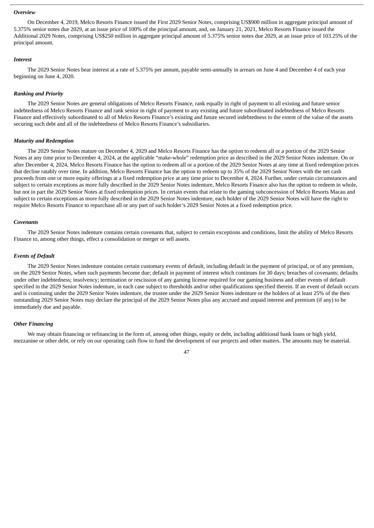#### *Overview*

On December 4, 2019, Melco Resorts Finance issued the First 2029 Senior Notes, comprising US\$900 million in aggregate principal amount of 5.375% senior notes due 2029, at an issue price of 100% of the principal amount, and, on January 21, 2021, Melco Resorts Finance issued the Additional 2029 Notes, comprising US\$250 million in aggregate principal amount of 5.375% senior notes due 2029, at an issue price of 103.25% of the principal amount.

### *Interest*

The 2029 Senior Notes bear interest at a rate of 5.375% per annum, payable semi-annually in arrears on June 4 and December 4 of each year beginning on June 4, 2020.

### *Ranking and Priority*

The 2029 Senior Notes are general obligations of Melco Resorts Finance, rank equally in right of payment to all existing and future senior indebtedness of Melco Resorts Finance and rank senior in right of payment to any existing and future subordinated indebtedness of Melco Resorts Finance and effectively subordinated to all of Melco Resorts Finance's existing and future secured indebtedness to the extent of the value of the assets securing such debt and all of the indebtedness of Melco Resorts Finance's subsidiaries.

### *Maturity and Redemption*

The 2029 Senior Notes mature on December 4, 2029 and Melco Resorts Finance has the option to redeem all or a portion of the 2029 Senior Notes at any time prior to December 4, 2024, at the applicable "make-whole" redemption price as described in the 2029 Senior Notes indenture. On or after December 4, 2024, Melco Resorts Finance has the option to redeem all or a portion of the 2029 Senior Notes at any time at fixed redemption prices that decline ratably over time. In addition, Melco Resorts Finance has the option to redeem up to 35% of the 2029 Senior Notes with the net cash proceeds from one or more equity offerings at a fixed redemption price at any time prior to December 4, 2024. Further, under certain circumstances and subject to certain exceptions as more fully described in the 2029 Senior Notes indenture, Melco Resorts Finance also has the option to redeem in whole, but not in part the 2029 Senior Notes at fixed redemption prices. In certain events that relate to the gaming subconcession of Melco Resorts Macau and subject to certain exceptions as more fully described in the 2029 Senior Notes indenture, each holder of the 2029 Senior Notes will have the right to require Melco Resorts Finance to repurchase all or any part of such holder's 2029 Senior Notes at a fixed redemption price.

### *Covenants*

The 2029 Senior Notes indenture contains certain covenants that, subject to certain exceptions and conditions, limit the ability of Melco Resorts Finance to, among other things, effect a consolidation or merger or sell assets.

### *Events of Default*

The 2029 Senior Notes indenture contains certain customary events of default, including default in the payment of principal, or of any premium, on the 2029 Senior Notes, when such payments become due; default in payment of interest which continues for 30 days; breaches of covenants; defaults under other indebtedness; insolvency; termination or rescission of any gaming license required for our gaming business and other events of default specified in the 2029 Senior Notes indenture, in each case subject to thresholds and/or other qualifications specified therein. If an event of default occurs and is continuing under the 2029 Senior Notes indenture, the trustee under the 2029 Senior Notes indenture or the holders of at least 25% of the then outstanding 2029 Senior Notes may declare the principal of the 2029 Senior Notes plus any accrued and unpaid interest and premium (if any) to be immediately due and payable.

### *Other Financing*

We may obtain financing or refinancing in the form of, among other things, equity or debt, including additional bank loans or high yield, mezzanine or other debt, or rely on our operating cash flow to fund the development of our projects and other matters. The amounts may be material.

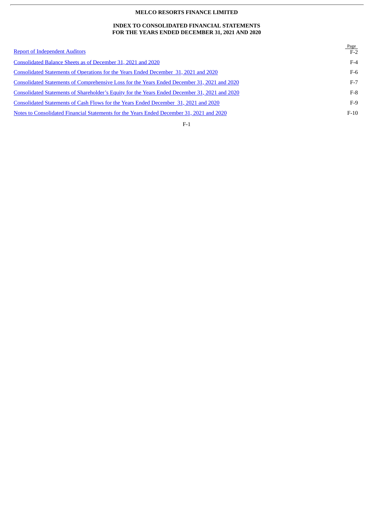### **INDEX TO CONSOLIDATED FINANCIAL STATEMENTS FOR THE YEARS ENDED DECEMBER 31, 2021 AND 2020**

| <b>Report of Independent Auditors</b>                                                          | Page<br>$F-2$ |
|------------------------------------------------------------------------------------------------|---------------|
| Consolidated Balance Sheets as of December 31, 2021 and 2020                                   | $F-4$         |
| <b>Consolidated Statements of Operations for the Years Ended December 31, 2021 and 2020</b>    | $F-6$         |
| Consolidated Statements of Comprehensive Loss for the Years Ended December 31, 2021 and 2020   | $F-7$         |
| Consolidated Statements of Shareholder's Equity for the Years Ended December 31, 2021 and 2020 | $F-8$         |
| Consolidated Statements of Cash Flows for the Years Ended December 31, 2021 and 2020           | $F-9$         |
| Notes to Consolidated Financial Statements for the Years Ended December 31, 2021 and 2020      | $F-10$        |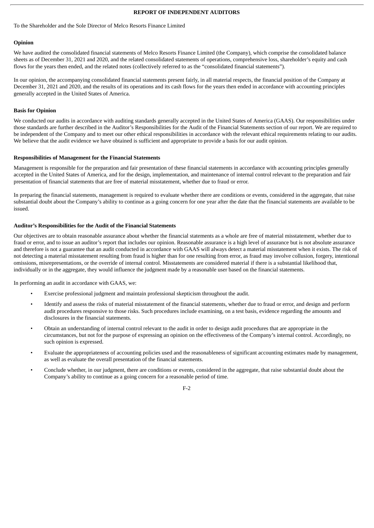# **REPORT OF INDEPENDENT AUDITORS**

### <span id="page-54-0"></span>To the Shareholder and the Sole Director of Melco Resorts Finance Limited

### **Opinion**

We have audited the consolidated financial statements of Melco Resorts Finance Limited (the Company), which comprise the consolidated balance sheets as of December 31, 2021 and 2020, and the related consolidated statements of operations, comprehensive loss, shareholder's equity and cash flows for the years then ended, and the related notes (collectively referred to as the "consolidated financial statements").

In our opinion, the accompanying consolidated financial statements present fairly, in all material respects, the financial position of the Company at December 31, 2021 and 2020, and the results of its operations and its cash flows for the years then ended in accordance with accounting principles generally accepted in the United States of America.

### **Basis for Opinion**

We conducted our audits in accordance with auditing standards generally accepted in the United States of America (GAAS). Our responsibilities under those standards are further described in the Auditor's Responsibilities for the Audit of the Financial Statements section of our report. We are required to be independent of the Company and to meet our other ethical responsibilities in accordance with the relevant ethical requirements relating to our audits. We believe that the audit evidence we have obtained is sufficient and appropriate to provide a basis for our audit opinion.

### **Responsibilities of Management for the Financial Statements**

Management is responsible for the preparation and fair presentation of these financial statements in accordance with accounting principles generally accepted in the United States of America, and for the design, implementation, and maintenance of internal control relevant to the preparation and fair presentation of financial statements that are free of material misstatement, whether due to fraud or error.

In preparing the financial statements, management is required to evaluate whether there are conditions or events, considered in the aggregate, that raise substantial doubt about the Company's ability to continue as a going concern for one year after the date that the financial statements are available to be issued.

### **Auditor's Responsibilities for the Audit of the Financial Statements**

Our objectives are to obtain reasonable assurance about whether the financial statements as a whole are free of material misstatement, whether due to fraud or error, and to issue an auditor's report that includes our opinion. Reasonable assurance is a high level of assurance but is not absolute assurance and therefore is not a guarantee that an audit conducted in accordance with GAAS will always detect a material misstatement when it exists. The risk of not detecting a material misstatement resulting from fraud is higher than for one resulting from error, as fraud may involve collusion, forgery, intentional omissions, misrepresentations, or the override of internal control. Misstatements are considered material if there is a substantial likelihood that, individually or in the aggregate, they would influence the judgment made by a reasonable user based on the financial statements.

In performing an audit in accordance with GAAS, we:

- Exercise professional judgment and maintain professional skepticism throughout the audit.
- Identify and assess the risks of material misstatement of the financial statements, whether due to fraud or error, and design and perform audit procedures responsive to those risks. Such procedures include examining, on a test basis, evidence regarding the amounts and disclosures in the financial statements.
- Obtain an understanding of internal control relevant to the audit in order to design audit procedures that are appropriate in the circumstances, but not for the purpose of expressing an opinion on the effectiveness of the Company's internal control. Accordingly, no such opinion is expressed.
- Evaluate the appropriateness of accounting policies used and the reasonableness of significant accounting estimates made by management, as well as evaluate the overall presentation of the financial statements.
- Conclude whether, in our judgment, there are conditions or events, considered in the aggregate, that raise substantial doubt about the Company's ability to continue as a going concern for a reasonable period of time.

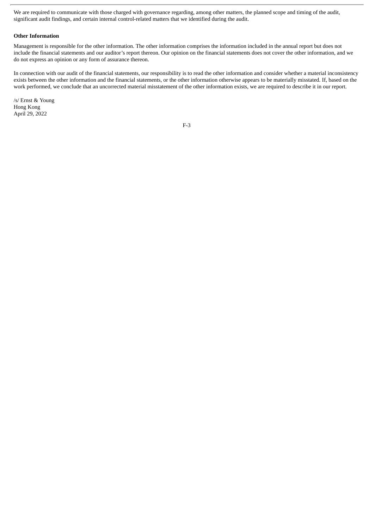We are required to communicate with those charged with governance regarding, among other matters, the planned scope and timing of the audit, significant audit findings, and certain internal control-related matters that we identified during the audit.

# **Other Information**

Management is responsible for the other information. The other information comprises the information included in the annual report but does not include the financial statements and our auditor's report thereon. Our opinion on the financial statements does not cover the other information, and we do not express an opinion or any form of assurance thereon.

In connection with our audit of the financial statements, our responsibility is to read the other information and consider whether a material inconsistency exists between the other information and the financial statements, or the other information otherwise appears to be materially misstated. If, based on the work performed, we conclude that an uncorrected material misstatement of the other information exists, we are required to describe it in our report.

/s/ Ernst & Young Hong Kong April 29, 2022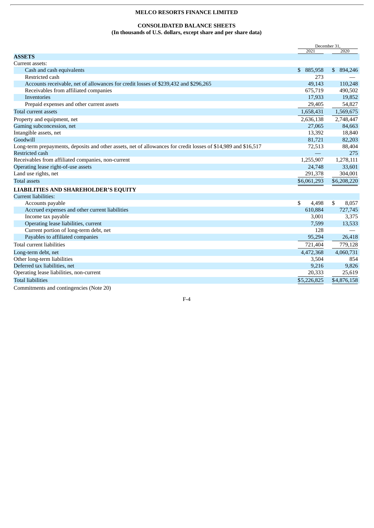# **CONSOLIDATED BALANCE SHEETS**

**(In thousands of U.S. dollars, except share and per share data)**

<span id="page-56-0"></span>

|                                                                                                                |               | December 31, |
|----------------------------------------------------------------------------------------------------------------|---------------|--------------|
|                                                                                                                | 2021          | 2020         |
| <b>ASSETS</b>                                                                                                  |               |              |
| Current assets:                                                                                                |               |              |
| Cash and cash equivalents                                                                                      | \$<br>885,958 | \$894,246    |
| Restricted cash                                                                                                | 273           |              |
| Accounts receivable, net of allowances for credit losses of \$239,432 and \$296,265                            | 49,143        | 110,248      |
| Receivables from affiliated companies                                                                          | 675,719       | 490,502      |
| Inventories                                                                                                    | 17,933        | 19,852       |
| Prepaid expenses and other current assets                                                                      | 29,405        | 54,827       |
| Total current assets                                                                                           | 1,658,431     | 1,569,675    |
| Property and equipment, net                                                                                    | 2,636,138     | 2,748,447    |
| Gaming subconcession, net                                                                                      | 27,065        | 84,663       |
| Intangible assets, net                                                                                         | 13,392        | 18,840       |
| Goodwill                                                                                                       | 81,721        | 82,203       |
| Long-term prepayments, deposits and other assets, net of allowances for credit losses of \$14,989 and \$16,517 | 72,513        | 88,404       |
| Restricted cash                                                                                                |               | 275          |
| Receivables from affiliated companies, non-current                                                             | 1,255,907     | 1,278,111    |
| Operating lease right-of-use assets                                                                            | 24,748        | 33,601       |
| Land use rights, net                                                                                           | 291,378       | 304,001      |
| <b>Total assets</b>                                                                                            | \$6,061,293   | \$6,208,220  |
| <b>LIABILITIES AND SHAREHOLDER'S EQUITY</b>                                                                    |               |              |
| Current liabilities:                                                                                           |               |              |
| Accounts payable                                                                                               | \$<br>4,498   | \$<br>8,057  |
| Accrued expenses and other current liabilities                                                                 | 610,884       | 727,745      |
| Income tax payable                                                                                             | 3,001         | 3,375        |
| Operating lease liabilities, current                                                                           | 7,599         | 13,533       |
| Current portion of long-term debt, net                                                                         | 128           |              |
| Payables to affiliated companies                                                                               | 95,294        | 26,418       |
| Total current liabilities                                                                                      | 721,404       | 779,128      |
| Long-term debt, net                                                                                            | 4,472,368     | 4,060,731    |
| Other long-term liabilities                                                                                    | 3,504         | 854          |
| Deferred tax liabilities, net                                                                                  | 9,216         | 9,826        |
| Operating lease liabilities, non-current                                                                       | 20,333        | 25,619       |
| <b>Total liabilities</b>                                                                                       | \$5,226,825   | \$4,876,158  |
|                                                                                                                |               |              |

Commitments and contingencies (Note 20)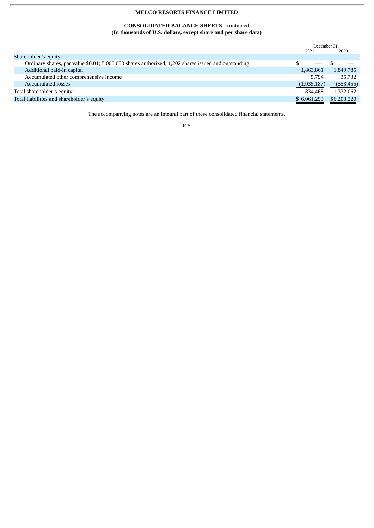# **CONSOLIDATED BALANCE SHEETS -** continued **(In thousands of U.S. dollars, except share and per share data)**

|                                                                                                     | December 31, |             |
|-----------------------------------------------------------------------------------------------------|--------------|-------------|
|                                                                                                     | 2021         | 2020        |
| Shareholder's equity:                                                                               |              |             |
| Ordinary shares, par value \$0.01; 5,000,000 shares authorized; 1,202 shares issued and outstanding |              |             |
| Additional paid-in capital                                                                          | 1,863,861    | 1,849,785   |
| Accumulated other comprehensive income                                                              | 5.794        | 35,732      |
| <b>Accumulated losses</b>                                                                           | (1,035,187)  | (553, 455)  |
| Total shareholder's equity                                                                          | 834,468      | 1,332,062   |
| Total liabilities and shareholder's equity                                                          | \$6,061,293  | \$6,208,220 |

The accompanying notes are an integral part of these consolidated financial statements.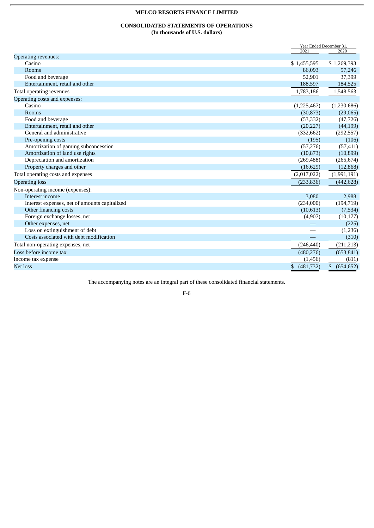# **CONSOLIDATED STATEMENTS OF OPERATIONS (In thousands of U.S. dollars)**

<span id="page-58-0"></span>

|                                               | Year Ended December 31. |                  |
|-----------------------------------------------|-------------------------|------------------|
|                                               | 2021                    | 2020             |
| Operating revenues:                           |                         |                  |
| Casino                                        | \$1,455,595             | \$1,269,393      |
| Rooms                                         | 86,093                  | 57,246           |
| Food and beverage                             | 52,901                  | 37,399           |
| Entertainment, retail and other               | 188,597                 | 184,525          |
| Total operating revenues                      | 1,783,186               | 1,548,563        |
| Operating costs and expenses:                 |                         |                  |
| Casino                                        | (1,225,467)             | (1,230,686)      |
| Rooms                                         | (30, 873)               | (29,065)         |
| Food and beverage                             | (53, 332)               | (47, 726)        |
| Entertainment, retail and other               | (20, 227)               | (44, 199)        |
| General and administrative                    | (332, 662)              | (292, 557)       |
| Pre-opening costs                             | (195)                   | (106)            |
| Amortization of gaming subconcession          | (57, 276)               | (57, 411)        |
| Amortization of land use rights               | (10, 873)               | (10, 899)        |
| Depreciation and amortization                 | (269, 488)              | (265, 674)       |
| Property charges and other                    | (16, 629)               | (12, 868)        |
| Total operating costs and expenses            | (2,017,022)             | (1,991,191)      |
| <b>Operating loss</b>                         | (233, 836)              | (442, 628)       |
| Non-operating income (expenses):              |                         |                  |
| Interest income                               | 3,080                   | 2,988            |
| Interest expenses, net of amounts capitalized | (234,000)               | (194, 719)       |
| Other financing costs                         | (10,613)                | (7,534)          |
| Foreign exchange losses, net                  | (4,907)                 | (10, 177)        |
| Other expenses, net                           |                         | (225)            |
| Loss on extinguishment of debt                |                         | (1,236)          |
| Costs associated with debt modification       |                         | (310)            |
| Total non-operating expenses, net             | (246, 440)              | (211, 213)       |
| Loss before income tax                        | (480, 276)              | (653, 841)       |
| Income tax expense                            | (1, 456)                | (811)            |
| Net loss                                      | (481, 732)<br>\$        | \$<br>(654, 652) |
|                                               |                         |                  |

The accompanying notes are an integral part of these consolidated financial statements.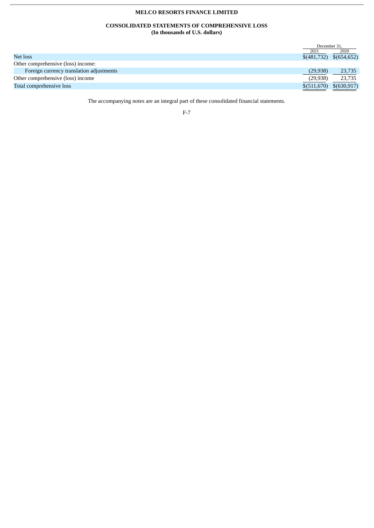# **CONSOLIDATED STATEMENTS OF COMPREHENSIVE LOSS (In thousands of U.S. dollars)**

<span id="page-59-0"></span>

| December 31. |                                  |
|--------------|----------------------------------|
| 2021         | 2020                             |
|              | $\{(481,732)\quad \{(654,652)\}$ |
|              |                                  |
| (29, 938)    | 23,735                           |
| (29, 938)    | 23,735                           |
|              | \$(630,917)                      |
|              | \$ (511,670)                     |

The accompanying notes are an integral part of these consolidated financial statements.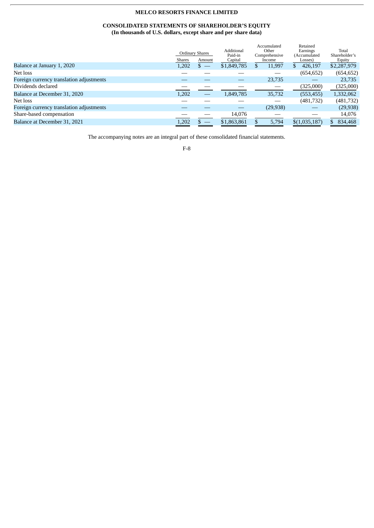# **CONSOLIDATED STATEMENTS OF SHAREHOLDER'S EQUITY (In thousands of U.S. dollars, except share and per share data)**

<span id="page-60-0"></span>

|                                          | <b>Shares</b> | Ordinary Shares<br>Amount | Additional<br>Paid-in<br>Capital | Accumulated<br>Other<br>Comprehensive<br>Income | Retained<br>Earnings<br>(Accumulated<br>Losses) | Total<br>Shareholder's<br>Equity |
|------------------------------------------|---------------|---------------------------|----------------------------------|-------------------------------------------------|-------------------------------------------------|----------------------------------|
| Balance at January 1, 2020               | 1,202         | $s =$                     | \$1,849,785                      | 11,997<br>Ж                                     | 426,197<br>S.                                   | \$2,287,979                      |
| Net loss                                 |               |                           |                                  |                                                 | (654, 652)                                      | (654, 652)                       |
| Foreign currency translation adjustments |               |                           |                                  | 23,735                                          |                                                 | 23,735                           |
| Dividends declared                       |               |                           |                                  |                                                 | (325,000)                                       | (325,000)                        |
| Balance at December 31, 2020             | 1,202         | __                        | 1,849,785                        | 35,732                                          | (553, 455)                                      | 1,332,062                        |
| Net loss                                 |               |                           |                                  |                                                 | (481, 732)                                      | (481, 732)                       |
| Foreign currency translation adjustments |               |                           |                                  | (29, 938)                                       |                                                 | (29, 938)                        |
| Share-based compensation                 |               |                           | 14,076                           |                                                 |                                                 | 14,076                           |
| Balance at December 31, 2021             | 1,202         |                           | \$1,863,861                      | 5,794                                           | \$(1,035,187)                                   | 834,468                          |
|                                          |               |                           |                                  |                                                 |                                                 |                                  |

The accompanying notes are an integral part of these consolidated financial statements.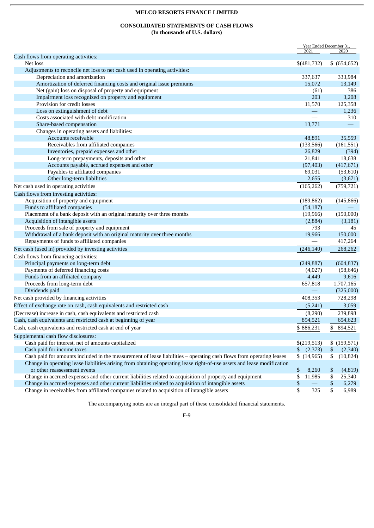# **CONSOLIDATED STATEMENTS OF CASH FLOWS (In thousands of U.S. dollars)**

<span id="page-61-0"></span>

|                                                                                                                         |                   | Year Ended December 31,  |
|-------------------------------------------------------------------------------------------------------------------------|-------------------|--------------------------|
|                                                                                                                         | 2021              | 2020                     |
| Cash flows from operating activities:<br>Net loss                                                                       | \$(481,732)       | \$ (654, 652)            |
|                                                                                                                         |                   |                          |
| Adjustments to reconcile net loss to net cash used in operating activities:                                             |                   |                          |
| Depreciation and amortization<br>Amortization of deferred financing costs and original issue premiums                   | 337,637<br>15.072 | 333,984<br>13,149        |
| Net (gain) loss on disposal of property and equipment                                                                   |                   | 386                      |
|                                                                                                                         | (61)<br>203       |                          |
| Impairment loss recognized on property and equipment<br>Provision for credit losses                                     |                   | 3,208                    |
|                                                                                                                         | 11,570            | 125,358                  |
| Loss on extinguishment of debt<br>Costs associated with debt modification                                               |                   | 1,236<br>310             |
|                                                                                                                         |                   |                          |
| Share-based compensation                                                                                                | 13,771            | $\overline{\phantom{m}}$ |
| Changes in operating assets and liabilities:                                                                            |                   |                          |
| Accounts receivable                                                                                                     | 48,891            | 35,559                   |
| Receivables from affiliated companies                                                                                   | (133, 566)        | (161, 551)               |
| Inventories, prepaid expenses and other                                                                                 | 26,829            | (394)                    |
| Long-term prepayments, deposits and other                                                                               | 21,841            | 18,638                   |
| Accounts payable, accrued expenses and other                                                                            | (97, 403)         | (417, 671)               |
| Payables to affiliated companies                                                                                        | 69,031            | (53, 610)                |
| Other long-term liabilities                                                                                             | 2,655             | (3,671)                  |
| Net cash used in operating activities                                                                                   | (165, 262)        | (759, 721)               |
| Cash flows from investing activities:                                                                                   |                   |                          |
| Acquisition of property and equipment                                                                                   | (189, 862)        | (145, 866)               |
| Funds to affiliated companies                                                                                           | (54, 187)         |                          |
| Placement of a bank deposit with an original maturity over three months                                                 | (19,966)          | (150,000)                |
| Acquisition of intangible assets                                                                                        | (2,884)           | (3, 181)                 |
| Proceeds from sale of property and equipment                                                                            | 793               | 45                       |
| Withdrawal of a bank deposit with an original maturity over three months                                                | 19,966            | 150,000                  |
| Repayments of funds to affiliated companies                                                                             |                   | 417,264                  |
| Net cash (used in) provided by investing activities                                                                     | (246, 140)        | 268,262                  |
| Cash flows from financing activities:                                                                                   |                   |                          |
| Principal payments on long-term debt                                                                                    | (249, 887)        | (604, 837)               |
| Payments of deferred financing costs                                                                                    | (4,027)           | (58, 646)                |
| Funds from an affiliated company                                                                                        | 4,449             | 9,616                    |
| Proceeds from long-term debt                                                                                            | 657,818           | 1,707,165                |
| Dividends paid                                                                                                          |                   | (325,000)                |
| Net cash provided by financing activities                                                                               | 408,353           | 728,298                  |
| Effect of exchange rate on cash, cash equivalents and restricted cash                                                   | (5,241)           | 3,059                    |
| (Decrease) increase in cash, cash equivalents and restricted cash                                                       | (8,290)           | 239,898                  |
| Cash, cash equivalents and restricted cash at beginning of year                                                         | 894,521           | 654,623                  |
|                                                                                                                         |                   |                          |
| Cash, cash equivalents and restricted cash at end of year                                                               | \$886,231         | \$ 894,521               |
| Supplemental cash flow disclosures:                                                                                     |                   |                          |
| Cash paid for interest, net of amounts capitalized                                                                      | \$(219,513)       | \$(159,571)              |
| Cash paid for income taxes                                                                                              | (2,373)           | \$<br>(2,340)            |
| Cash paid for amounts included in the measurement of lease liabilities - operating cash flows from operating leases     | \$(14,965)        | \$<br>(10, 824)          |
| Change in operating lease liabilities arising from obtaining operating lease right-of-use assets and lease modification |                   |                          |
| or other reassessment events                                                                                            | \$<br>8,260       | \$<br>(4,819)            |
| Change in accrued expenses and other current liabilities related to acquisition of property and equipment               | \$<br>11,985      | \$<br>25,340             |
| Change in accrued expenses and other current liabilities related to acquisition of intangible assets                    | \$                | \$<br>6,279              |
| Change in receivables from affiliated companies related to acquisition of intangible assets                             | \$<br>325         | \$<br>6,989              |

The accompanying notes are an integral part of these consolidated financial statements.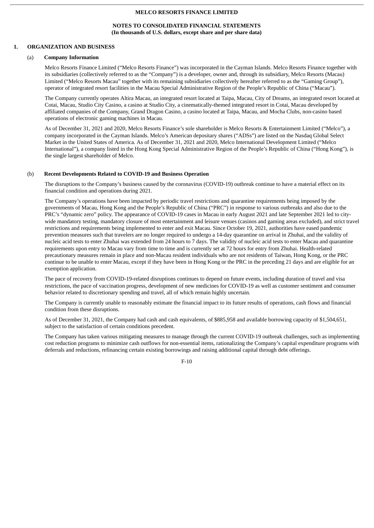# **NOTES TO CONSOLIDATED FINANCIAL STATEMENTS (In thousands of U.S. dollars, except share and per share data)**

### <span id="page-62-0"></span>**1. ORGANIZATION AND BUSINESS**

### (a) **Company Information**

Melco Resorts Finance Limited ("Melco Resorts Finance") was incorporated in the Cayman Islands. Melco Resorts Finance together with its subsidiaries (collectively referred to as the "Company") is a developer, owner and, through its subsidiary, Melco Resorts (Macau) Limited ("Melco Resorts Macau" together with its remaining subsidiaries collectively hereafter referred to as the "Gaming Group"), operator of integrated resort facilities in the Macau Special Administrative Region of the People's Republic of China ("Macau").

The Company currently operates Altira Macau, an integrated resort located at Taipa, Macau, City of Dreams, an integrated resort located at Cotai, Macau, Studio City Casino, a casino at Studio City, a cinematically-themed integrated resort in Cotai, Macau developed by affiliated companies of the Company, Grand Dragon Casino, a casino located at Taipa, Macau, and Mocha Clubs, non-casino based operations of electronic gaming machines in Macau.

As of December 31, 2021 and 2020, Melco Resorts Finance's sole shareholder is Melco Resorts & Entertainment Limited ("Melco"), a company incorporated in the Cayman Islands. Melco's American depositary shares ("ADSs") are listed on the Nasdaq Global Select Market in the United States of America. As of December 31, 2021 and 2020, Melco International Development Limited ("Melco International"), a company listed in the Hong Kong Special Administrative Region of the People's Republic of China ("Hong Kong"), is the single largest shareholder of Melco.

# (b) **Recent Developments Related to COVID-19 and Business Operation**

The disruptions to the Company's business caused by the coronavirus (COVID-19) outbreak continue to have a material effect on its financial condition and operations during 2021.

The Company's operations have been impacted by periodic travel restrictions and quarantine requirements being imposed by the governments of Macau, Hong Kong and the People's Republic of China ("PRC") in response to various outbreaks and also due to the PRC's "dynamic zero" policy. The appearance of COVID-19 cases in Macau in early August 2021 and late September 2021 led to citywide mandatory testing, mandatory closure of most entertainment and leisure venues (casinos and gaming areas excluded), and strict travel restrictions and requirements being implemented to enter and exit Macau. Since October 19, 2021, authorities have eased pandemic prevention measures such that travelers are no longer required to undergo a 14-day quarantine on arrival in Zhuhai, and the validity of nucleic acid tests to enter Zhuhai was extended from 24 hours to 7 days. The validity of nucleic acid tests to enter Macau and quarantine requirements upon entry to Macau vary from time to time and is currently set at 72 hours for entry from Zhuhai. Health-related precautionary measures remain in place and non-Macau resident individuals who are not residents of Taiwan, Hong Kong, or the PRC continue to be unable to enter Macau, except if they have been in Hong Kong or the PRC in the preceding 21 days and are eligible for an exemption application.

The pace of recovery from COVID-19-related disruptions continues to depend on future events, including duration of travel and visa restrictions, the pace of vaccination progress, development of new medicines for COVID-19 as well as customer sentiment and consumer behavior related to discretionary spending and travel, all of which remain highly uncertain.

The Company is currently unable to reasonably estimate the financial impact to its future results of operations, cash flows and financial condition from these disruptions.

As of December 31, 2021, the Company had cash and cash equivalents, of \$885,958 and available borrowing capacity of \$1,504,651, subject to the satisfaction of certain conditions precedent.

The Company has taken various mitigating measures to manage through the current COVID-19 outbreak challenges, such as implementing cost reduction programs to minimize cash outflows for non-essential items, rationalizing the Company's capital expenditure programs with deferrals and reductions, refinancing certain existing borrowings and raising additional capital through debt offerings.

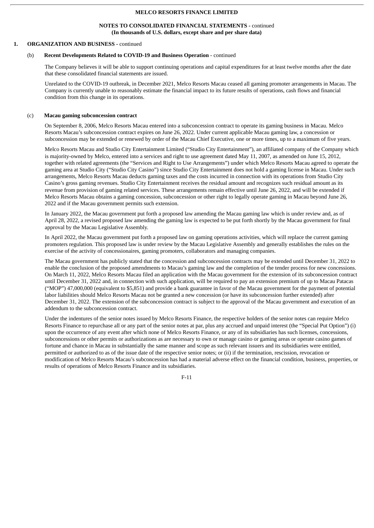# **NOTES TO CONSOLIDATED FINANCIAL STATEMENTS -** continued **(In thousands of U.S. dollars, except share and per share data)**

# **1. ORGANIZATION AND BUSINESS -** continued

# (b) **Recent Developments Related to COVID-19 and Business Operation** - continued

The Company believes it will be able to support continuing operations and capital expenditures for at least twelve months after the date that these consolidated financial statements are issued.

Unrelated to the COVID-19 outbreak, in December 2021, Melco Resorts Macau ceased all gaming promoter arrangements in Macau. The Company is currently unable to reasonably estimate the financial impact to its future results of operations, cash flows and financial condition from this change in its operations.

#### (c) **Macau gaming subconcession contract**

On September 8, 2006, Melco Resorts Macau entered into a subconcession contract to operate its gaming business in Macau. Melco Resorts Macau's subconcession contract expires on June 26, 2022. Under current applicable Macau gaming law, a concession or subconcession may be extended or renewed by order of the Macau Chief Executive, one or more times, up to a maximum of five years.

Melco Resorts Macau and Studio City Entertainment Limited ("Studio City Entertainment"), an affiliated company of the Company which is majority-owned by Melco, entered into a services and right to use agreement dated May 11, 2007, as amended on June 15, 2012, together with related agreements (the "Services and Right to Use Arrangements") under which Melco Resorts Macau agreed to operate the gaming area at Studio City ("Studio City Casino") since Studio City Entertainment does not hold a gaming license in Macau. Under such arrangements, Melco Resorts Macau deducts gaming taxes and the costs incurred in connection with its operations from Studio City Casino's gross gaming revenues. Studio City Entertainment receives the residual amount and recognizes such residual amount as its revenue from provision of gaming related services. These arrangements remain effective until June 26, 2022, and will be extended if Melco Resorts Macau obtains a gaming concession, subconcession or other right to legally operate gaming in Macau beyond June 26, 2022 and if the Macau government permits such extension.

In January 2022, the Macau government put forth a proposed law amending the Macau gaming law which is under review and, as of April 28, 2022, a revised proposed law amending the gaming law is expected to be put forth shortly by the Macau government for final approval by the Macau Legislative Assembly.

In April 2022, the Macau government put forth a proposed law on gaming operations activities, which will replace the current gaming promoters regulation. This proposed law is under review by the Macau Legislative Assembly and generally establishes the rules on the exercise of the activity of concessionaires, gaming promoters, collaborators and managing companies.

The Macau government has publicly stated that the concession and subconcession contracts may be extended until December 31, 2022 to enable the conclusion of the proposed amendments to Macau's gaming law and the completion of the tender process for new concessions. On March 11, 2022, Melco Resorts Macau filed an application with the Macau government for the extension of its subconcession contract until December 31, 2022 and, in connection with such application, will be required to pay an extension premium of up to Macau Patacas ("MOP") 47,000,000 (equivalent to \$5,851) and provide a bank guarantee in favor of the Macau government for the payment of potential labor liabilities should Melco Resorts Macau not be granted a new concession (or have its subconcession further extended) after December 31, 2022. The extension of the subconcession contract is subject to the approval of the Macau government and execution of an addendum to the subconcession contract.

Under the indentures of the senior notes issued by Melco Resorts Finance, the respective holders of the senior notes can require Melco Resorts Finance to repurchase all or any part of the senior notes at par, plus any accrued and unpaid interest (the "Special Put Option") (i) upon the occurrence of any event after which none of Melco Resorts Finance, or any of its subsidiaries has such licenses, concessions, subconcessions or other permits or authorizations as are necessary to own or manage casino or gaming areas or operate casino games of fortune and chance in Macau in substantially the same manner and scope as such relevant issuers and its subsidiaries were entitled, permitted or authorized to as of the issue date of the respective senior notes; or (ii) if the termination, rescission, revocation or modification of Melco Resorts Macau's subconcession has had a material adverse effect on the financial condition, business, properties, or results of operations of Melco Resorts Finance and its subsidiaries.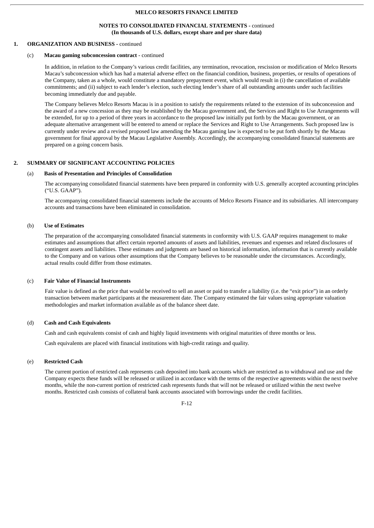### **NOTES TO CONSOLIDATED FINANCIAL STATEMENTS -** continued **(In thousands of U.S. dollars, except share and per share data)**

# **1. ORGANIZATION AND BUSINESS -** continued

### (c) **Macau gaming subconcession contract** - continued

In addition, in relation to the Company's various credit facilities, any termination, revocation, rescission or modification of Melco Resorts Macau's subconcession which has had a material adverse effect on the financial condition, business, properties, or results of operations of the Company, taken as a whole, would constitute a mandatory prepayment event, which would result in (i) the cancellation of available commitments; and (ii) subject to each lender's election, such electing lender's share of all outstanding amounts under such facilities becoming immediately due and payable.

The Company believes Melco Resorts Macau is in a position to satisfy the requirements related to the extension of its subconcession and the award of a new concession as they may be established by the Macau government and, the Services and Right to Use Arrangements will be extended, for up to a period of three years in accordance to the proposed law initially put forth by the Macau government, or an adequate alternative arrangement will be entered to amend or replace the Services and Right to Use Arrangements. Such proposed law is currently under review and a revised proposed law amending the Macau gaming law is expected to be put forth shortly by the Macau government for final approval by the Macau Legislative Assembly. Accordingly, the accompanying consolidated financial statements are prepared on a going concern basis.

# **2. SUMMARY OF SIGNIFICANT ACCOUNTING POLICIES**

### (a) **Basis of Presentation and Principles of Consolidation**

The accompanying consolidated financial statements have been prepared in conformity with U.S. generally accepted accounting principles ("U.S. GAAP").

The accompanying consolidated financial statements include the accounts of Melco Resorts Finance and its subsidiaries. All intercompany accounts and transactions have been eliminated in consolidation.

### (b) **Use of Estimates**

The preparation of the accompanying consolidated financial statements in conformity with U.S. GAAP requires management to make estimates and assumptions that affect certain reported amounts of assets and liabilities, revenues and expenses and related disclosures of contingent assets and liabilities. These estimates and judgments are based on historical information, information that is currently available to the Company and on various other assumptions that the Company believes to be reasonable under the circumstances. Accordingly, actual results could differ from those estimates.

### (c) **Fair Value of Financial Instruments**

Fair value is defined as the price that would be received to sell an asset or paid to transfer a liability (i.e. the "exit price") in an orderly transaction between market participants at the measurement date. The Company estimated the fair values using appropriate valuation methodologies and market information available as of the balance sheet date.

### (d) **Cash and Cash Equivalents**

Cash and cash equivalents consist of cash and highly liquid investments with original maturities of three months or less.

Cash equivalents are placed with financial institutions with high-credit ratings and quality.

# (e) **Restricted Cash**

The current portion of restricted cash represents cash deposited into bank accounts which are restricted as to withdrawal and use and the Company expects these funds will be released or utilized in accordance with the terms of the respective agreements within the next twelve months, while the non-current portion of restricted cash represents funds that will not be released or utilized within the next twelve months. Restricted cash consists of collateral bank accounts associated with borrowings under the credit facilities.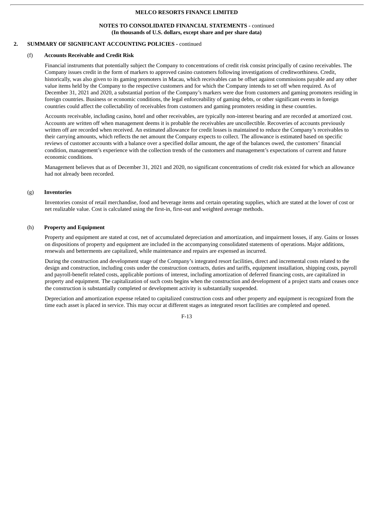### **NOTES TO CONSOLIDATED FINANCIAL STATEMENTS -** continued **(In thousands of U.S. dollars, except share and per share data)**

# **2. SUMMARY OF SIGNIFICANT ACCOUNTING POLICIES -** continued

# (f) **Accounts Receivable and Credit Risk**

Financial instruments that potentially subject the Company to concentrations of credit risk consist principally of casino receivables. The Company issues credit in the form of markers to approved casino customers following investigations of creditworthiness. Credit, historically, was also given to its gaming promoters in Macau, which receivables can be offset against commissions payable and any other value items held by the Company to the respective customers and for which the Company intends to set off when required. As of December 31, 2021 and 2020, a substantial portion of the Company's markers were due from customers and gaming promoters residing in foreign countries. Business or economic conditions, the legal enforceability of gaming debts, or other significant events in foreign countries could affect the collectability of receivables from customers and gaming promoters residing in these countries.

Accounts receivable, including casino, hotel and other receivables, are typically non-interest bearing and are recorded at amortized cost. Accounts are written off when management deems it is probable the receivables are uncollectible. Recoveries of accounts previously written off are recorded when received. An estimated allowance for credit losses is maintained to reduce the Company's receivables to their carrying amounts, which reflects the net amount the Company expects to collect. The allowance is estimated based on specific reviews of customer accounts with a balance over a specified dollar amount, the age of the balances owed, the customers' financial condition, management's experience with the collection trends of the customers and management's expectations of current and future economic conditions.

Management believes that as of December 31, 2021 and 2020, no significant concentrations of credit risk existed for which an allowance had not already been recorded.

# (g) **Inventories**

Inventories consist of retail merchandise, food and beverage items and certain operating supplies, which are stated at the lower of cost or net realizable value. Cost is calculated using the first-in, first-out and weighted average methods.

# (h) **Property and Equipment**

Property and equipment are stated at cost, net of accumulated depreciation and amortization, and impairment losses, if any. Gains or losses on dispositions of property and equipment are included in the accompanying consolidated statements of operations. Major additions, renewals and betterments are capitalized, while maintenance and repairs are expensed as incurred.

During the construction and development stage of the Company's integrated resort facilities, direct and incremental costs related to the design and construction, including costs under the construction contracts, duties and tariffs, equipment installation, shipping costs, payroll and payroll-benefit related costs, applicable portions of interest, including amortization of deferred financing costs, are capitalized in property and equipment. The capitalization of such costs begins when the construction and development of a project starts and ceases once the construction is substantially completed or development activity is substantially suspended.

Depreciation and amortization expense related to capitalized construction costs and other property and equipment is recognized from the time each asset is placed in service. This may occur at different stages as integrated resort facilities are completed and opened.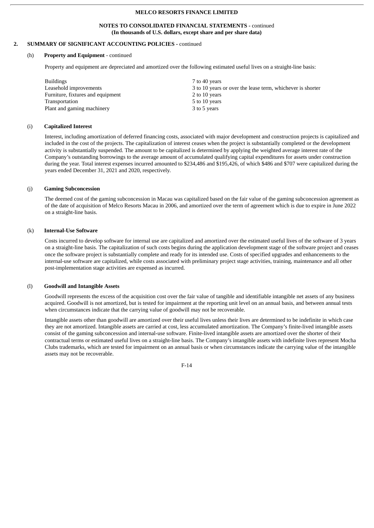### **NOTES TO CONSOLIDATED FINANCIAL STATEMENTS -** continued **(In thousands of U.S. dollars, except share and per share data)**

# **2. SUMMARY OF SIGNIFICANT ACCOUNTING POLICIES -** continued

### (h) **Property and Equipment** - continued

Property and equipment are depreciated and amortized over the following estimated useful lives on a straight-line basis:

| <b>Buildings</b>                  | 7 to 40 years                                              |
|-----------------------------------|------------------------------------------------------------|
| Leasehold improvements            | 3 to 10 years or over the lease term, whichever is shorter |
| Furniture, fixtures and equipment | 2 to 10 years                                              |
| Transportation                    | 5 to 10 years                                              |
| Plant and gaming machinery        | 3 to 5 years                                               |

# (i) **Capitalized Interest**

Interest, including amortization of deferred financing costs, associated with major development and construction projects is capitalized and included in the cost of the projects. The capitalization of interest ceases when the project is substantially completed or the development activity is substantially suspended. The amount to be capitalized is determined by applying the weighted average interest rate of the Company's outstanding borrowings to the average amount of accumulated qualifying capital expenditures for assets under construction during the year. Total interest expenses incurred amounted to \$234,486 and \$195,426, of which \$486 and \$707 were capitalized during the years ended December 31, 2021 and 2020, respectively.

# (j) **Gaming Subconcession**

The deemed cost of the gaming subconcession in Macau was capitalized based on the fair value of the gaming subconcession agreement as of the date of acquisition of Melco Resorts Macau in 2006, and amortized over the term of agreement which is due to expire in June 2022 on a straight-line basis.

### (k) **Internal-Use Software**

Costs incurred to develop software for internal use are capitalized and amortized over the estimated useful lives of the software of 3 years on a straight-line basis. The capitalization of such costs begins during the application development stage of the software project and ceases once the software project is substantially complete and ready for its intended use. Costs of specified upgrades and enhancements to the internal-use software are capitalized, while costs associated with preliminary project stage activities, training, maintenance and all other post-implementation stage activities are expensed as incurred.

### (l) **Goodwill and Intangible Assets**

Goodwill represents the excess of the acquisition cost over the fair value of tangible and identifiable intangible net assets of any business acquired. Goodwill is not amortized, but is tested for impairment at the reporting unit level on an annual basis, and between annual tests when circumstances indicate that the carrying value of goodwill may not be recoverable.

Intangible assets other than goodwill are amortized over their useful lives unless their lives are determined to be indefinite in which case they are not amortized. Intangible assets are carried at cost, less accumulated amortization. The Company's finite-lived intangible assets consist of the gaming subconcession and internal-use software. Finite-lived intangible assets are amortized over the shorter of their contractual terms or estimated useful lives on a straight-line basis. The Company's intangible assets with indefinite lives represent Mocha Clubs trademarks, which are tested for impairment on an annual basis or when circumstances indicate the carrying value of the intangible assets may not be recoverable.

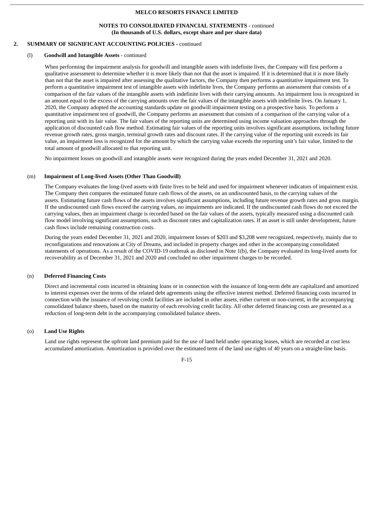### **NOTES TO CONSOLIDATED FINANCIAL STATEMENTS -** continued **(In thousands of U.S. dollars, except share and per share data)**

# **2. SUMMARY OF SIGNIFICANT ACCOUNTING POLICIES -** continued

### (l) **Goodwill and Intangible Assets** - continued

When performing the impairment analysis for goodwill and intangible assets with indefinite lives, the Company will first perform a qualitative assessment to determine whether it is more likely than not that the asset is impaired. If it is determined that it is more likely than not that the asset is impaired after assessing the qualitative factors, the Company then performs a quantitative impairment test. To perform a quantitative impairment test of intangible assets with indefinite lives, the Company performs an assessment that consists of a comparison of the fair values of the intangible assets with indefinite lives with their carrying amounts. An impairment loss is recognized in an amount equal to the excess of the carrying amounts over the fair values of the intangible assets with indefinite lives. On January 1, 2020, the Company adopted the accounting standards update on goodwill impairment testing on a prospective basis. To perform a quantitative impairment test of goodwill, the Company performs an assessment that consists of a comparison of the carrying value of a reporting unit with its fair value. The fair values of the reporting units are determined using income valuation approaches through the application of discounted cash flow method. Estimating fair values of the reporting units involves significant assumptions, including future revenue growth rates, gross margin, terminal growth rates and discount rates. If the carrying value of the reporting unit exceeds its fair value, an impairment loss is recognized for the amount by which the carrying value exceeds the reporting unit's fair value, limited to the total amount of goodwill allocated to that reporting unit.

No impairment losses on goodwill and intangible assets were recognized during the years ended December 31, 2021 and 2020.

### (m) **Impairment of Long-lived Assets (Other Than Goodwill)**

The Company evaluates the long-lived assets with finite lives to be held and used for impairment whenever indicators of impairment exist. The Company then compares the estimated future cash flows of the assets, on an undiscounted basis, to the carrying values of the assets. Estimating future cash flows of the assets involves significant assumptions, including future revenue growth rates and gross margin. If the undiscounted cash flows exceed the carrying values, no impairments are indicated. If the undiscounted cash flows do not exceed the carrying values, then an impairment charge is recorded based on the fair values of the assets, typically measured using a discounted cash flow model involving significant assumptions, such as discount rates and capitalization rates. If an asset is still under development, future cash flows include remaining construction costs.

During the years ended December 31, 2021 and 2020, impairment losses of \$203 and \$3,208 were recognized, respectively, mainly due to reconfigurations and renovations at City of Dreams, and included in property charges and other in the accompanying consolidated statements of operations. As a result of the COVID-19 outbreak as disclosed in Note 1(b), the Company evaluated its long-lived assets for recoverability as of December 31, 2021 and 2020 and concluded no other impairment charges to be recorded.

### (n) **Deferred Financing Costs**

Direct and incremental costs incurred in obtaining loans or in connection with the issuance of long-term debt are capitalized and amortized to interest expenses over the terms of the related debt agreements using the effective interest method. Deferred financing costs incurred in connection with the issuance of revolving credit facilities are included in other assets, either current or non-current, in the accompanying consolidated balance sheets, based on the maturity of each revolving credit facility. All other deferred financing costs are presented as a reduction of long-term debt in the accompanying consolidated balance sheets.

### (o) **Land Use Rights**

Land use rights represent the upfront land premium paid for the use of land held under operating leases, which are recorded at cost less accumulated amortization. Amortization is provided over the estimated term of the land use rights of 40 years on a straight-line basis.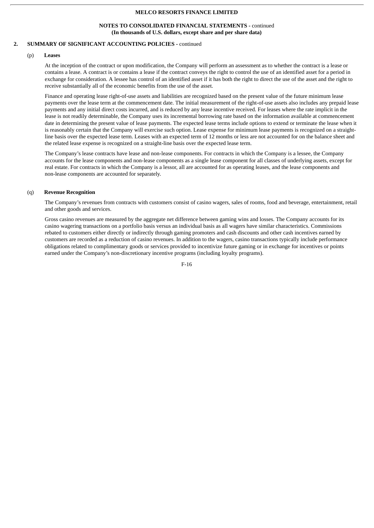### **NOTES TO CONSOLIDATED FINANCIAL STATEMENTS -** continued **(In thousands of U.S. dollars, except share and per share data)**

# **2. SUMMARY OF SIGNIFICANT ACCOUNTING POLICIES -** continued

### (p) **Leases**

At the inception of the contract or upon modification, the Company will perform an assessment as to whether the contract is a lease or contains a lease. A contract is or contains a lease if the contract conveys the right to control the use of an identified asset for a period in exchange for consideration. A lessee has control of an identified asset if it has both the right to direct the use of the asset and the right to receive substantially all of the economic benefits from the use of the asset.

Finance and operating lease right-of-use assets and liabilities are recognized based on the present value of the future minimum lease payments over the lease term at the commencement date. The initial measurement of the right-of-use assets also includes any prepaid lease payments and any initial direct costs incurred, and is reduced by any lease incentive received. For leases where the rate implicit in the lease is not readily determinable, the Company uses its incremental borrowing rate based on the information available at commencement date in determining the present value of lease payments. The expected lease terms include options to extend or terminate the lease when it is reasonably certain that the Company will exercise such option. Lease expense for minimum lease payments is recognized on a straightline basis over the expected lease term. Leases with an expected term of 12 months or less are not accounted for on the balance sheet and the related lease expense is recognized on a straight-line basis over the expected lease term.

The Company's lease contracts have lease and non-lease components. For contracts in which the Company is a lessee, the Company accounts for the lease components and non-lease components as a single lease component for all classes of underlying assets, except for real estate. For contracts in which the Company is a lessor, all are accounted for as operating leases, and the lease components and non-lease components are accounted for separately.

# (q) **Revenue Recognition**

The Company's revenues from contracts with customers consist of casino wagers, sales of rooms, food and beverage, entertainment, retail and other goods and services.

Gross casino revenues are measured by the aggregate net difference between gaming wins and losses. The Company accounts for its casino wagering transactions on a portfolio basis versus an individual basis as all wagers have similar characteristics. Commissions rebated to customers either directly or indirectly through gaming promoters and cash discounts and other cash incentives earned by customers are recorded as a reduction of casino revenues. In addition to the wagers, casino transactions typically include performance obligations related to complimentary goods or services provided to incentivize future gaming or in exchange for incentives or points earned under the Company's non-discretionary incentive programs (including loyalty programs).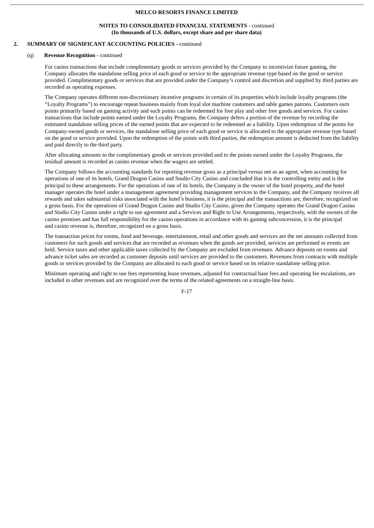### **NOTES TO CONSOLIDATED FINANCIAL STATEMENTS -** continued **(In thousands of U.S. dollars, except share and per share data)**

# **2. SUMMARY OF SIGNIFICANT ACCOUNTING POLICIES -** continued

### (q) **Revenue Recognition** - continued

For casino transactions that include complimentary goods or services provided by the Company to incentivize future gaming, the Company allocates the standalone selling price of each good or service to the appropriate revenue type based on the good or service provided. Complimentary goods or services that are provided under the Company's control and discretion and supplied by third parties are recorded as operating expenses.

The Company operates different non-discretionary incentive programs in certain of its properties which include loyalty programs (the "Loyalty Programs") to encourage repeat business mainly from loyal slot machine customers and table games patrons. Customers earn points primarily based on gaming activity and such points can be redeemed for free play and other free goods and services. For casino transactions that include points earned under the Loyalty Programs, the Company defers a portion of the revenue by recording the estimated standalone selling prices of the earned points that are expected to be redeemed as a liability. Upon redemption of the points for Company-owned goods or services, the standalone selling price of each good or service is allocated to the appropriate revenue type based on the good or service provided. Upon the redemption of the points with third parties, the redemption amount is deducted from the liability and paid directly to the third party.

After allocating amounts to the complimentary goods or services provided and to the points earned under the Loyalty Programs, the residual amount is recorded as casino revenue when the wagers are settled.

The Company follows the accounting standards for reporting revenue gross as a principal versus net as an agent, when accounting for operations of one of its hotels, Grand Dragon Casino and Studio City Casino and concluded that it is the controlling entity and is the principal to these arrangements. For the operations of one of its hotels, the Company is the owner of the hotel property, and the hotel manager operates the hotel under a management agreement providing management services to the Company, and the Company receives all rewards and takes substantial risks associated with the hotel's business, it is the principal and the transactions are, therefore, recognized on a gross basis. For the operations of Grand Dragon Casino and Studio City Casino, given the Company operates the Grand Dragon Casino and Studio City Casino under a right to use agreement and a Services and Right to Use Arrangements, respectively, with the owners of the casino premises and has full responsibility for the casino operations in accordance with its gaming subconcession, it is the principal and casino revenue is, therefore, recognized on a gross basis.

The transaction prices for rooms, food and beverage, entertainment, retail and other goods and services are the net amounts collected from customers for such goods and services that are recorded as revenues when the goods are provided, services are performed or events are held. Service taxes and other applicable taxes collected by the Company are excluded from revenues. Advance deposits on rooms and advance ticket sales are recorded as customer deposits until services are provided to the customers. Revenues from contracts with multiple goods or services provided by the Company are allocated to each good or service based on its relative standalone selling price.

Minimum operating and right to use fees representing lease revenues, adjusted for contractual base fees and operating fee escalations, are included in other revenues and are recognized over the terms of the related agreements on a straight-line basis.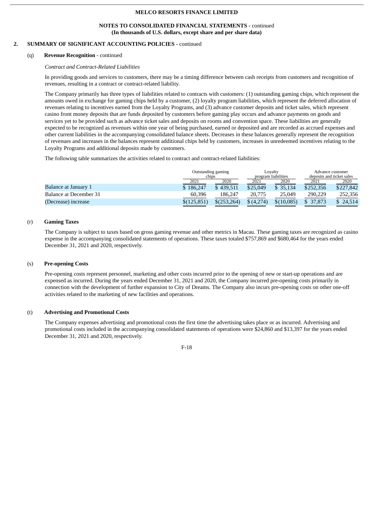### **NOTES TO CONSOLIDATED FINANCIAL STATEMENTS -** continued **(In thousands of U.S. dollars, except share and per share data)**

# **2. SUMMARY OF SIGNIFICANT ACCOUNTING POLICIES -** continued

### (q) **Revenue Recognition** - continued

### *Contract and Contract-Related Liabilities*

In providing goods and services to customers, there may be a timing difference between cash receipts from customers and recognition of revenues, resulting in a contract or contract-related liability.

The Company primarily has three types of liabilities related to contracts with customers: (1) outstanding gaming chips, which represent the amounts owed in exchange for gaming chips held by a customer, (2) loyalty program liabilities, which represent the deferred allocation of revenues relating to incentives earned from the Loyalty Programs, and (3) advance customer deposits and ticket sales, which represent casino front money deposits that are funds deposited by customers before gaming play occurs and advance payments on goods and services yet to be provided such as advance ticket sales and deposits on rooms and convention space. These liabilities are generally expected to be recognized as revenues within one year of being purchased, earned or deposited and are recorded as accrued expenses and other current liabilities in the accompanying consolidated balance sheets. Decreases in these balances generally represent the recognition of revenues and increases in the balances represent additional chips held by customers, increases in unredeemed incentives relating to the Loyalty Programs and additional deposits made by customers.

The following table summarizes the activities related to contract and contract-related liabilities:

|                        | Outstanding gaming<br>chips |              | Lovalty<br>program liabilities |            | Advance customer<br>deposits and ticket sales |           |
|------------------------|-----------------------------|--------------|--------------------------------|------------|-----------------------------------------------|-----------|
|                        | 2021                        | 2020         | 2021                           | 2020       | 2021                                          | 2020      |
| Balance at January 1   | \$186,247                   | \$439.511    | \$25,049                       | \$35.134   | \$252,356                                     | \$227,842 |
| Balance at December 31 | 60.396                      | 186.247      | 20,775                         | 25,049     | 290.229                                       | 252,356   |
| (Decrease) increase    | \$(125, 851)                | \$(253, 264) | \$(4,274)                      | \$(10.085) | \$ 37,873                                     | 24,514    |

# (r) **Gaming Taxes**

The Company is subject to taxes based on gross gaming revenue and other metrics in Macau. These gaming taxes are recognized as casino expense in the accompanying consolidated statements of operations. These taxes totaled \$757,869 and \$680,464 for the years ended December 31, 2021 and 2020, respectively.

### (s) **Pre-opening Costs**

Pre-opening costs represent personnel, marketing and other costs incurred prior to the opening of new or start-up operations and are expensed as incurred. During the years ended December 31, 2021 and 2020, the Company incurred pre-opening costs primarily in connection with the development of further expansion to City of Dreams. The Company also incurs pre-opening costs on other one-off activities related to the marketing of new facilities and operations.

### (t) **Advertising and Promotional Costs**

The Company expenses advertising and promotional costs the first time the advertising takes place or as incurred. Advertising and promotional costs included in the accompanying consolidated statements of operations were \$24,860 and \$13,397 for the years ended December 31, 2021 and 2020, respectively.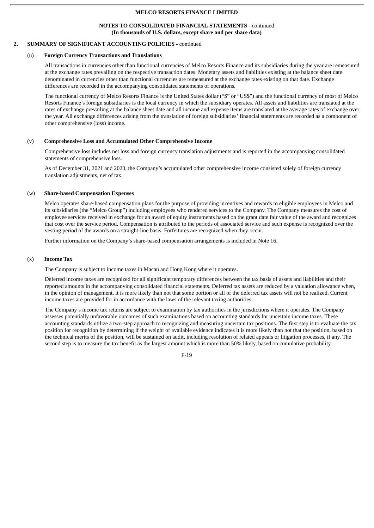### **NOTES TO CONSOLIDATED FINANCIAL STATEMENTS -** continued **(In thousands of U.S. dollars, except share and per share data)**

# **2. SUMMARY OF SIGNIFICANT ACCOUNTING POLICIES -** continued

### (u) **Foreign Currency Transactions and Translations**

All transactions in currencies other than functional currencies of Melco Resorts Finance and its subsidiaries during the year are remeasured at the exchange rates prevailing on the respective transaction dates. Monetary assets and liabilities existing at the balance sheet date denominated in currencies other than functional currencies are remeasured at the exchange rates existing on that date. Exchange differences are recorded in the accompanying consolidated statements of operations.

The functional currency of Melco Resorts Finance is the United States dollar ("\$" or "US\$") and the functional currency of most of Melco Resorts Finance's foreign subsidiaries is the local currency in which the subsidiary operates. All assets and liabilities are translated at the rates of exchange prevailing at the balance sheet date and all income and expense items are translated at the average rates of exchange over the year. All exchange differences arising from the translation of foreign subsidiaries' financial statements are recorded as a component of other comprehensive (loss) income.

# (v) **Comprehensive Loss and Accumulated Other Comprehensive Income**

Comprehensive loss includes net loss and foreign currency translation adjustments and is reported in the accompanying consolidated statements of comprehensive loss.

As of December 31, 2021 and 2020, the Company's accumulated other comprehensive income consisted solely of foreign currency translation adjustments, net of tax.

### (w) **Share-based Compensation Expenses**

Melco operates share-based compensation plans for the purpose of providing incentives and rewards to eligible employees in Melco and its subsidiaries (the "Melco Group") including employees who rendered services to the Company. The Company measures the cost of employee services received in exchange for an award of equity instruments based on the grant date fair value of the award and recognizes that cost over the service period. Compensation is attributed to the periods of associated service and such expense is recognized over the vesting period of the awards on a straight-line basis. Forfeitures are recognized when they occur.

Further information on the Company's share-based compensation arrangements is included in Note 16.

# (x) **Income Tax**

The Company is subject to income taxes in Macau and Hong Kong where it operates.

Deferred income taxes are recognized for all significant temporary differences between the tax basis of assets and liabilities and their reported amounts in the accompanying consolidated financial statements. Deferred tax assets are reduced by a valuation allowance when, in the opinion of management, it is more likely than not that some portion or all of the deferred tax assets will not be realized. Current income taxes are provided for in accordance with the laws of the relevant taxing authorities.

The Company's income tax returns are subject to examination by tax authorities in the jurisdictions where it operates. The Company assesses potentially unfavorable outcomes of such examinations based on accounting standards for uncertain income taxes. These accounting standards utilize a two-step approach to recognizing and measuring uncertain tax positions. The first step is to evaluate the tax position for recognition by determining if the weight of available evidence indicates it is more likely than not that the position, based on the technical merits of the position, will be sustained on audit, including resolution of related appeals or litigation processes, if any. The second step is to measure the tax benefit as the largest amount which is more than 50% likely, based on cumulative probability.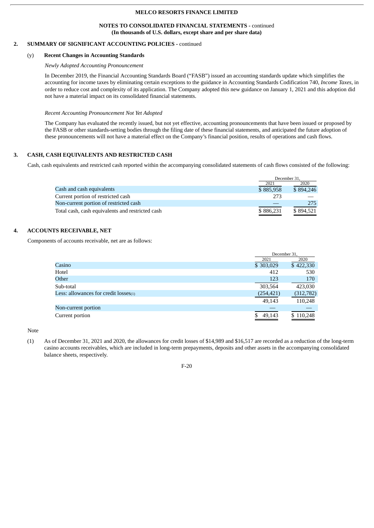### **NOTES TO CONSOLIDATED FINANCIAL STATEMENTS -** continued **(In thousands of U.S. dollars, except share and per share data)**

# **2. SUMMARY OF SIGNIFICANT ACCOUNTING POLICIES -** continued

### (y) **Recent Changes in Accounting Standards**

# *Newly Adopted Accounting Pronouncement*

In December 2019, the Financial Accounting Standards Board ("FASB") issued an accounting standards update which simplifies the accounting for income taxes by eliminating certain exceptions to the guidance in Accounting Standards Codification 740, *Income Taxes*, in order to reduce cost and complexity of its application. The Company adopted this new guidance on January 1, 2021 and this adoption did not have a material impact on its consolidated financial statements.

#### *Recent Accounting Pronouncement Not Yet Adopted*

The Company has evaluated the recently issued, but not yet effective, accounting pronouncements that have been issued or proposed by the FASB or other standards-setting bodies through the filing date of these financial statements, and anticipated the future adoption of these pronouncements will not have a material effect on the Company's financial position, results of operations and cash flows.

# **3. CASH, CASH EQUIVALENTS AND RESTRICTED CASH**

Cash, cash equivalents and restricted cash reported within the accompanying consolidated statements of cash flows consisted of the following:

|                                                  |           | December 31. |
|--------------------------------------------------|-----------|--------------|
|                                                  | 2021      | 2020         |
| Cash and cash equivalents                        | \$885,958 | \$894,246    |
| Current portion of restricted cash               | 273       |              |
| Non-current portion of restricted cash           |           | 275          |
| Total cash, cash equivalents and restricted cash | \$886,231 | \$894.521    |

# **4. ACCOUNTS RECEIVABLE, NET**

Components of accounts receivable, net are as follows:

|                                            | December 31. |            |
|--------------------------------------------|--------------|------------|
|                                            | 2021         | 2020       |
| Casino                                     | \$303,029    | \$422,330  |
| Hotel                                      | 412          | 530        |
| Other                                      | 123          | 170        |
| Sub-total                                  | 303,564      | 423,030    |
| Less: allowances for credit $losses_{(1)}$ | (254, 421)   | (312, 782) |
|                                            | 49,143       | 110,248    |
| Non-current portion                        |              |            |
| Current portion                            | 49,143       | \$110,248  |

Note

(1) As of December 31, 2021 and 2020, the allowances for credit losses of \$14,989 and \$16,517 are recorded as a reduction of the long-term casino accounts receivables, which are included in long-term prepayments, deposits and other assets in the accompanying consolidated balance sheets, respectively.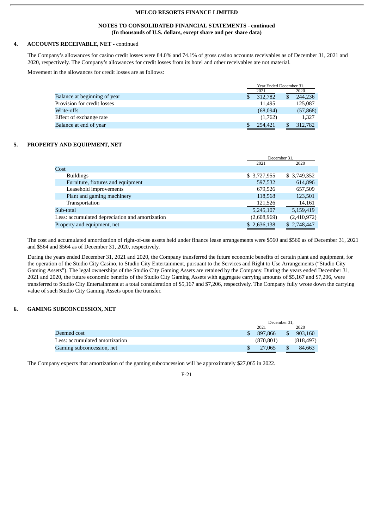## **NOTES TO CONSOLIDATED FINANCIAL STATEMENTS - continued (In thousands of U.S. dollars, except share and per share data)**

# **4. ACCOUNTS RECEIVABLE, NET -** continued

The Company's allowances for casino credit losses were 84.0% and 74.1% of gross casino accounts receivables as of December 31, 2021 and 2020, respectively. The Company's allowances for credit losses from its hotel and other receivables are not material.

Movement in the allowances for credit losses are as follows:

|                              | Year Ended December 31, |    |           |
|------------------------------|-------------------------|----|-----------|
|                              | 2021                    |    | 2020      |
| Balance at beginning of year | 312,782                 | \$ | 244,236   |
| Provision for credit losses  | 11.495                  |    | 125,087   |
| Write-offs                   | (68,094)                |    | (57, 868) |
| Effect of exchange rate      | (1,762)                 |    | 1,327     |
| Balance at end of year       | 254,421                 |    | 312,782   |

#### **5. PROPERTY AND EQUIPMENT, NET**

|                                                 | December 31. |              |
|-------------------------------------------------|--------------|--------------|
|                                                 | 2021         | 2020         |
| Cost                                            |              |              |
| <b>Buildings</b>                                | \$ 3,727,955 | \$ 3,749,352 |
| Furniture, fixtures and equipment               | 597,532      | 614,896      |
| Leasehold improvements                          | 679,526      | 657,509      |
| Plant and gaming machinery                      | 118,568      | 123,501      |
| Transportation                                  | 121,526      | 14,161       |
| Sub-total                                       | 5,245,107    | 5,159,419    |
| Less: accumulated depreciation and amortization | (2,608,969)  | (2,410,972)  |
| Property and equipment, net                     | \$2,636,138  | \$2,748,447  |

The cost and accumulated amortization of right-of-use assets held under finance lease arrangements were \$560 and \$560 as of December 31, 2021 and \$564 and \$564 as of December 31, 2020, respectively.

During the years ended December 31, 2021 and 2020, the Company transferred the future economic benefits of certain plant and equipment, for the operation of the Studio City Casino, to Studio City Entertainment, pursuant to the Services and Right to Use Arrangements ("Studio City Gaming Assets"). The legal ownerships of the Studio City Gaming Assets are retained by the Company. During the years ended December 31, 2021 and 2020, the future economic benefits of the Studio City Gaming Assets with aggregate carrying amounts of \$5,167 and \$7,206, were transferred to Studio City Entertainment at a total consideration of \$5,167 and \$7,206, respectively. The Company fully wrote down the carrying value of such Studio City Gaming Assets upon the transfer.

# **6. GAMING SUBCONCESSION, NET**

|                                | December 31. |  |           |  |
|--------------------------------|--------------|--|-----------|--|
|                                | 2021         |  | 2020      |  |
| Deemed cost                    | 897,866      |  | 903.160   |  |
| Less: accumulated amortization | (870, 801)   |  | (818,497) |  |
| Gaming subconcession, net      | 27,065       |  | 84,663    |  |

The Company expects that amortization of the gaming subconcession will be approximately \$27,065 in 2022.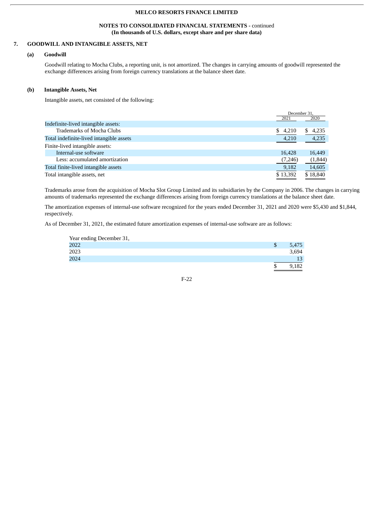# **NOTES TO CONSOLIDATED FINANCIAL STATEMENTS -** continued **(In thousands of U.S. dollars, except share and per share data)**

# **7. GOODWILL AND INTANGIBLE ASSETS, NET**

# **(a) Goodwill**

Goodwill relating to Mocha Clubs, a reporting unit, is not amortized. The changes in carrying amounts of goodwill represented the exchange differences arising from foreign currency translations at the balance sheet date.

### **(b) Intangible Assets, Net**

Intangible assets, net consisted of the following:

|                                          |             | December 31. |
|------------------------------------------|-------------|--------------|
|                                          | 2021        | 2020         |
| Indefinite-lived intangible assets:      |             |              |
| <b>Trademarks of Mocha Clubs</b>         | \$<br>4,210 | 4,235<br>S.  |
| Total indefinite-lived intangible assets | 4,210       | 4,235        |
| Finite-lived intangible assets:          |             |              |
| Internal-use software                    | 16.428      | 16,449       |
| Less: accumulated amortization           | (7,246)     | (1,844)      |
| Total finite-lived intangible assets     | 9,182       | 14,605       |
| Total intangible assets, net             | \$13,392    | \$18,840     |
|                                          |             |              |

Trademarks arose from the acquisition of Mocha Slot Group Limited and its subsidiaries by the Company in 2006. The changes in carrying amounts of trademarks represented the exchange differences arising from foreign currency translations at the balance sheet date.

The amortization expenses of internal-use software recognized for the years ended December 31, 2021 and 2020 were \$5,430 and \$1,844, respectively.

As of December 31, 2021, the estimated future amortization expenses of internal-use software are as follows:

| Year ending December 31, |       |
|--------------------------|-------|
| 2022                     | 5,475 |
| 2023                     | 3,694 |
| 2024                     | 13    |
|                          |       |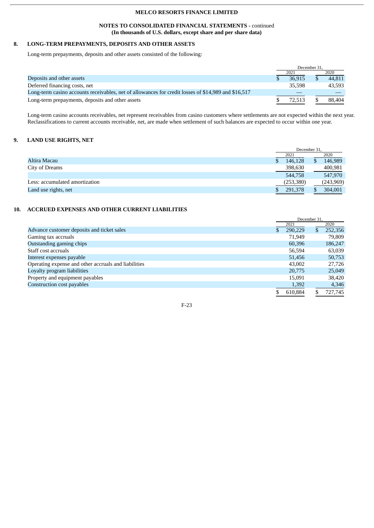# **NOTES TO CONSOLIDATED FINANCIAL STATEMENTS -** continued **(In thousands of U.S. dollars, except share and per share data)**

# **8. LONG-TERM PREPAYMENTS, DEPOSITS AND OTHER ASSETS**

Long-term prepayments, deposits and other assets consisted of the following:

|                                                                                                     | December 31. |        |  |        |
|-----------------------------------------------------------------------------------------------------|--------------|--------|--|--------|
|                                                                                                     |              | 2021   |  | 2020   |
| Deposits and other assets                                                                           |              | 36.915 |  | 44.811 |
| Deferred financing costs, net                                                                       |              | 35,598 |  | 43.593 |
| Long-term casino accounts receivables, net of allowances for credit losses of \$14,989 and \$16,517 |              |        |  |        |
| Long-term prepayments, deposits and other assets                                                    |              | 72.513 |  | 88,404 |

Long-term casino accounts receivables, net represent receivables from casino customers where settlements are not expected within the next year. Reclassifications to current accounts receivable, net, are made when settlement of such balances are expected to occur within one year.

# **9. LAND USE RIGHTS, NET**

|                                | December 31, |  |           |
|--------------------------------|--------------|--|-----------|
|                                | 2021         |  | 2020      |
| Altira Macau                   | 146,128      |  | 146,989   |
| City of Dreams                 | 398,630      |  | 400,981   |
|                                | 544,758      |  | 547,970   |
| Less: accumulated amortization | (253, 380)   |  | (243,969) |
| Land use rights, net           | 291,378      |  | 304,001   |

# **10. ACCRUED EXPENSES AND OTHER CURRENT LIABILITIES**

|                                                      | December 31. |         |              |         |
|------------------------------------------------------|--------------|---------|--------------|---------|
|                                                      |              | 2021    |              | 2020    |
| Advance customer deposits and ticket sales           | \$           | 290,229 | <sup>S</sup> | 252,356 |
| Gaming tax accruals                                  |              | 71.949  |              | 79.809  |
| Outstanding gaming chips                             |              | 60,396  |              | 186,247 |
| Staff cost accruals                                  |              | 56,594  |              | 63,039  |
| Interest expenses payable                            |              | 51,456  |              | 50,753  |
| Operating expense and other accruals and liabilities |              | 43,002  |              | 27,726  |
| Loyalty program liabilities                          |              | 20,775  |              | 25,049  |
| Property and equipment payables                      |              | 15,091  |              | 38,420  |
| Construction cost payables                           |              | 1,392   |              | 4,346   |
|                                                      |              | 610.884 | S.           | 727,745 |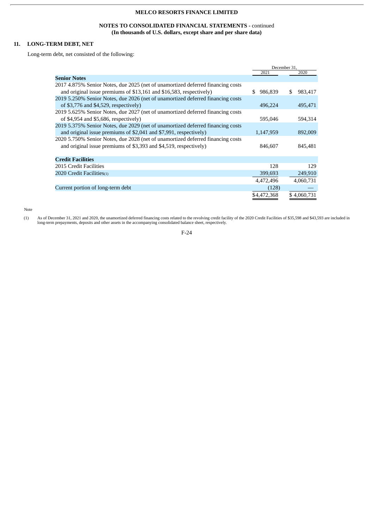# **NOTES TO CONSOLIDATED FINANCIAL STATEMENTS -** continued **(In thousands of U.S. dollars, except share and per share data)**

# **11. LONG-TERM DEBT, NET**

Long-term debt, net consisted of the following:

|                                                                                 | December 31,   |               |  |
|---------------------------------------------------------------------------------|----------------|---------------|--|
|                                                                                 | 2021           | 2020          |  |
| <b>Senior Notes</b>                                                             |                |               |  |
| 2017 4.875% Senior Notes, due 2025 (net of unamortized deferred financing costs |                |               |  |
| and original issue premiums of \$13,161 and \$16,583, respectively)             | 986,839<br>\$. | 983,417<br>S. |  |
| 2019 5.250% Senior Notes, due 2026 (net of unamortized deferred financing costs |                |               |  |
| of \$3,776 and \$4,529, respectively)                                           | 496,224        | 495,471       |  |
| 2019 5.625% Senior Notes, due 2027 (net of unamortized deferred financing costs |                |               |  |
| of \$4,954 and \$5,686, respectively)                                           | 595,046        | 594,314       |  |
| 2019 5.375% Senior Notes, due 2029 (net of unamortized deferred financing costs |                |               |  |
| and original issue premiums of \$2,041 and \$7,991, respectively)               | 1,147,959      | 892,009       |  |
| 2020 5.750% Senior Notes, due 2028 (net of unamortized deferred financing costs |                |               |  |
| and original issue premiums of \$3,393 and \$4,519, respectively)               | 846,607        | 845,481       |  |
|                                                                                 |                |               |  |
| <b>Credit Facilities</b>                                                        |                |               |  |
| 2015 Credit Facilities                                                          | 128            | 129           |  |
| 2020 Credit Facilities(1)                                                       | 399,693        | 249,910       |  |
|                                                                                 | 4,472,496      | 4,060,731     |  |
| Current portion of long-term debt                                               | (128)          |               |  |
|                                                                                 | \$4,472,368    | \$4,060,731   |  |
|                                                                                 |                |               |  |

Note

(1) As of December 31, 2021 and 2020, the unamortized deferred financing costs related to the revolving credit facility of the 2020 Credit Facilities of \$35,598 and \$43,593 are included in long-term prepayments, deposits and other assets in the accompanying consolidated balance sheet, respectively.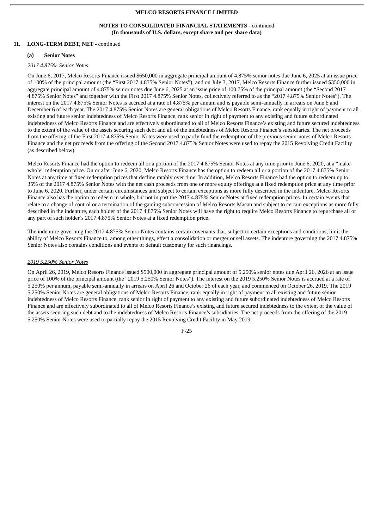# **NOTES TO CONSOLIDATED FINANCIAL STATEMENTS -** continued **(In thousands of U.S. dollars, except share and per share data)**

# **11. LONG-TERM DEBT, NET -** continued

#### **(a) Senior Notes**

### *2017 4.875% Senior Notes*

On June 6, 2017, Melco Resorts Finance issued \$650,000 in aggregate principal amount of 4.875% senior notes due June 6, 2025 at an issue price of 100% of the principal amount (the "First 2017 4.875% Senior Notes"); and on July 3, 2017, Melco Resorts Finance further issued \$350,000 in aggregate principal amount of 4.875% senior notes due June 6, 2025 at an issue price of 100.75% of the principal amount (the "Second 2017 4.875% Senior Notes" and together with the First 2017 4.875% Senior Notes, collectively referred to as the "2017 4.875% Senior Notes"). The interest on the 2017 4.875% Senior Notes is accrued at a rate of 4.875% per annum and is payable semi-annually in arrears on June 6 and December 6 of each year. The 2017 4.875% Senior Notes are general obligations of Melco Resorts Finance, rank equally in right of payment to all existing and future senior indebtedness of Melco Resorts Finance, rank senior in right of payment to any existing and future subordinated indebtedness of Melco Resorts Finance and are effectively subordinated to all of Melco Resorts Finance's existing and future secured indebtedness to the extent of the value of the assets securing such debt and all of the indebtedness of Melco Resorts Finance's subsidiaries. The net proceeds from the offering of the First 2017 4.875% Senior Notes were used to partly fund the redemption of the previous senior notes of Melco Resorts Finance and the net proceeds from the offering of the Second 2017 4.875% Senior Notes were used to repay the 2015 Revolving Credit Facility (as described below).

Melco Resorts Finance had the option to redeem all or a portion of the 2017 4.875% Senior Notes at any time prior to June 6, 2020, at a "makewhole" redemption price. On or after June 6, 2020, Melco Resorts Finance has the option to redeem all or a portion of the 2017 4.875% Senior Notes at any time at fixed redemption prices that decline ratably over time. In addition, Melco Resorts Finance had the option to redeem up to 35% of the 2017 4.875% Senior Notes with the net cash proceeds from one or more equity offerings at a fixed redemption price at any time prior to June 6, 2020. Further, under certain circumstances and subject to certain exceptions as more fully described in the indenture, Melco Resorts Finance also has the option to redeem in whole, but not in part the 2017 4.875% Senior Notes at fixed redemption prices. In certain events that relate to a change of control or a termination of the gaming subconcession of Melco Resorts Macau and subject to certain exceptions as more fully described in the indenture, each holder of the 2017 4.875% Senior Notes will have the right to require Melco Resorts Finance to repurchase all or any part of such holder's 2017 4.875% Senior Notes at a fixed redemption price.

The indenture governing the 2017 4.875% Senior Notes contains certain covenants that, subject to certain exceptions and conditions, limit the ability of Melco Resorts Finance to, among other things, effect a consolidation or merger or sell assets. The indenture governing the 2017 4.875% Senior Notes also contains conditions and events of default customary for such financings.

#### *2019 5.250% Senior Notes*

On April 26, 2019, Melco Resorts Finance issued \$500,000 in aggregate principal amount of 5.250% senior notes due April 26, 2026 at an issue price of 100% of the principal amount (the "2019 5.250% Senior Notes"). The interest on the 2019 5.250% Senior Notes is accrued at a rate of 5.250% per annum, payable semi-annually in arrears on April 26 and October 26 of each year, and commenced on October 26, 2019. The 2019 5.250% Senior Notes are general obligations of Melco Resorts Finance, rank equally in right of payment to all existing and future senior indebtedness of Melco Resorts Finance, rank senior in right of payment to any existing and future subordinated indebtedness of Melco Resorts Finance and are effectively subordinated to all of Melco Resorts Finance's existing and future secured indebtedness to the extent of the value of the assets securing such debt and to the indebtedness of Melco Resorts Finance's subsidiaries. The net proceeds from the offering of the 2019 5.250% Senior Notes were used to partially repay the 2015 Revolving Credit Facility in May 2019.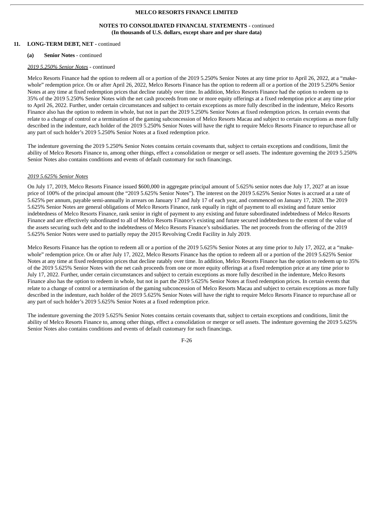### **NOTES TO CONSOLIDATED FINANCIAL STATEMENTS -** continued **(In thousands of U.S. dollars, except share and per share data)**

# **11. LONG-TERM DEBT, NET -** continued

#### **(a) Senior Notes** - continued

### *2019 5.250% Senior Notes* - continued

Melco Resorts Finance had the option to redeem all or a portion of the 2019 5.250% Senior Notes at any time prior to April 26, 2022, at a "makewhole" redemption price. On or after April 26, 2022, Melco Resorts Finance has the option to redeem all or a portion of the 2019 5.250% Senior Notes at any time at fixed redemption prices that decline ratably over time. In addition, Melco Resorts Finance had the option to redeem up to 35% of the 2019 5.250% Senior Notes with the net cash proceeds from one or more equity offerings at a fixed redemption price at any time prior to April 26, 2022. Further, under certain circumstances and subject to certain exceptions as more fully described in the indenture, Melco Resorts Finance also has the option to redeem in whole, but not in part the 2019 5.250% Senior Notes at fixed redemption prices. In certain events that relate to a change of control or a termination of the gaming subconcession of Melco Resorts Macau and subject to certain exceptions as more fully described in the indenture, each holder of the 2019 5.250% Senior Notes will have the right to require Melco Resorts Finance to repurchase all or any part of such holder's 2019 5.250% Senior Notes at a fixed redemption price.

The indenture governing the 2019 5.250% Senior Notes contains certain covenants that, subject to certain exceptions and conditions, limit the ability of Melco Resorts Finance to, among other things, effect a consolidation or merger or sell assets. The indenture governing the 2019 5.250% Senior Notes also contains conditions and events of default customary for such financings.

### *2019 5.625% Senior Notes*

On July 17, 2019, Melco Resorts Finance issued \$600,000 in aggregate principal amount of 5.625% senior notes due July 17, 2027 at an issue price of 100% of the principal amount (the "2019 5.625% Senior Notes"). The interest on the 2019 5.625% Senior Notes is accrued at a rate of 5.625% per annum, payable semi-annually in arrears on January 17 and July 17 of each year, and commenced on January 17, 2020. The 2019 5.625% Senior Notes are general obligations of Melco Resorts Finance, rank equally in right of payment to all existing and future senior indebtedness of Melco Resorts Finance, rank senior in right of payment to any existing and future subordinated indebtedness of Melco Resorts Finance and are effectively subordinated to all of Melco Resorts Finance's existing and future secured indebtedness to the extent of the value of the assets securing such debt and to the indebtedness of Melco Resorts Finance's subsidiaries. The net proceeds from the offering of the 2019 5.625% Senior Notes were used to partially repay the 2015 Revolving Credit Facility in July 2019.

Melco Resorts Finance has the option to redeem all or a portion of the 2019 5.625% Senior Notes at any time prior to July 17, 2022, at a "makewhole" redemption price. On or after July 17, 2022, Melco Resorts Finance has the option to redeem all or a portion of the 2019 5.625% Senior Notes at any time at fixed redemption prices that decline ratably over time. In addition, Melco Resorts Finance has the option to redeem up to 35% of the 2019 5.625% Senior Notes with the net cash proceeds from one or more equity offerings at a fixed redemption price at any time prior to July 17, 2022. Further, under certain circumstances and subject to certain exceptions as more fully described in the indenture, Melco Resorts Finance also has the option to redeem in whole, but not in part the 2019 5.625% Senior Notes at fixed redemption prices. In certain events that relate to a change of control or a termination of the gaming subconcession of Melco Resorts Macau and subject to certain exceptions as more fully described in the indenture, each holder of the 2019 5.625% Senior Notes will have the right to require Melco Resorts Finance to repurchase all or any part of such holder's 2019 5.625% Senior Notes at a fixed redemption price.

The indenture governing the 2019 5.625% Senior Notes contains certain covenants that, subject to certain exceptions and conditions, limit the ability of Melco Resorts Finance to, among other things, effect a consolidation or merger or sell assets. The indenture governing the 2019 5.625% Senior Notes also contains conditions and events of default customary for such financings.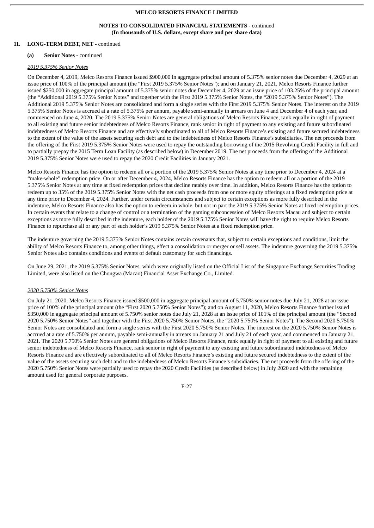# **NOTES TO CONSOLIDATED FINANCIAL STATEMENTS -** continued **(In thousands of U.S. dollars, except share and per share data)**

# **11. LONG-TERM DEBT, NET -** continued

#### **(a) Senior Notes** - continued

### *2019 5.375% Senior Notes*

On December 4, 2019, Melco Resorts Finance issued \$900,000 in aggregate principal amount of 5.375% senior notes due December 4, 2029 at an issue price of 100% of the principal amount (the "First 2019 5.375% Senior Notes"); and on January 21, 2021, Melco Resorts Finance further issued \$250,000 in aggregate principal amount of 5.375% senior notes due December 4, 2029 at an issue price of 103.25% of the principal amount (the "Additional 2019 5.375% Senior Notes" and together with the First 2019 5.375% Senior Notes, the "2019 5.375% Senior Notes"). The Additional 2019 5.375% Senior Notes are consolidated and form a single series with the First 2019 5.375% Senior Notes. The interest on the 2019 5.375% Senior Notes is accrued at a rate of 5.375% per annum, payable semi-annually in arrears on June 4 and December 4 of each year, and commenced on June 4, 2020. The 2019 5.375% Senior Notes are general obligations of Melco Resorts Finance, rank equally in right of payment to all existing and future senior indebtedness of Melco Resorts Finance, rank senior in right of payment to any existing and future subordinated indebtedness of Melco Resorts Finance and are effectively subordinated to all of Melco Resorts Finance's existing and future secured indebtedness to the extent of the value of the assets securing such debt and to the indebtedness of Melco Resorts Finance's subsidiaries. The net proceeds from the offering of the First 2019 5.375% Senior Notes were used to repay the outstanding borrowing of the 2015 Revolving Credit Facility in full and to partially prepay the 2015 Term Loan Facility (as described below) in December 2019. The net proceeds from the offering of the Additional 2019 5.375% Senior Notes were used to repay the 2020 Credit Facilities in January 2021.

Melco Resorts Finance has the option to redeem all or a portion of the 2019 5.375% Senior Notes at any time prior to December 4, 2024 at a "make-whole" redemption price. On or after December 4, 2024, Melco Resorts Finance has the option to redeem all or a portion of the 2019 5.375% Senior Notes at any time at fixed redemption prices that decline ratably over time. In addition, Melco Resorts Finance has the option to redeem up to 35% of the 2019 5.375% Senior Notes with the net cash proceeds from one or more equity offerings at a fixed redemption price at any time prior to December 4, 2024. Further, under certain circumstances and subject to certain exceptions as more fully described in the indenture, Melco Resorts Finance also has the option to redeem in whole, but not in part the 2019 5.375% Senior Notes at fixed redemption prices. In certain events that relate to a change of control or a termination of the gaming subconcession of Melco Resorts Macau and subject to certain exceptions as more fully described in the indenture, each holder of the 2019 5.375% Senior Notes will have the right to require Melco Resorts Finance to repurchase all or any part of such holder's 2019 5.375% Senior Notes at a fixed redemption price.

The indenture governing the 2019 5.375% Senior Notes contains certain covenants that, subject to certain exceptions and conditions, limit the ability of Melco Resorts Finance to, among other things, effect a consolidation or merger or sell assets. The indenture governing the 2019 5.375% Senior Notes also contains conditions and events of default customary for such financings.

On June 29, 2021, the 2019 5.375% Senior Notes, which were originally listed on the Official List of the Singapore Exchange Securities Trading Limited, were also listed on the Chongwa (Macao) Financial Asset Exchange Co., Limited.

#### *2020 5.750% Senior Notes*

On July 21, 2020, Melco Resorts Finance issued \$500,000 in aggregate principal amount of 5.750% senior notes due July 21, 2028 at an issue price of 100% of the principal amount (the "First 2020 5.750% Senior Notes"); and on August 11, 2020, Melco Resorts Finance further issued \$350,000 in aggregate principal amount of 5.750% senior notes due July 21, 2028 at an issue price of 101% of the principal amount (the "Second 2020 5.750% Senior Notes" and together with the First 2020 5.750% Senior Notes, the "2020 5.750% Senior Notes"). The Second 2020 5.750% Senior Notes are consolidated and form a single series with the First 2020 5.750% Senior Notes. The interest on the 2020 5.750% Senior Notes is accrued at a rate of 5.750% per annum, payable semi-annually in arrears on January 21 and July 21 of each year, and commenced on January 21, 2021. The 2020 5.750% Senior Notes are general obligations of Melco Resorts Finance, rank equally in right of payment to all existing and future senior indebtedness of Melco Resorts Finance, rank senior in right of payment to any existing and future subordinated indebtedness of Melco Resorts Finance and are effectively subordinated to all of Melco Resorts Finance's existing and future secured indebtedness to the extent of the value of the assets securing such debt and to the indebtedness of Melco Resorts Finance's subsidiaries. The net proceeds from the offering of the 2020 5.750% Senior Notes were partially used to repay the 2020 Credit Facilities (as described below) in July 2020 and with the remaining amount used for general corporate purposes.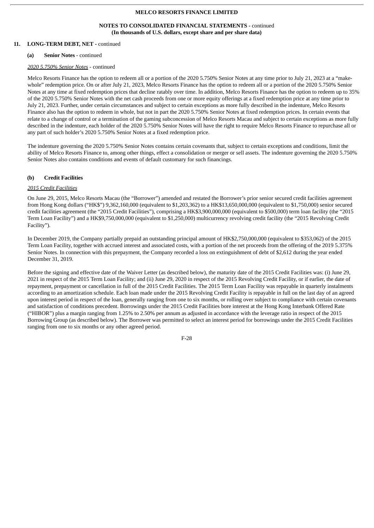### **NOTES TO CONSOLIDATED FINANCIAL STATEMENTS -** continued **(In thousands of U.S. dollars, except share and per share data)**

# **11. LONG-TERM DEBT, NET -** continued

#### **(a) Senior Notes** - continued

### *2020 5.750% Senior Notes* - continued

Melco Resorts Finance has the option to redeem all or a portion of the 2020 5.750% Senior Notes at any time prior to July 21, 2023 at a "makewhole" redemption price. On or after July 21, 2023, Melco Resorts Finance has the option to redeem all or a portion of the 2020 5.750% Senior Notes at any time at fixed redemption prices that decline ratably over time. In addition, Melco Resorts Finance has the option to redeem up to 35% of the 2020 5.750% Senior Notes with the net cash proceeds from one or more equity offerings at a fixed redemption price at any time prior to July 21, 2023. Further, under certain circumstances and subject to certain exceptions as more fully described in the indenture, Melco Resorts Finance also has the option to redeem in whole, but not in part the 2020 5.750% Senior Notes at fixed redemption prices. In certain events that relate to a change of control or a termination of the gaming subconcession of Melco Resorts Macau and subject to certain exceptions as more fully described in the indenture, each holder of the 2020 5.750% Senior Notes will have the right to require Melco Resorts Finance to repurchase all or any part of such holder's 2020 5.750% Senior Notes at a fixed redemption price.

The indenture governing the 2020 5.750% Senior Notes contains certain covenants that, subject to certain exceptions and conditions, limit the ability of Melco Resorts Finance to, among other things, effect a consolidation or merger or sell assets. The indenture governing the 2020 5.750% Senior Notes also contains conditions and events of default customary for such financings.

# **(b) Credit Facilities**

### *2015 Credit Facilities*

On June 29, 2015, Melco Resorts Macau (the "Borrower") amended and restated the Borrower's prior senior secured credit facilities agreement from Hong Kong dollars ("HK\$") 9,362,160,000 (equivalent to \$1,203,362) to a HK\$13,650,000,000 (equivalent to \$1,750,000) senior secured credit facilities agreement (the "2015 Credit Facilities"), comprising a HK\$3,900,000,000 (equivalent to \$500,000) term loan facility (the "2015 Term Loan Facility") and a HK\$9,750,000,000 (equivalent to \$1,250,000) multicurrency revolving credit facility (the "2015 Revolving Credit Facility").

In December 2019, the Company partially prepaid an outstanding principal amount of HK\$2,750,000,000 (equivalent to \$353,062) of the 2015 Term Loan Facility, together with accrued interest and associated costs, with a portion of the net proceeds from the offering of the 2019 5.375% Senior Notes. In connection with this prepayment, the Company recorded a loss on extinguishment of debt of \$2,612 during the year ended December 31, 2019.

Before the signing and effective date of the Waiver Letter (as described below), the maturity date of the 2015 Credit Facilities was: (i) June 29, 2021 in respect of the 2015 Term Loan Facility; and (ii) June 29, 2020 in respect of the 2015 Revolving Credit Facility, or if earlier, the date of repayment, prepayment or cancellation in full of the 2015 Credit Facilities. The 2015 Term Loan Facility was repayable in quarterly instalments according to an amortization schedule. Each loan made under the 2015 Revolving Credit Facility is repayable in full on the last day of an agreed upon interest period in respect of the loan, generally ranging from one to six months, or rolling over subject to compliance with certain covenants and satisfaction of conditions precedent. Borrowings under the 2015 Credit Facilities bore interest at the Hong Kong Interbank Offered Rate ("HIBOR") plus a margin ranging from 1.25% to 2.50% per annum as adjusted in accordance with the leverage ratio in respect of the 2015 Borrowing Group (as described below). The Borrower was permitted to select an interest period for borrowings under the 2015 Credit Facilities ranging from one to six months or any other agreed period.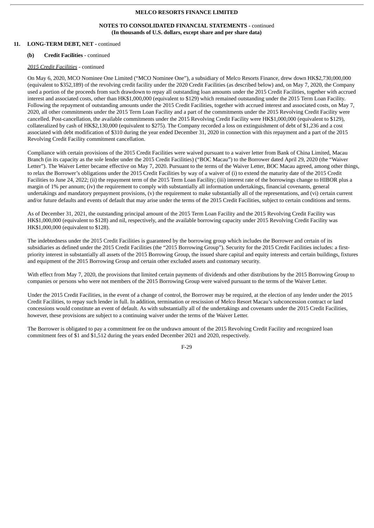# **NOTES TO CONSOLIDATED FINANCIAL STATEMENTS -** continued **(In thousands of U.S. dollars, except share and per share data)**

# **11. LONG-TERM DEBT, NET -** continued

### **(b) Credit Facilities** - continued

# *2015 Credit Facilities* - continued

On May 6, 2020, MCO Nominee One Limited ("MCO Nominee One"), a subsidiary of Melco Resorts Finance, drew down HK\$2,730,000,000 (equivalent to \$352,189) of the revolving credit facility under the 2020 Credit Facilities (as described below) and, on May 7, 2020, the Company used a portion of the proceeds from such drawdown to repay all outstanding loan amounts under the 2015 Credit Facilities, together with accrued interest and associated costs, other than HK\$1,000,000 (equivalent to \$129) which remained outstanding under the 2015 Term Loan Facility. Following the repayment of outstanding amounts under the 2015 Credit Facilities, together with accrued interest and associated costs, on May 7, 2020, all other commitments under the 2015 Term Loan Facility and a part of the commitments under the 2015 Revolving Credit Facility were cancelled. Post-cancellation, the available commitments under the 2015 Revolving Credit Facility were HK\$1,000,000 (equivalent to \$129), collateralized by cash of HK\$2,130,000 (equivalent to \$275). The Company recorded a loss on extinguishment of debt of \$1,236 and a cost associated with debt modification of \$310 during the year ended December 31, 2020 in connection with this repayment and a part of the 2015 Revolving Credit Facility commitment cancellation.

Compliance with certain provisions of the 2015 Credit Facilities were waived pursuant to a waiver letter from Bank of China Limited, Macau Branch (in its capacity as the sole lender under the 2015 Credit Facilities) ("BOC Macau") to the Borrower dated April 29, 2020 (the "Waiver Letter"). The Waiver Letter became effective on May 7, 2020. Pursuant to the terms of the Waiver Letter, BOC Macau agreed, among other things, to relax the Borrower's obligations under the 2015 Credit Facilities by way of a waiver of (i) to extend the maturity date of the 2015 Credit Facilities to June 24, 2022; (ii) the repayment term of the 2015 Term Loan Facility; (iii) interest rate of the borrowings change to HIBOR plus a margin of 1% per annum; (iv) the requirement to comply with substantially all information undertakings, financial covenants, general undertakings and mandatory prepayment provisions, (v) the requirement to make substantially all of the representations, and (vi) certain current and/or future defaults and events of default that may arise under the terms of the 2015 Credit Facilities, subject to certain conditions and terms.

As of December 31, 2021, the outstanding principal amount of the 2015 Term Loan Facility and the 2015 Revolving Credit Facility was HK\$1,000,000 (equivalent to \$128) and nil, respectively, and the available borrowing capacity under 2015 Revolving Credit Facility was HK\$1,000,000 (equivalent to \$128).

The indebtedness under the 2015 Credit Facilities is guaranteed by the borrowing group which includes the Borrower and certain of its subsidiaries as defined under the 2015 Credit Facilities (the "2015 Borrowing Group"). Security for the 2015 Credit Facilities includes: a firstpriority interest in substantially all assets of the 2015 Borrowing Group, the issued share capital and equity interests and certain buildings, fixtures and equipment of the 2015 Borrowing Group and certain other excluded assets and customary security.

With effect from May 7, 2020, the provisions that limited certain payments of dividends and other distributions by the 2015 Borrowing Group to companies or persons who were not members of the 2015 Borrowing Group were waived pursuant to the terms of the Waiver Letter.

Under the 2015 Credit Facilities, in the event of a change of control, the Borrower may be required, at the election of any lender under the 2015 Credit Facilities, to repay such lender in full. In addition, termination or rescission of Melco Resort Macau's subconcession contract or land concessions would constitute an event of default. As with substantially all of the undertakings and covenants under the 2015 Credit Facilities, however, these provisions are subject to a continuing waiver under the terms of the Waiver Letter.

The Borrower is obligated to pay a commitment fee on the undrawn amount of the 2015 Revolving Credit Facility and recognized loan commitment fees of \$1 and \$1,512 during the years ended December 2021 and 2020, respectively.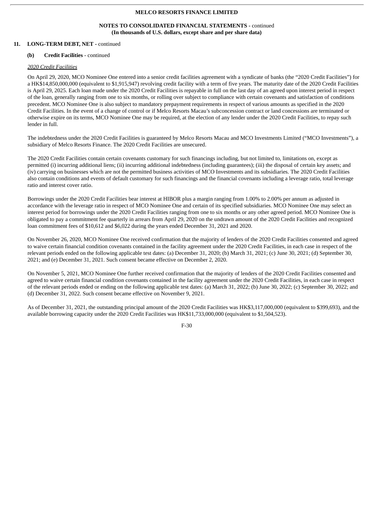### **NOTES TO CONSOLIDATED FINANCIAL STATEMENTS -** continued **(In thousands of U.S. dollars, except share and per share data)**

# **11. LONG-TERM DEBT, NET -** continued

### **(b) Credit Facilities** - continued

## *2020 Credit Facilities*

On April 29, 2020, MCO Nominee One entered into a senior credit facilities agreement with a syndicate of banks (the "2020 Credit Facilities") for a HK\$14,850,000,000 (equivalent to \$1,915,947) revolving credit facility with a term of five years. The maturity date of the 2020 Credit Facilities is April 29, 2025. Each loan made under the 2020 Credit Facilities is repayable in full on the last day of an agreed upon interest period in respect of the loan, generally ranging from one to six months, or rolling over subject to compliance with certain covenants and satisfaction of conditions precedent. MCO Nominee One is also subject to mandatory prepayment requirements in respect of various amounts as specified in the 2020 Credit Facilities. In the event of a change of control or if Melco Resorts Macau's subconcession contract or land concessions are terminated or otherwise expire on its terms, MCO Nominee One may be required, at the election of any lender under the 2020 Credit Facilities, to repay such lender in full.

The indebtedness under the 2020 Credit Facilities is guaranteed by Melco Resorts Macau and MCO Investments Limited ("MCO Investments"), a subsidiary of Melco Resorts Finance. The 2020 Credit Facilities are unsecured.

The 2020 Credit Facilities contain certain covenants customary for such financings including, but not limited to, limitations on, except as permitted (i) incurring additional liens; (ii) incurring additional indebtedness (including guarantees); (iii) the disposal of certain key assets; and (iv) carrying on businesses which are not the permitted business activities of MCO Investments and its subsidiaries. The 2020 Credit Facilities also contain conditions and events of default customary for such financings and the financial covenants including a leverage ratio, total leverage ratio and interest cover ratio.

Borrowings under the 2020 Credit Facilities bear interest at HIBOR plus a margin ranging from 1.00% to 2.00% per annum as adjusted in accordance with the leverage ratio in respect of MCO Nominee One and certain of its specified subsidiaries. MCO Nominee One may select an interest period for borrowings under the 2020 Credit Facilities ranging from one to six months or any other agreed period. MCO Nominee One is obligated to pay a commitment fee quarterly in arrears from April 29, 2020 on the undrawn amount of the 2020 Credit Facilities and recognized loan commitment fees of \$10,612 and \$6,022 during the years ended December 31, 2021 and 2020.

On November 26, 2020, MCO Nominee One received confirmation that the majority of lenders of the 2020 Credit Facilities consented and agreed to waive certain financial condition covenants contained in the facility agreement under the 2020 Credit Facilities, in each case in respect of the relevant periods ended on the following applicable test dates: (a) December 31, 2020; (b) March 31, 2021; (c) June 30, 2021; (d) September 30, 2021; and (e) December 31, 2021. Such consent became effective on December 2, 2020.

On November 5, 2021, MCO Nominee One further received confirmation that the majority of lenders of the 2020 Credit Facilities consented and agreed to waive certain financial condition covenants contained in the facility agreement under the 2020 Credit Facilities, in each case in respect of the relevant periods ended or ending on the following applicable test dates: (a) March 31, 2022; (b) June 30, 2022; (c) September 30, 2022; and (d) December 31, 2022. Such consent became effective on November 9, 2021.

As of December 31, 2021, the outstanding principal amount of the 2020 Credit Facilities was HK\$3,117,000,000 (equivalent to \$399,693), and the available borrowing capacity under the 2020 Credit Facilities was HK\$11,733,000,000 (equivalent to \$1,504,523).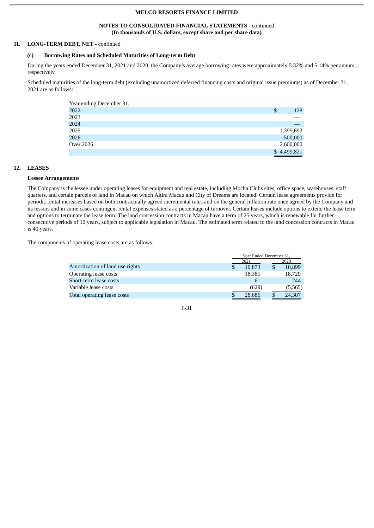# **NOTES TO CONSOLIDATED FINANCIAL STATEMENTS -** continued **(In thousands of U.S. dollars, except share and per share data)**

# **11. LONG-TERM DEBT, NET -** continued

# **(c) Borrowing Rates and Scheduled Maturities of Long-term Debt**

During the years ended December 31, 2021 and 2020, the Company's average borrowing rates were approximately 5.32% and 5.14% per annum, respectively.

Scheduled maturities of the long-term debt (excluding unamortized deferred financing costs and original issue premiums) as of December 31, 2021 are as follows:

| Year ending December 31, |             |
|--------------------------|-------------|
| 2022                     | \$<br>128   |
| 2023                     |             |
| 2024                     |             |
| 2025                     | 1,399,693   |
| 2026                     | 500,000     |
| Over 2026                | 2,600,000   |
|                          | \$4,499,821 |

# **12. LEASES**

### **Lessee Arrangements**

The Company is the lessee under operating leases for equipment and real estate, including Mocha Clubs sites, office space, warehouses, staff quarters, and certain parcels of land in Macau on which Altira Macau and City of Dreams are located. Certain lease agreements provide for periodic rental increases based on both contractually agreed incremental rates and on the general inflation rate once agreed by the Company and its lessors and in some cases contingent rental expenses stated as a percentage of turnover. Certain leases include options to extend the lease term and options to terminate the lease term. The land concession contracts in Macau have a term of 25 years, which is renewable for further consecutive periods of 10 years, subject to applicable legislation in Macau. The estimated term related to the land concession contracts in Macau is 40 years.

The components of operating lease costs are as follows:

|                                 |   | Year Ended December 31, |      |         |  |
|---------------------------------|---|-------------------------|------|---------|--|
|                                 |   | 2021                    | 2020 |         |  |
| Amortization of land use rights | S | 10.873                  |      | 10,899  |  |
| Operating lease costs           |   | 18,381                  |      | 18,729  |  |
| Short-term lease costs          |   | 61                      |      | 244     |  |
| Variable lease costs            |   | (629)                   |      | (5,565) |  |
| Total operating lease costs     |   | 28.686                  |      | 24,307  |  |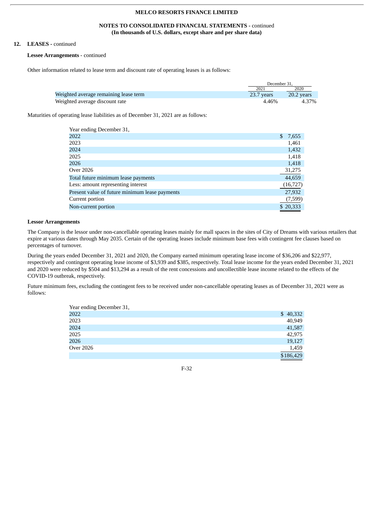## **NOTES TO CONSOLIDATED FINANCIAL STATEMENTS -** continued **(In thousands of U.S. dollars, except share and per share data)**

# **12. LEASES -** continued

#### **Lessee Arrangements** - continued

Other information related to lease term and discount rate of operating leases is as follows:

|                                       | December 31. |            |
|---------------------------------------|--------------|------------|
|                                       | 2021         | 2020       |
| Weighted average remaining lease term | 23.7 years   | 20.2 years |
| Weighted average discount rate        | 4.46%        | 4.37%      |

Maturities of operating lease liabilities as of December 31, 2021 are as follows:

| Year ending December 31,                       |             |
|------------------------------------------------|-------------|
| 2022                                           | \$<br>7,655 |
| 2023                                           | 1,461       |
| 2024                                           | 1,432       |
| 2025                                           | 1,418       |
| 2026                                           | 1,418       |
| Over 2026                                      | 31,275      |
| Total future minimum lease payments            | 44,659      |
| Less: amount representing interest             | (16, 727)   |
| Present value of future minimum lease payments | 27,932      |
| Current portion                                | (7,599)     |
| Non-current portion                            | \$20,333    |

# **Lessor Arrangements**

The Company is the lessor under non-cancellable operating leases mainly for mall spaces in the sites of City of Dreams with various retailers that expire at various dates through May 2035. Certain of the operating leases include minimum base fees with contingent fee clauses based on percentages of turnover.

During the years ended December 31, 2021 and 2020, the Company earned minimum operating lease income of \$36,206 and \$22,977, respectively and contingent operating lease income of \$3,939 and \$385, respectively. Total lease income for the years ended December 31, 2021 and 2020 were reduced by \$504 and \$13,294 as a result of the rent concessions and uncollectible lease income related to the effects of the COVID-19 outbreak, respectively.

Future minimum fees, excluding the contingent fees to be received under non-cancellable operating leases as of December 31, 2021 were as follows:

| Year ending December 31, |           |
|--------------------------|-----------|
| 2022                     | \$40,332  |
| 2023                     | 40,949    |
| 2024                     | 41,587    |
| 2025                     | 42,975    |
| 2026                     | 19,127    |
| Over 2026                | 1,459     |
|                          | \$186,429 |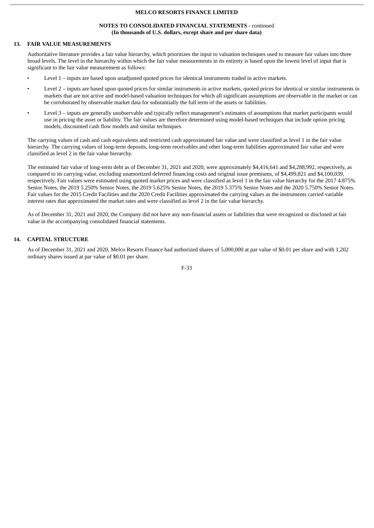# **NOTES TO CONSOLIDATED FINANCIAL STATEMENTS -** continued **(In thousands of U.S. dollars, except share and per share data)**

# **13. FAIR VALUE MEASUREMENTS**

Authoritative literature provides a fair value hierarchy, which prioritizes the input to valuation techniques used to measure fair values into three broad levels. The level in the hierarchy within which the fair value measurements in its entirety is based upon the lowest level of input that is significant to the fair value measurement as follows:

- Level 1 inputs are based upon unadjusted quoted prices for identical instruments traded in active markets.
- Level 2 inputs are based upon quoted prices for similar instruments in active markets, quoted prices for identical or similar instruments in markets that are not active and model-based valuation techniques for which all significant assumptions are observable in the market or can be corroborated by observable market data for substantially the full term of the assets or liabilities.
- Level 3 inputs are generally unobservable and typically reflect management's estimates of assumptions that market participants would use in pricing the asset or liability. The fair values are therefore determined using model-based techniques that include option pricing models, discounted cash flow models and similar techniques.

The carrying values of cash and cash equivalents and restricted cash approximated fair value and were classified as level 1 in the fair value hierarchy. The carrying values of long-term deposits, long-term receivables and other long-term liabilities approximated fair value and were classified as level 2 in the fair value hierarchy.

The estimated fair value of long-term debt as of December 31, 2021 and 2020, were approximately \$4,416,641 and \$4,288,992, respectively, as compared to its carrying value, excluding unamortized deferred financing costs and original issue premiums, of \$4,499,821 and \$4,100,039, respectively. Fair values were estimated using quoted market prices and were classified as level 1 in the fair value hierarchy for the 2017 4.875% Senior Notes, the 2019 5.250% Senior Notes, the 2019 5.625% Senior Notes, the 2019 5.375% Senior Notes and the 2020 5.750% Senior Notes. Fair values for the 2015 Credit Facilities and the 2020 Credit Facilities approximated the carrying values as the instruments carried variable interest rates that approximated the market rates and were classified as level 2 in the fair value hierarchy.

As of December 31, 2021 and 2020, the Company did not have any non-financial assets or liabilities that were recognized or disclosed at fair value in the accompanying consolidated financial statements.

# **14. CAPITAL STRUCTURE**

As of December 31, 2021 and 2020, Melco Resorts Finance had authorized shares of 5,000,000 at par value of \$0.01 per share and with 1,202 ordinary shares issued at par value of \$0.01 per share.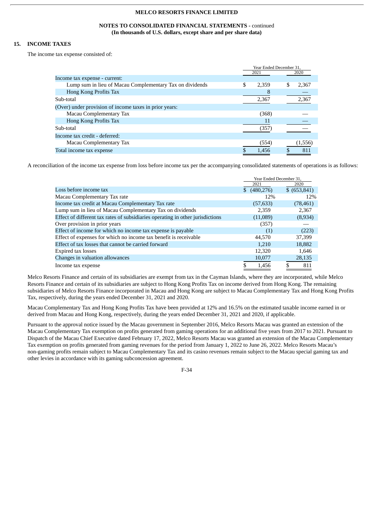# **NOTES TO CONSOLIDATED FINANCIAL STATEMENTS -** continued **(In thousands of U.S. dollars, except share and per share data)**

# **15. INCOME TAXES**

The income tax expense consisted of:

|                                                          | Year Ended December 31. |       |  |         |
|----------------------------------------------------------|-------------------------|-------|--|---------|
|                                                          |                         | 2021  |  | 2020    |
| Income tax expense - current:                            |                         |       |  |         |
| Lump sum in lieu of Macau Complementary Tax on dividends | \$                      | 2.359 |  | 2,367   |
| Hong Kong Profits Tax                                    |                         |       |  |         |
| Sub-total                                                |                         | 2,367 |  | 2,367   |
| (Over) under provision of income taxes in prior years:   |                         |       |  |         |
| Macau Complementary Tax                                  |                         | (368) |  |         |
| Hong Kong Profits Tax                                    |                         | 11    |  |         |
| Sub-total                                                |                         | (357) |  |         |
| Income tax credit - deferred:                            |                         |       |  |         |
| Macau Complementary Tax                                  |                         | (554) |  | (1,556) |
| Total income tax expense                                 | \$                      | 1.456 |  | 811     |

A reconciliation of the income tax expense from loss before income tax per the accompanying consolidated statements of operations is as follows:

|                                                                                | Year Ended December 31, |    |               |
|--------------------------------------------------------------------------------|-------------------------|----|---------------|
|                                                                                | 2021                    |    | 2020          |
| Loss before income tax                                                         | \$ (480,276)            |    | \$ (653, 841) |
| Macau Complementary Tax rate                                                   | 12%                     |    | 12%           |
| Income tax credit at Macau Complementary Tax rate                              | (57, 633)               |    | (78, 461)     |
| Lump sum in lieu of Macau Complementary Tax on dividends                       | 2,359                   |    | 2,367         |
| Effect of different tax rates of subsidiaries operating in other jurisdictions | (11,089)                |    | (8,934)       |
| Over provision in prior years                                                  | (357)                   |    |               |
| Effect of income for which no income tax expense is payable                    | (1)                     |    | (223)         |
| Effect of expenses for which no income tax benefit is receivable               | 44.570                  |    | 37,399        |
| Effect of tax losses that cannot be carried forward                            | 1.210                   |    | 18,882        |
| Expired tax losses                                                             | 12,320                  |    | 1,646         |
| Changes in valuation allowances                                                | 10,077                  |    | 28,135        |
| Income tax expense                                                             | \$<br>1.456             | \$ | 811           |

Melco Resorts Finance and certain of its subsidiaries are exempt from tax in the Cayman Islands, where they are incorporated, while Melco Resorts Finance and certain of its subsidiaries are subject to Hong Kong Profits Tax on income derived from Hong Kong. The remaining subsidiaries of Melco Resorts Finance incorporated in Macau and Hong Kong are subject to Macau Complementary Tax and Hong Kong Profits Tax, respectively, during the years ended December 31, 2021 and 2020.

Macau Complementary Tax and Hong Kong Profits Tax have been provided at 12% and 16.5% on the estimated taxable income earned in or derived from Macau and Hong Kong, respectively, during the years ended December 31, 2021 and 2020, if applicable.

Pursuant to the approval notice issued by the Macau government in September 2016, Melco Resorts Macau was granted an extension of the Macau Complementary Tax exemption on profits generated from gaming operations for an additional five years from 2017 to 2021. Pursuant to Dispatch of the Macau Chief Executive dated February 17, 2022, Melco Resorts Macau was granted an extension of the Macau Complementary Tax exemption on profits generated from gaming revenues for the period from January 1, 2022 to June 26, 2022. Melco Resorts Macau's non-gaming profits remain subject to Macau Complementary Tax and its casino revenues remain subject to the Macau special gaming tax and other levies in accordance with its gaming subconcession agreement.

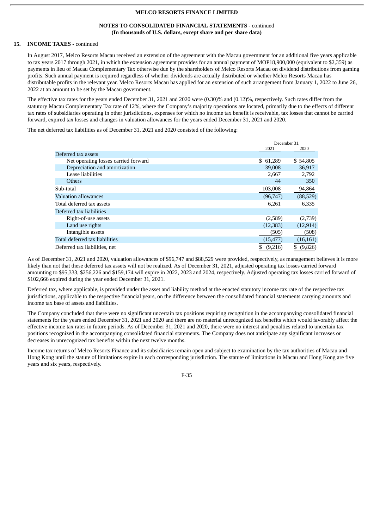# **NOTES TO CONSOLIDATED FINANCIAL STATEMENTS -** continued **(In thousands of U.S. dollars, except share and per share data)**

# **15. INCOME TAXES -** continued

In August 2017, Melco Resorts Macau received an extension of the agreement with the Macau government for an additional five years applicable to tax years 2017 through 2021, in which the extension agreement provides for an annual payment of MOP18,900,000 (equivalent to \$2,359) as payments in lieu of Macau Complementary Tax otherwise due by the shareholders of Melco Resorts Macau on dividend distributions from gaming profits. Such annual payment is required regardless of whether dividends are actually distributed or whether Melco Resorts Macau has distributable profits in the relevant year. Melco Resorts Macau has applied for an extension of such arrangement from January 1, 2022 to June 26, 2022 at an amount to be set by the Macau government.

The effective tax rates for the years ended December 31, 2021 and 2020 were (0.30)% and (0.12)%, respectively. Such rates differ from the statutory Macau Complementary Tax rate of 12%, where the Company's majority operations are located, primarily due to the effects of different tax rates of subsidiaries operating in other jurisdictions, expenses for which no income tax benefit is receivable, tax losses that cannot be carried forward, expired tax losses and changes in valuation allowances for the years ended December 31, 2021 and 2020.

The net deferred tax liabilities as of December 31, 2021 and 2020 consisted of the following:

|                                      |           | December 31. |
|--------------------------------------|-----------|--------------|
|                                      | 2021      | 2020         |
| Deferred tax assets                  |           |              |
| Net operating losses carried forward | \$61,289  | \$54,805     |
| Depreciation and amortization        | 39,008    | 36,917       |
| Lease liabilities                    | 2,667     | 2,792        |
| <b>Others</b>                        | 44        | 350          |
| Sub-total                            | 103,008   | 94,864       |
| <b>Valuation allowances</b>          | (96, 747) | (88, 529)    |
| Total deferred tax assets            | 6,261     | 6,335        |
| Deferred tax liabilities             |           |              |
| Right-of-use assets                  | (2,589)   | (2,739)      |
| Land use rights                      | (12, 383) | (12, 914)    |
| Intangible assets                    | (505)     | (508)        |
| Total deferred tax liabilities       | (15, 477) | (16, 161)    |
| Deferred tax liabilities, net        | (9,216)   | (9,826)      |

As of December 31, 2021 and 2020, valuation allowances of \$96,747 and \$88,529 were provided, respectively, as management believes it is more likely than not that these deferred tax assets will not be realized. As of December 31, 2021, adjusted operating tax losses carried forward amounting to \$95,333, \$256,226 and \$159,174 will expire in 2022, 2023 and 2024, respectively. Adjusted operating tax losses carried forward of \$102,666 expired during the year ended December 31, 2021.

Deferred tax, where applicable, is provided under the asset and liability method at the enacted statutory income tax rate of the respective tax jurisdictions, applicable to the respective financial years, on the difference between the consolidated financial statements carrying amounts and income tax base of assets and liabilities.

The Company concluded that there were no significant uncertain tax positions requiring recognition in the accompanying consolidated financial statements for the years ended December 31, 2021 and 2020 and there are no material unrecognized tax benefits which would favorably affect the effective income tax rates in future periods. As of December 31, 2021 and 2020, there were no interest and penalties related to uncertain tax positions recognized in the accompanying consolidated financial statements. The Company does not anticipate any significant increases or decreases in unrecognized tax benefits within the next twelve months.

Income tax returns of Melco Resorts Finance and its subsidiaries remain open and subject to examination by the tax authorities of Macau and Hong Kong until the statute of limitations expire in each corresponding jurisdiction. The statute of limitations in Macau and Hong Kong are five years and six years, respectively.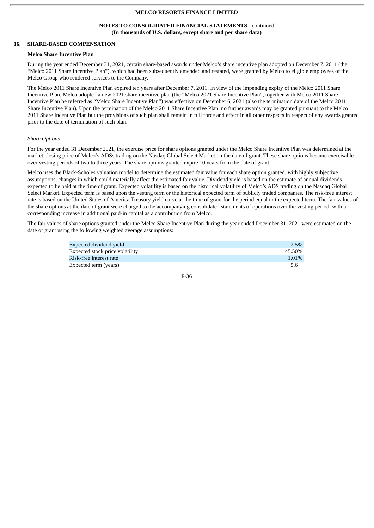### **NOTES TO CONSOLIDATED FINANCIAL STATEMENTS -** continued **(In thousands of U.S. dollars, except share and per share data)**

# **16. SHARE-BASED COMPENSATION**

### **Melco Share Incentive Plan**

During the year ended December 31, 2021, certain share-based awards under Melco's share incentive plan adopted on December 7, 2011 (the "Melco 2011 Share Incentive Plan"), which had been subsequently amended and restated, were granted by Melco to eligible employees of the Melco Group who rendered services to the Company.

The Melco 2011 Share Incentive Plan expired ten years after December 7, 2011. In view of the impending expiry of the Melco 2011 Share Incentive Plan, Melco adopted a new 2021 share incentive plan (the "Melco 2021 Share Incentive Plan", together with Melco 2011 Share Incentive Plan be referred as "Melco Share Incentive Plan") was effective on December 6, 2021 (also the termination date of the Melco 2011 Share Incentive Plan). Upon the termination of the Melco 2011 Share Incentive Plan, no further awards may be granted pursuant to the Melco 2011 Share Incentive Plan but the provisions of such plan shall remain in full force and effect in all other respects in respect of any awards granted prior to the date of termination of such plan.

### *Share Options*

For the year ended 31 December 2021, the exercise price for share options granted under the Melco Share Incentive Plan was determined at the market closing price of Melco's ADSs trading on the Nasdaq Global Select Market on the date of grant. These share options became exercisable over vesting periods of two to three years. The share options granted expire 10 years from the date of grant.

Melco uses the Black-Scholes valuation model to determine the estimated fair value for each share option granted, with highly subjective assumptions, changes in which could materially affect the estimated fair value. Dividend yield is based on the estimate of annual dividends expected to be paid at the time of grant. Expected volatility is based on the historical volatility of Melco's ADS trading on the Nasdaq Global Select Market. Expected term is based upon the vesting term or the historical expected term of publicly traded companies. The risk-free interest rate is based on the United States of America Treasury yield curve at the time of grant for the period equal to the expected term. The fair values of the share options at the date of grant were charged to the accompanying consolidated statements of operations over the vesting period, with a corresponding increase in additional paid-in capital as a contribution from Melco.

The fair values of share options granted under the Melco Share Incentive Plan during the year ended December 31, 2021 were estimated on the date of grant using the following weighted average assumptions:

| Expected dividend vield         | 2.5%     |
|---------------------------------|----------|
| Expected stock price volatility | 45.50%   |
| Risk-free interest rate         | $1.01\%$ |
| Expected term (years)           | 5.6      |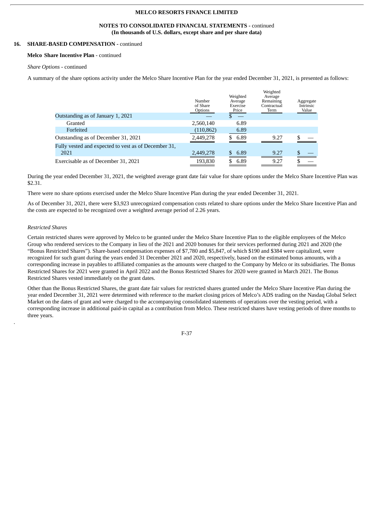### **NOTES TO CONSOLIDATED FINANCIAL STATEMENTS -** continued **(In thousands of U.S. dollars, except share and per share data)**

# **16. SHARE-BASED COMPENSATION -** continued

#### **Melco Share Incentive Plan** - continued

### *Share Options -* continued

A summary of the share options activity under the Melco Share Incentive Plan for the year ended December 31, 2021, is presented as follows:

|                                                      | Number<br>of Share<br>Options | Weighted<br>Average<br>Exercise<br>Price | Weighted<br>Average<br>Remaining<br>Contractual<br>Term | Aggregate<br>Intrinsic<br>Value |
|------------------------------------------------------|-------------------------------|------------------------------------------|---------------------------------------------------------|---------------------------------|
| Outstanding as of January 1, 2021                    |                               |                                          |                                                         |                                 |
| Granted                                              | 2,560,140                     | 6.89                                     |                                                         |                                 |
| Forfeited                                            | (110, 862)                    | 6.89                                     |                                                         |                                 |
| Outstanding as of December 31, 2021                  | 2,449,278                     | 6.89                                     | 9.27                                                    |                                 |
| Fully vested and expected to vest as of December 31, |                               |                                          |                                                         |                                 |
| 2021                                                 | 2,449,278                     | 6.89                                     | 9.27                                                    |                                 |
| Exercisable as of December 31, 2021                  | 193.830                       | 6.89                                     | 9.27                                                    |                                 |

During the year ended December 31, 2021, the weighted average grant date fair value for share options under the Melco Share Incentive Plan was \$2.31.

There were no share options exercised under the Melco Share Incentive Plan during the year ended December 31, 2021.

As of December 31, 2021, there were \$3,923 unrecognized compensation costs related to share options under the Melco Share Incentive Plan and the costs are expected to be recognized over a weighted average period of 2.26 years.

### *Restricted Shares*

.

Certain restricted shares were approved by Melco to be granted under the Melco Share Incentive Plan to the eligible employees of the Melco Group who rendered services to the Company in lieu of the 2021 and 2020 bonuses for their services performed during 2021 and 2020 (the "Bonus Restricted Shares"). Share-based compensation expenses of \$7,780 and \$5,847, of which \$190 and \$384 were capitalized, were recognized for such grant during the years ended 31 December 2021 and 2020, respectively, based on the estimated bonus amounts, with a corresponding increase in payables to affiliated companies as the amounts were charged to the Company by Melco or its subsidiaries. The Bonus Restricted Shares for 2021 were granted in April 2022 and the Bonus Restricted Shares for 2020 were granted in March 2021. The Bonus Restricted Shares vested immediately on the grant dates.

Other than the Bonus Restricted Shares, the grant date fair values for restricted shares granted under the Melco Share Incentive Plan during the year ended December 31, 2021 were determined with reference to the market closing prices of Melco's ADS trading on the Nasdaq Global Select Market on the dates of grant and were charged to the accompanying consolidated statements of operations over the vesting period, with a corresponding increase in additional paid-in capital as a contribution from Melco. These restricted shares have vesting periods of three months to three years.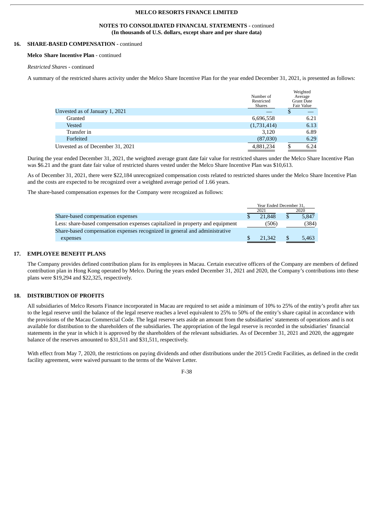#### **NOTES TO CONSOLIDATED FINANCIAL STATEMENTS -** continued **(In thousands of U.S. dollars, except share and per share data)**

# **16. SHARE-BASED COMPENSATION -** continued

#### **Melco Share Incentive Plan** - continued

# *Restricted Shares -* continued

A summary of the restricted shares activity under the Melco Share Incentive Plan for the year ended December 31, 2021, is presented as follows:

Weighted

|                                  | Number of<br>Restricted<br>Shares | weighted<br>Average<br><b>Grant Date</b><br>Fair Value |
|----------------------------------|-----------------------------------|--------------------------------------------------------|
| Unvested as of January 1, 2021   |                                   | \$                                                     |
| Granted                          | 6,696,558                         | 6.21                                                   |
| Vested                           | (1,731,414)                       | 6.13                                                   |
| Transfer in                      | 3,120                             | 6.89                                                   |
| Forfeited                        | (87,030)                          | 6.29                                                   |
| Unvested as of December 31, 2021 | 4,881,234                         | 6.24                                                   |
|                                  |                                   |                                                        |

During the year ended December 31, 2021, the weighted average grant date fair value for restricted shares under the Melco Share Incentive Plan was \$6.21 and the grant date fair value of restricted shares vested under the Melco Share Incentive Plan was \$10,613.

As of December 31, 2021, there were \$22,184 unrecognized compensation costs related to restricted shares under the Melco Share Incentive Plan and the costs are expected to be recognized over a weighted average period of 1.66 years.

The share-based compensation expenses for the Company were recognized as follows:

|                                                                               | Year Ended December 31, |        |   |       |
|-------------------------------------------------------------------------------|-------------------------|--------|---|-------|
|                                                                               |                         | 2021   |   | 2020  |
| Share-based compensation expenses                                             |                         | 21.848 | S | 5.847 |
| Less: share-based compensation expenses capitalized in property and equipment |                         | (506)  |   | (384) |
| Share-based compensation expenses recognized in general and administrative    |                         |        |   |       |
| expenses                                                                      |                         | 21,342 |   | 5,463 |
|                                                                               |                         |        |   |       |

### **17. EMPLOYEE BENEFIT PLANS**

The Company provides defined contribution plans for its employees in Macau. Certain executive officers of the Company are members of defined contribution plan in Hong Kong operated by Melco. During the years ended December 31, 2021 and 2020, the Company's contributions into these plans were \$19,294 and \$22,325, respectively.

# **18. DISTRIBUTION OF PROFITS**

All subsidiaries of Melco Resorts Finance incorporated in Macau are required to set aside a minimum of 10% to 25% of the entity's profit after tax to the legal reserve until the balance of the legal reserve reaches a level equivalent to 25% to 50% of the entity's share capital in accordance with the provisions of the Macau Commercial Code. The legal reserve sets aside an amount from the subsidiaries' statements of operations and is not available for distribution to the shareholders of the subsidiaries. The appropriation of the legal reserve is recorded in the subsidiaries' financial statements in the year in which it is approved by the shareholders of the relevant subsidiaries. As of December 31, 2021 and 2020, the aggregate balance of the reserves amounted to \$31,511 and \$31,511, respectively.

With effect from May 7, 2020, the restrictions on paying dividends and other distributions under the 2015 Credit Facilities, as defined in the credit facility agreement, were waived pursuant to the terms of the Waiver Letter.

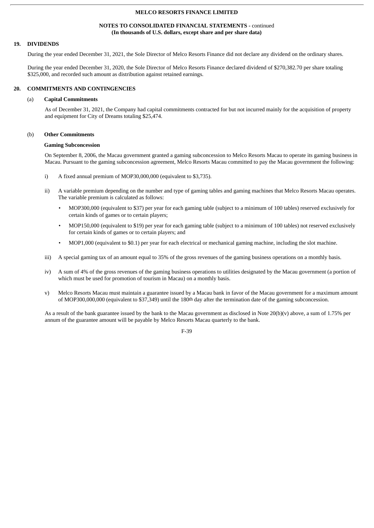### **NOTES TO CONSOLIDATED FINANCIAL STATEMENTS -** continued **(In thousands of U.S. dollars, except share and per share data)**

## **19. DIVIDENDS**

During the year ended December 31, 2021, the Sole Director of Melco Resorts Finance did not declare any dividend on the ordinary shares.

During the year ended December 31, 2020, the Sole Director of Melco Resorts Finance declared dividend of \$270,382.70 per share totaling \$325,000, and recorded such amount as distribution against retained earnings.

### **20. COMMITMENTS AND CONTINGENCIES**

#### (a) **Capital Commitments**

As of December 31, 2021, the Company had capital commitments contracted for but not incurred mainly for the acquisition of property and equipment for City of Dreams totaling \$25,474.

### (b) **Other Commitments**

#### **Gaming Subconcession**

On September 8, 2006, the Macau government granted a gaming subconcession to Melco Resorts Macau to operate its gaming business in Macau. Pursuant to the gaming subconcession agreement, Melco Resorts Macau committed to pay the Macau government the following:

- i) A fixed annual premium of MOP30,000,000 (equivalent to \$3,735).
- ii) A variable premium depending on the number and type of gaming tables and gaming machines that Melco Resorts Macau operates. The variable premium is calculated as follows:
	- MOP300,000 (equivalent to \$37) per year for each gaming table (subject to a minimum of 100 tables) reserved exclusively for certain kinds of games or to certain players;
	- MOP150,000 (equivalent to \$19) per year for each gaming table (subject to a minimum of 100 tables) not reserved exclusively for certain kinds of games or to certain players; and
	- MOP1,000 (equivalent to \$0.1) per year for each electrical or mechanical gaming machine, including the slot machine.
- iii) A special gaming tax of an amount equal to 35% of the gross revenues of the gaming business operations on a monthly basis.
- iv) A sum of 4% of the gross revenues of the gaming business operations to utilities designated by the Macau government (a portion of which must be used for promotion of tourism in Macau) on a monthly basis.
- v) Melco Resorts Macau must maintain a guarantee issued by a Macau bank in favor of the Macau government for a maximum amount of MOP300,000,000 (equivalent to \$37,349) until the 180th day after the termination date of the gaming subconcession.

As a result of the bank guarantee issued by the bank to the Macau government as disclosed in Note 20(b)(v) above, a sum of 1.75% per annum of the guarantee amount will be payable by Melco Resorts Macau quarterly to the bank.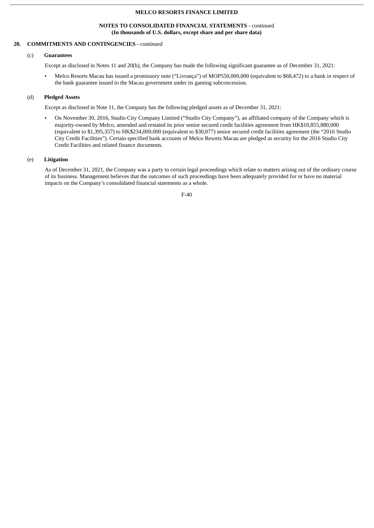# **NOTES TO CONSOLIDATED FINANCIAL STATEMENTS -** continued **(In thousands of U.S. dollars, except share and per share data)**

# **20. COMMITMENTS AND CONTINGENCIES -** continued

### (c) **Guarantees**

Except as disclosed in Notes 11 and 20(b), the Company has made the following significant guarantee as of December 31, 2021:

• Melco Resorts Macau has issued a promissory note ("Livrança") of MOP550,000,000 (equivalent to \$68,472) to a bank in respect of the bank guarantee issued to the Macau government under its gaming subconcession.

# (d) **Pledged Assets**

Except as disclosed in Note 11, the Company has the following pledged assets as of December 31, 2021:

• On November 30, 2016, Studio City Company Limited ("Studio City Company"), an affiliated company of the Company which is majority-owned by Melco, amended and restated its prior senior secured credit facilities agreement from HK\$10,855,880,000 (equivalent to \$1,395,357) to HK\$234,000,000 (equivalent to \$30,077) senior secured credit facilities agreement (the "2016 Studio City Credit Facilities"). Certain specified bank accounts of Melco Resorts Macau are pledged as security for the 2016 Studio City Credit Facilities and related finance documents.

# (e) **Litigation**

As of December 31, 2021, the Company was a party to certain legal proceedings which relate to matters arising out of the ordinary course of its business. Management believes that the outcomes of such proceedings have been adequately provided for or have no material impacts on the Company's consolidated financial statements as a whole.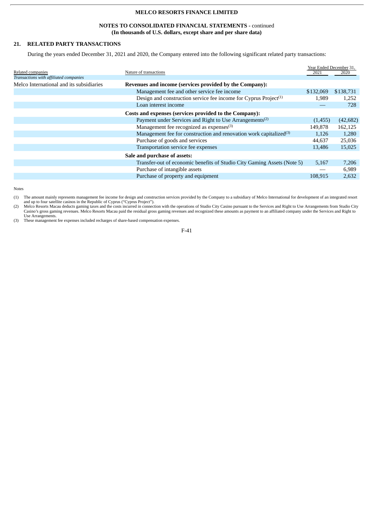# **NOTES TO CONSOLIDATED FINANCIAL STATEMENTS -** continued **(In thousands of U.S. dollars, except share and per share data)**

# **21. RELATED PARTY TRANSACTIONS**

During the years ended December 31, 2021 and 2020, the Company entered into the following significant related party transactions:

|                                                                                | Year Ended December 31,                                                           |           |
|--------------------------------------------------------------------------------|-----------------------------------------------------------------------------------|-----------|
|                                                                                |                                                                                   | 2020      |
|                                                                                |                                                                                   |           |
|                                                                                |                                                                                   |           |
| Management fee and other service fee income                                    | \$132,069                                                                         | \$138,731 |
| Design and construction service fee income for Cyprus Project <sup>(1)</sup>   | 1,989                                                                             | 1,252     |
| Loan interest income                                                           |                                                                                   | 728       |
| Costs and expenses (services provided to the Company):                         |                                                                                   |           |
| Payment under Services and Right to Use Arrangements <sup>(2)</sup>            | (1,455)                                                                           | (42, 682) |
| Management fee recognized as expenses <sup>(3)</sup>                           | 149,878                                                                           | 162,125   |
| Management fee for construction and renovation work capitalized <sup>(3)</sup> | 1,126                                                                             | 1,280     |
| Purchase of goods and services                                                 | 44,637                                                                            | 25,036    |
| Transportation service fee expenses                                            | 13,486                                                                            | 15,025    |
| Sale and purchase of assets:                                                   |                                                                                   |           |
| Transfer-out of economic benefits of Studio City Gaming Assets (Note 5)        | 5,167                                                                             | 7,206     |
| Purchase of intangible assets                                                  |                                                                                   | 6,989     |
| Purchase of property and equipment                                             | 108,915                                                                           | 2,632     |
|                                                                                | Nature of transactions<br>Revenues and income (services provided by the Company): | 2021      |

Notes

(1) The amount mainly represents management fee income for design and construction services provided by the Company to a subsidiary of Melco International for development of an integrated resort

and up to four satellite casinos in the Republic of Cyprus ("Cyprus Project").<br>(2) Melco Resorts Macau deducts gaming taxes and the costs incurred in connection with the operations of Studio City Casino pursuant to the Ser Use Arrangements.

(3) These management fee expenses included recharges of share-based compensation expenses.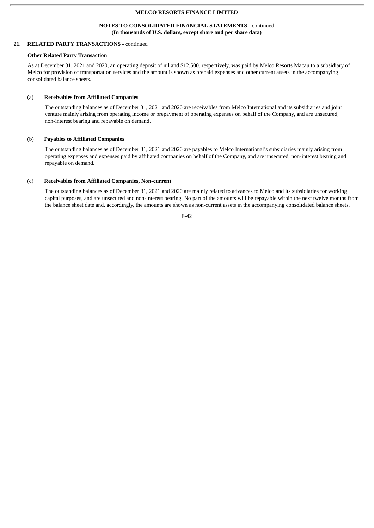# **NOTES TO CONSOLIDATED FINANCIAL STATEMENTS -** continued **(In thousands of U.S. dollars, except share and per share data)**

# **21. RELATED PARTY TRANSACTIONS -** continued

#### **Other Related Party Transaction**

As at December 31, 2021 and 2020, an operating deposit of nil and \$12,500, respectively, was paid by Melco Resorts Macau to a subsidiary of Melco for provision of transportation services and the amount is shown as prepaid expenses and other current assets in the accompanying consolidated balance sheets.

#### (a) **Receivables from Affiliated Companies**

The outstanding balances as of December 31, 2021 and 2020 are receivables from Melco International and its subsidiaries and joint venture mainly arising from operating income or prepayment of operating expenses on behalf of the Company, and are unsecured, non-interest bearing and repayable on demand.

#### (b) **Payables to Affiliated Companies**

The outstanding balances as of December 31, 2021 and 2020 are payables to Melco International's subsidiaries mainly arising from operating expenses and expenses paid by affiliated companies on behalf of the Company, and are unsecured, non-interest bearing and repayable on demand.

#### (c) **Receivables from Affiliated Companies, Non-current**

The outstanding balances as of December 31, 2021 and 2020 are mainly related to advances to Melco and its subsidiaries for working capital purposes, and are unsecured and non-interest bearing. No part of the amounts will be repayable within the next twelve months from the balance sheet date and, accordingly, the amounts are shown as non-current assets in the accompanying consolidated balance sheets.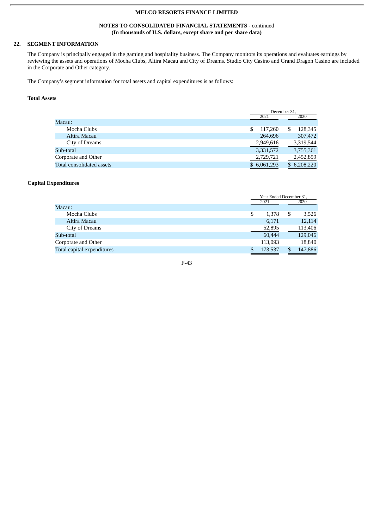# **NOTES TO CONSOLIDATED FINANCIAL STATEMENTS -** continued **(In thousands of U.S. dollars, except share and per share data)**

# **22. SEGMENT INFORMATION**

The Company is principally engaged in the gaming and hospitality business. The Company monitors its operations and evaluates earnings by reviewing the assets and operations of Mocha Clubs, Altira Macau and City of Dreams. Studio City Casino and Grand Dragon Casino are included in the Corporate and Other category.

The Company's segment information for total assets and capital expenditures is as follows:

# **Total Assets**

|                           |               | December 31. |  |
|---------------------------|---------------|--------------|--|
|                           | 2021          | 2020         |  |
| Macau:                    |               |              |  |
| Mocha Clubs               | \$<br>117.260 | S<br>128,345 |  |
| Altira Macau              | 264,696       | 307,472      |  |
| City of Dreams            | 2,949,616     | 3,319,544    |  |
| Sub-total                 | 3,331,572     | 3,755,361    |  |
| Corporate and Other       | 2,729,721     | 2,452,859    |  |
| Total consolidated assets | \$6,061,293   | \$6,208,220  |  |

# **Capital Expenditures**

|                            | Year Ended December 31, |   |         |
|----------------------------|-------------------------|---|---------|
|                            | 2021                    |   | 2020    |
| Macau:                     |                         |   |         |
| Mocha Clubs                | \$<br>1,378             | S | 3,526   |
| Altira Macau               | 6,171                   |   | 12,114  |
| City of Dreams             | 52,895                  |   | 113,406 |
| Sub-total                  | 60,444                  |   | 129,046 |
| Corporate and Other        | 113,093                 |   | 18,840  |
| Total capital expenditures | 173,537                 | S | 147,886 |
|                            |                         |   |         |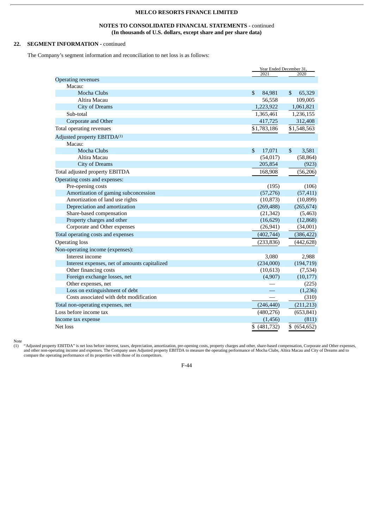# **NOTES TO CONSOLIDATED FINANCIAL STATEMENTS -** continued **(In thousands of U.S. dollars, except share and per share data)**

# **22. SEGMENT INFORMATION -** continued

The Company's segment information and reconciliation to net loss is as follows:

|                                               |                        | Year Ended December 31, |  |  |
|-----------------------------------------------|------------------------|-------------------------|--|--|
|                                               | 2021                   | 2020                    |  |  |
| <b>Operating revenues</b><br>Macau:           |                        |                         |  |  |
| <b>Mocha Clubs</b>                            | $\mathbb{S}$<br>84,981 | $\mathbb{S}$<br>65,329  |  |  |
| Altira Macau                                  | 56,558                 | 109,005                 |  |  |
| <b>City of Dreams</b>                         | 1,223,922              | 1,061,821               |  |  |
| Sub-total                                     | 1,365,461              | 1,236,155               |  |  |
| Corporate and Other                           | 417,725                | 312,408                 |  |  |
| Total operating revenues                      | \$1,783,186            | \$1,548,563             |  |  |
|                                               |                        |                         |  |  |
| Adjusted property EBITDA <sup>(1)</sup>       |                        |                         |  |  |
| Macau:                                        |                        |                         |  |  |
| <b>Mocha Clubs</b>                            | \$<br>17,071           | $\mathbb{S}$<br>3,581   |  |  |
| Altira Macau                                  | (54, 017)              | (58, 864)               |  |  |
| <b>City of Dreams</b>                         | 205,854                | (923)                   |  |  |
| Total adjusted property EBITDA                | 168,908                | (56, 206)               |  |  |
| Operating costs and expenses:                 |                        |                         |  |  |
| Pre-opening costs                             | (195)                  | (106)                   |  |  |
| Amortization of gaming subconcession          | (57, 276)              | (57, 411)               |  |  |
| Amortization of land use rights               | (10, 873)              | (10, 899)               |  |  |
| Depreciation and amortization                 | (269, 488)             | (265, 674)              |  |  |
| Share-based compensation                      | (21, 342)              | (5, 463)                |  |  |
| Property charges and other                    | (16, 629)              | (12, 868)               |  |  |
| Corporate and Other expenses                  | (26, 941)              | (34,001)                |  |  |
| Total operating costs and expenses            | (402, 744)             | (386, 422)              |  |  |
| <b>Operating loss</b>                         | (233, 836)             | (442, 628)              |  |  |
| Non-operating income (expenses):              |                        |                         |  |  |
| Interest income                               | 3,080                  | 2,988                   |  |  |
| Interest expenses, net of amounts capitalized | (234,000)              | (194, 719)              |  |  |
| Other financing costs                         | (10, 613)              | (7,534)                 |  |  |
| Foreign exchange losses, net                  | (4,907)                | (10, 177)               |  |  |
| Other expenses, net                           |                        | (225)                   |  |  |
| Loss on extinguishment of debt                |                        | (1,236)                 |  |  |
| Costs associated with debt modification       |                        | (310)                   |  |  |
| Total non-operating expenses, net             | (246, 440)             | (211, 213)              |  |  |
| Loss before income tax                        | (480, 276)             | (653, 841)              |  |  |
| Income tax expense                            | (1,456)                | (811)                   |  |  |
| Net loss                                      | \$ (481,732)           | \$<br>(654, 652)        |  |  |

Note

(1) "Adjusted property EBITDA" is net loss before interest, taxes, depreciation, amortization, pre-opening costs, property charges and other, share-based compensation, Corporate and Other expenses, and other non-operating